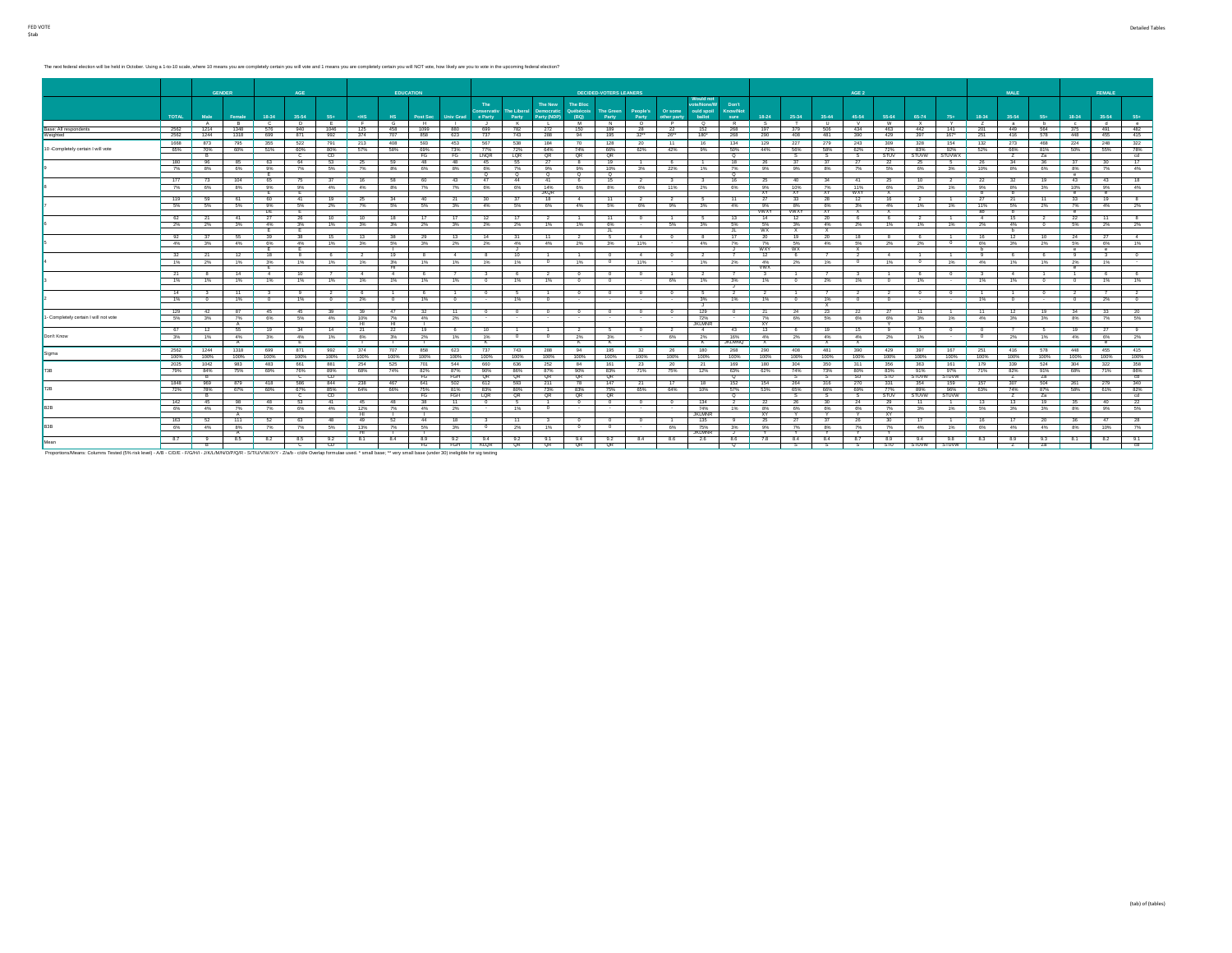The next federal election will be held in October. Using a 1-to-10 scale, where 10 means you are completely certain you will vote and 1 means you are completely certain you will NOT vote, how likely are you to vote in the

|                                       |              |              | <b>GENDER</b>  |            | AGE              |                |                          | <b>EDUCATION</b> |              |                  |                           |                    |                       |                              | <b>DECIDED-VOTERS LEANERS</b> |                          |                    |                          |                           |                          |               |              | AGE 2                   |                 |              |                |                | <b>MALE</b>    |                        |                  | FEMALE     |                  |
|---------------------------------------|--------------|--------------|----------------|------------|------------------|----------------|--------------------------|------------------|--------------|------------------|---------------------------|--------------------|-----------------------|------------------------------|-------------------------------|--------------------------|--------------------|--------------------------|---------------------------|--------------------------|---------------|--------------|-------------------------|-----------------|--------------|----------------|----------------|----------------|------------------------|------------------|------------|------------------|
|                                       |              |              |                |            |                  |                |                          |                  |              |                  |                           |                    |                       |                              |                               |                          |                    | <b>Would not</b>         |                           |                          |               |              |                         |                 |              |                |                |                |                        |                  |            |                  |
|                                       |              |              |                |            |                  |                |                          |                  |              |                  | The<br><b>Conservativ</b> | <b>The Liberal</b> | The New<br>Democratic | <b>The Bloc</b><br>Québécois | <b>The Green</b>              | People's                 | Or some            | ote/None/W<br>ould spoil | Don't<br><b>Know/Not</b>  |                          |               |              |                         |                 |              |                |                |                |                        |                  |            |                  |
|                                       | <b>TOTAL</b> | Male         | Female         | 18-34      | 35-54            | 55+            | $<$ HS                   | H <sub>S</sub>   | Post Sec     | <b>Univ Grad</b> | e Party                   | Party              | Party (NDP)           | (BQ)                         | Party                         | Party                    | other party        | ballot                   | sure                      | $18 - 24$                | 25-34         | $35 - 44$    | 45-54                   | 55-64           | 65-74        | $75+$          | 18-34          | 35-54          | 55+                    | 18-34            | 35-54      | 55+              |
|                                       |              | A            | B              | $\circ$    | Þ                | –<br>F         | - 6                      | G                | - 8          |                  |                           | K                  |                       | - M                          | N                             | $\overline{\phantom{a}}$ | $\overline{P}$     | $\circ$                  | R                         | $\overline{\phantom{a}}$ |               | $\mathbf{H}$ | $\mathbf{v}$            | W               | $\mathbf{x}$ | $\mathbf{Y}$   |                | a.             | - 6                    | $\mathbf{c}$     | - d        | $^{\circ}$       |
| Base: All respondents<br>Weighted     | 2562<br>2562 | 1214<br>1244 | 1348<br>1318   | 576<br>699 | 940<br>871       | 1046<br>992    | 125<br>374               | 458<br>707       | 1099<br>858  | 880<br>623       | 699<br>737                | 782<br>743         | 272<br>288            | 150<br>94                    | 189<br>195                    | 28<br>32                 | 22<br>26"          | 152<br>180*              | 268<br>268                | 197<br>290               | 379<br>408    | 506<br>481   | 434<br>390              | 463<br>429      | 442<br>397   | 141<br>167"    | 201<br>251     | 449<br>416     | 564<br>578             | 375<br>448       | 491<br>455 | 482<br>415       |
|                                       | 1668         | 873          | 795            | 355        | 522              | 791            | 213                      | 408              | 593          | 453              | 567                       | 538                | 184                   | 70                           | 128                           | 20                       | 11                 | 16                       | 134                       | 129                      | 227           | 279          | 243                     | 309             | 328          | 154            | 132            | 273            | 468                    | 224              | 248        | 322              |
| 10 -Completely certain I will vote    | 65%          | 70%          | 60%            | 51%        | 60%              | 80%            | 57%                      | 58%              | 69%          | 73%              | 77%                       | 72%                | 64%                   | 74%                          | 66%                           | 62%                      | 42%                | 9%                       | 50%                       | 44%                      | 56%           | 58%          | 62%                     | 72%             | 83%          | 92%            | 52%            | 66%            | 81%                    | 50%              | 55%        | 78%              |
|                                       |              | R            |                |            | - 0              | CD.            |                          |                  | FG           | FG.              | LNQR                      | LQR                | QR                    | QR                           | QR                            |                          |                    |                          | ०                         |                          | -s            | s.           |                         | <b>STUV</b>     | STUVW        | <b>STUVWX</b>  |                | $\overline{ }$ | Za                     |                  |            | cd               |
|                                       | 180          | 96           | 85             | 63         | 64               | 53             | - 25                     | - 59             | 48           | 48               | 45                        | 55                 | 27                    | 8                            | 19                            |                          | - 6                |                          | 18                        | - 26                     | 37            | 37           | 27                      | -22             | -25          |                | -26            | 34             | 36                     | 37               | -30        | 17               |
|                                       | 7%           | 8%           | 6%             | 9%<br>. F  | 7%               | 5%             | 7%                       | 8%               | 6%           | 8%               | 6%<br>- 0                 | 7%<br>$^{\circ}$   | 9%<br>$\sim$          | 9%<br>$^{\circ}$             | 10%<br>०                      | 3%                       | 22%                | 1%                       | 7%<br>०                   | 9%                       | 9%            | 8%           | 7%                      | 5%              | 6%           | 3%             | 10%            | 8%             | 6%                     | 8%<br>$^{\circ}$ | 7%         | 4%               |
|                                       | 177          | 73           | 104            | 65         | 75               | 37             | $-16$                    | 58               | -60          | 43               | 47                        | 44                 | 41                    | 6                            | 15                            | $\overline{2}$           | - 3.               | 3                        | 16                        | - 25                     | 40            | 34           | 41                      | -25             | 10           | $\overline{2}$ | 22             | 32             | 19                     | 43               | 43         | 18               |
|                                       | 7%           | 6%           | 8%             | 9%         | 9%               | 4%             | 4%                       | 8%               | 7%           | 7%               | 6%                        | 6%                 | 14%                   | 6%                           | 8%                            | 6%                       | 11%                | 2%                       | 6%                        | 9%                       | 10%           | 7%           | 11%                     | 6%              | $2\%$        | 1%             | 9%             | 8%             | 3%                     | 10%              | 9%         | 4%               |
|                                       |              | -69          | 61             | ┲<br>60    | −<br>41          |                |                          |                  |              |                  |                           |                    | <b>JKQR</b><br>18     | $\overline{4}$               | 11                            |                          |                    | 5                        | 11                        | <b>XY</b>                | XY            | XY.          | <b>WXY</b>              | X<br>16         |              |                | -<br>$-27$     | h.<br>21       |                        | $^{\circ}$       | $\sim$     | 8                |
|                                       | 119<br>5%    | 5%           | 5%             | 9%         | 5%               | 19<br>$2\%$    | - 25<br>7%               | 34<br>5%         | 40<br>5%     | -21<br>3%        | -30<br>4%                 | 5%                 | 6%                    | 4%                           | 6%                            | 2<br>6%                  | $\mathbf{2}$<br>9% | 3%                       | 4%                        | - 27<br>9%               | 33<br>8%      | 28<br>6%     | 12<br>3%                | 4%              | 1%           | 1%             | 11%            | 5%             | 11<br>2%               | 33<br>7%         | 19<br>4%   | 2%               |
|                                       |              |              |                | DE         | Έ.               |                |                          |                  |              |                  |                           |                    |                       |                              |                               |                          |                    |                          |                           | <b>WWXY</b>              | <b>AMXA</b>   | <b>XY</b>    | $\mathbf{x}$            | X               |              |                | ab             | b.             |                        | $^{\circ}$       |            |                  |
|                                       | 62           | 21           | 41             | $-27$      | 26               | 10             | 10                       | 18               | 17           | 17               | 12                        | -17                | 2                     | $-1$                         | $-11$                         | $\sim$                   | $\overline{1}$     | $-5$                     | 13                        | 14                       | $-12$         | 20           | 6                       | 6               | 2            | $\overline{1}$ | $-4$           | 15             | $-2$                   | 22               | $-11$      | 8                |
|                                       |              | $2\%$ 2%     | 3%             | 4%<br>┲    | 3%<br>Έ          | 1%             | 3%                       | 3%               | 2%           | $3\%$            | 2%                        | 2%                 | 1%                    | 1%                           | 6%<br>ᅚ                       | $\sim$                   | 5%                 | 3%                       | 5%<br>JL 1                | 5%<br><b>WX</b>          | 3%<br>x       | 4%<br>X      | 2%                      | 1%              | 1%           | 1%             | 2%             | 4%<br>- 6      | $\sim$                 | 5%               | 2%         | 2%               |
|                                       | 92           | - 37         | 55             | 39         | 38               |                | 15 13                    | - 38             | - 29         | 13               | 14                        | $-31$              | 11                    | $\overline{2}$               | $5 -$                         | $\sim$                   | $\sim$             | 8                        | 17                        | 20                       | 19            | 20           | 18                      | -8              | - 6 -        |                | 16             | 12             | 10                     | 24               | 27         | $-4$             |
|                                       | 4%           | 3%           | 4%             | 6%         | 4%               | 1%             | 3%                       | 5%               | 3%           | $2\%$            | 2%                        | 4%                 | 4%                    | 2%                           | 3%                            | 11%                      | $\sim$             | 4%                       | 7%                        | 7%                       | 5%            | 4%           | 5%                      | 2%              | $2\%$        | $\sim$         | 6%             | 3%             | 2%                     | 6%               | 6%         | 1%               |
|                                       |              |              |                | E          | Έ                |                |                          |                  |              |                  |                           | J.                 |                       |                              |                               |                          |                    |                          | - 31                      | <b>WXY</b>               | <b>WX</b>     |              |                         |                 |              |                | ъ.             |                |                        | $^{\circ}$       | $^{\circ}$ |                  |
|                                       | 32           | $-21$        | 12             | 18         | 8                | 6              | $\overline{\phantom{a}}$ | 19               |              | -4               |                           | 10                 | $\sim$                |                              | $^{\circ}$                    | 4                        | $\sim$<br>$\sim$   | $\overline{2}$           |                           | $-12$                    | R             |              | $\mathcal{L}$<br>$\sim$ | $\Delta$        |              |                | $\overline{9}$ | 6              | 6                      | $-9$             | - 3.       | $\sim$<br>$\sim$ |
|                                       | 1%           | 2%           | 1%             | 3%<br>- E  | 1%               | 1%             | 1%                       | 3%<br>┱          | 1%           | $1\%$            | 1%                        | 1%                 |                       | 1%                           | $\sim$                        | 11%                      |                    | 1%                       | 2%                        | 4%<br><b>VWX</b>         | 2%            | 1%           |                         | 1%              | $\circ$      | 1%             | 4%             | 1%             | 1%                     | 2%<br>$^{\circ}$ | 1%         |                  |
|                                       | 21           | -8           | 14             | $-4$       | 10               |                | $-4$                     | 4                |              |                  |                           |                    | 2                     | $\Omega$                     | $^{\circ}$                    | $^{\circ}$               | $\overline{1}$     | $\frac{1}{2}$            |                           |                          |               |              |                         |                 | 6.           | $^{\circ}$     | -3             | $-4$           | $\overline{1}$         | -1.              | - 61       | 6                |
|                                       | 1%           | 1%           | 1%             | 1%         | 1%               | 1%             | 1%                       | 1%               | 1%           | 1%               |                           | 1%                 | 1%                    | $^{\circ}$                   | $^{\circ}$                    | $\sim$                   | 6%                 | 1%                       | 3%                        | 1%                       | $\Omega$      | 2%           | 1%                      | $\sqrt{2}$      | 1%           |                | 1%             | 1%             | $^{\circ}$             | $^{\circ}$       | 1%         | 1%               |
|                                       | 14           |              | 11             | -3         | $-9$             | $\overline{2}$ | $-6$                     |                  |              |                  |                           |                    |                       | $^{\circ}$                   | $\overline{\phantom{0}}$      | $^{\circ}$               | $\overline{0}$     | $-5$                     | <b>J</b><br>$\frac{1}{2}$ | $\mathbf{2}$             |               |              |                         |                 | $^{\circ}$   | $^{\circ}$     | $^{\circ}$     |                | $^{\circ}$             |                  |            | $-2$             |
|                                       | $1\%$        | - 0          | 1%             | $\sqrt{2}$ | 1%               | $^{\circ}$     | 2%                       | - 0              | 1%           |                  |                           | 1%                 | $\Omega$              |                              | $\sim$                        | $\sim$                   | $\sim$             | 3%                       | 1%                        | 1%                       |               | 1%           |                         |                 |              |                | 1%             |                |                        | $\Omega$         | 2%         | $\overline{0}$   |
|                                       |              |              |                |            |                  |                |                          |                  |              |                  |                           |                    |                       |                              |                               |                          |                    | <b>J</b>                 |                           |                          |               | $\mathbf{x}$ |                         |                 |              |                |                |                |                        |                  |            |                  |
|                                       | 129          | 42           | 87             | 45         | 45               | 39             | 39                       | 47               | 32           | 11               |                           |                    | $^{\circ}$            | $^{\circ}$                   | $^{\circ}$                    | $\sim$                   | $\sim$             | 129                      | $^{\circ}$                | 21                       | $-24$         | 23           | 22                      | 27              | 11           |                | 11             | 12             | 19                     | $-34$            | 33         | 20               |
| I- Completely certain I will not vote | 5%           | 3%           | 7%<br>A        | 6%         | 5%               | 4%             | 10%<br>ਜ                 | 7%<br>Ŧ          | 4%           | 2%               |                           |                    |                       |                              | ÷                             | $\sim$                   |                    | 72%<br><b>JKLMNR</b>     |                           | 7%<br><b>XY</b>          | 6%            | 5%           | 6%                      | 6%<br>Y         | 3%           | 1%             | 4%             | 3%             | 3%                     | 8%               | 7%         | 5%               |
|                                       | 67           | -12          | <b>55</b>      | 19         | 34               | 14             | $-21$                    | 22               | 19           | -6               | 10                        |                    |                       | $\overline{2}$               | - 5                           | $^{\circ}$               | - 2                | $-4$                     | $-43$                     | 13                       | -6            | -19          | 15                      |                 |              |                |                |                |                        | 19               | - 27       | $\mathbf{q}$     |
| Don't Know                            | $3\%$        | 1%           | 4%             | 3%         | 4%               | 1%             | 6%                       | 3%               | 2%           | $1\%$            | 1%                        | $^{\circ}$         | $^{\circ}$            | 2%                           | 3%                            | $\sim$                   | 6%                 | 2%                       | 16%                       | 4%                       | 2%            | 4%           | 4%                      | 2%              | 1%           |                | $^{\circ}$     | 2%             | 1%                     | 4%               | 6%         | 2%               |
|                                       |              |              | $\overline{A}$ |            | <b>F</b>         |                |                          | - 11             |              |                  |                           |                    |                       | K                            | $\overline{\mathbf{K}}$       |                          |                    | $\overline{K}$           | <b>JKLMNO</b>             | $\mathbf{x}$             |               | $\mathbf{x}$ | $\overline{x}$          |                 |              |                |                |                |                        |                  | $^{\circ}$ |                  |
| Sigma                                 | 2562         | 1244         | 1318           | 699        | 871              | 992            | 374                      | 707              | 858          | 623              | 737                       | 743                | 288                   | 94                           | 195                           | 32                       | 26                 | 180                      | 268                       | 290                      | 408           | 481          | 390                     | 429             | 397          | 167            | 251            | 416            | 578                    | 448              | 455        | 415              |
|                                       | 100%         | 100%         | 100%           | 100%       | 100%             | 100%           | 100%                     | 100%             | 100%         | 100%             | 100%                      | 100%               | 100%                  | 100%                         | 100%                          | 100%                     | 100%               | 100%                     | 100%                      | 100%                     | 100%          | 100%         | 100%                    | 100%            | 100%         | 100%           | 100%           | 100%           | 100%                   | 100%             | 100%       | 100%             |
| <b>F3R</b>                            | 2025<br>79%  | 1042<br>84%  | 983<br>75%     | 483<br>69% | 661<br>76%       | 881<br>89%     | 254<br>68%               | 525<br>74%       | 701<br>82%   | 544<br>87%       | 660<br>90%                | 636<br>86%         | 252<br>87%            | 84<br>90%                    | 161<br>83%                    | 23<br>71%                | 20<br>75%          | $-21$<br>12%             | 169<br>63%                | 180<br>62%               | 304<br>74%    | 350<br>73%   | 311<br>80%              | 356<br>83%      | 363<br>91%   | 161<br>97%     | 179<br>71%     | 339<br>82%     | 524<br>91%             | 304<br>68%       | 322<br>71% | 358<br>86%       |
|                                       |              | - R          |                |            | $\mathbf{C}$     | CD.            |                          |                  | FG           | FGH              | QR                        | QR                 | QR                    | QR                           | QR                            |                          |                    |                          | $\sim$                    |                          | s             | s.           | SU.                     | <b>STU</b>      | <b>STUVW</b> | <b>STUVW</b>   |                | z              | Za                     |                  |            | cd               |
|                                       | 1848         | 969          | 879            | 418        | 586              | 844            | 238                      | 467              | 641          | 502              | 612                       | 593                | 211                   | 78                           | 147                           | 21                       | 17                 | 18                       | 152                       | 154                      | 264           | 316          | 270                     | 331             | 354          | 159            | 157            | 307            | 504                    | 261              | 279        | 340              |
| T2B                                   | 72%          | 78%          | 67%            | 60%        | 67%              | 85%            | 64%                      | 66%              | 75%          | 81%              | 83%                       | 80%                | 73%                   | 83%                          | 75%                           | 65%                      | 64%                | 10%                      | 57%                       | 53%                      | 65%           | 66%          | 69%                     | 77%             | 89%          | 96%            | 63%            | 74%            | 87%                    | 58%              | 61%        | 82%              |
|                                       | 142          | R<br>45      | 98             | -48        | - 0<br><b>63</b> | CD.<br>$-41$   | - 45                     | 48               | - FG<br>- 38 | FGH<br>11        | LQR<br>$\sim$             | QR<br>- 6 -        | QR<br>$\mathbf{1}$    | QR<br>$\Omega$               | - QR<br>$\circ$               | $\sim$                   | $^{\circ}$         | 134                      | ू<br>2                    | - 22                     | 3<br>26       | -8<br>30     | 3<br>24                 | STUV<br>29      | STUVW<br>-11 | STUVW          | 13             | 7<br>13        | $\overline{z}$ a<br>19 | - 35             | -40        | cd<br>22         |
| B <sub>2</sub> B                      | 6%           | 4%           | 7%             | 7%         | 6%               | 4%             | 12%                      | 7%               | 4%           | $2\%$            |                           | 1%                 | $\circ$               |                              | $\sim$                        | $\sim$                   |                    | 74%                      | 1%                        | 8%                       | 6%            | 6%           | 6%                      | 7%              | 3%           | 1%             | 5%             | 3%             | 3%                     | 8%               | 9%         | 5%               |
|                                       |              |              |                |            |                  |                | Ŧ                        |                  |              |                  |                           |                    |                       |                              |                               |                          |                    | <b>JKLMNR</b>            |                           | XY.                      |               |              |                         | - XY            |              |                |                |                |                        |                  |            |                  |
|                                       | 163          | 52           | 111            | 52         | 63               | 48             | 49                       | 52               | $-44$        | 18               |                           | -11                | $\mathbf{a}$          | $\sqrt{2}$                   | $^{\circ}$                    | $\overline{0}$           |                    | 135                      | $\overline{9}$            | 25                       | 27            | 37           | 26                      | 30 <sup>°</sup> | 17           |                | 16             | 17             | 20                     | 36               | 47         | 28               |
| 33R                                   | 6%           | 4%           | 8%<br><b>A</b> | 7%         | 7%               | 5%             | 13%<br>Ŧ                 | 7%<br>- 11       | 5%           | 3%               | $^{\circ}$                | 2%                 | 1%                    | $\circ$                      | $\sim$                        | $\sim$                   | 6%                 | 75%<br><b>JKLMNR</b>     | 3%<br>- 11 -              | 9%                       | 7%            | 8%           | 7%                      | 7%              | 4%           | 1%             | 6%             | 4%             | 4%                     | 8%               | 10%        | 7%               |
|                                       | 8.7          |              | 8.5            | 8.2        | 8.5              | 9.2            | 8.1                      | 8.4              | 8.9          | 9.2              | 9.4                       | 9.2                | 9.1                   | 9.4                          | 9.2                           | 8.4                      | 8.6                | 2.6                      | 8.6                       | 7.8                      | 8.4           | 8.4          | 8.7                     | 8.9             | 9.4          | 9.8            | 8.3            | 8.9            | 9.3                    | 8.1              | 8.2        | 9.1              |
| Mean                                  |              | R            |                |            | $\overline{c}$   | CD             |                          |                  | FG           | FGH              | <b>KLOR</b>               | QR                 | QR                    | QR.                          | <b>QR</b>                     |                          |                    |                          | ō                         |                          | $\mathcal{S}$ |              |                         | <b>STU</b>      | <b>STUVW</b> | <b>STUVW</b>   |                |                | Za                     |                  |            | cd               |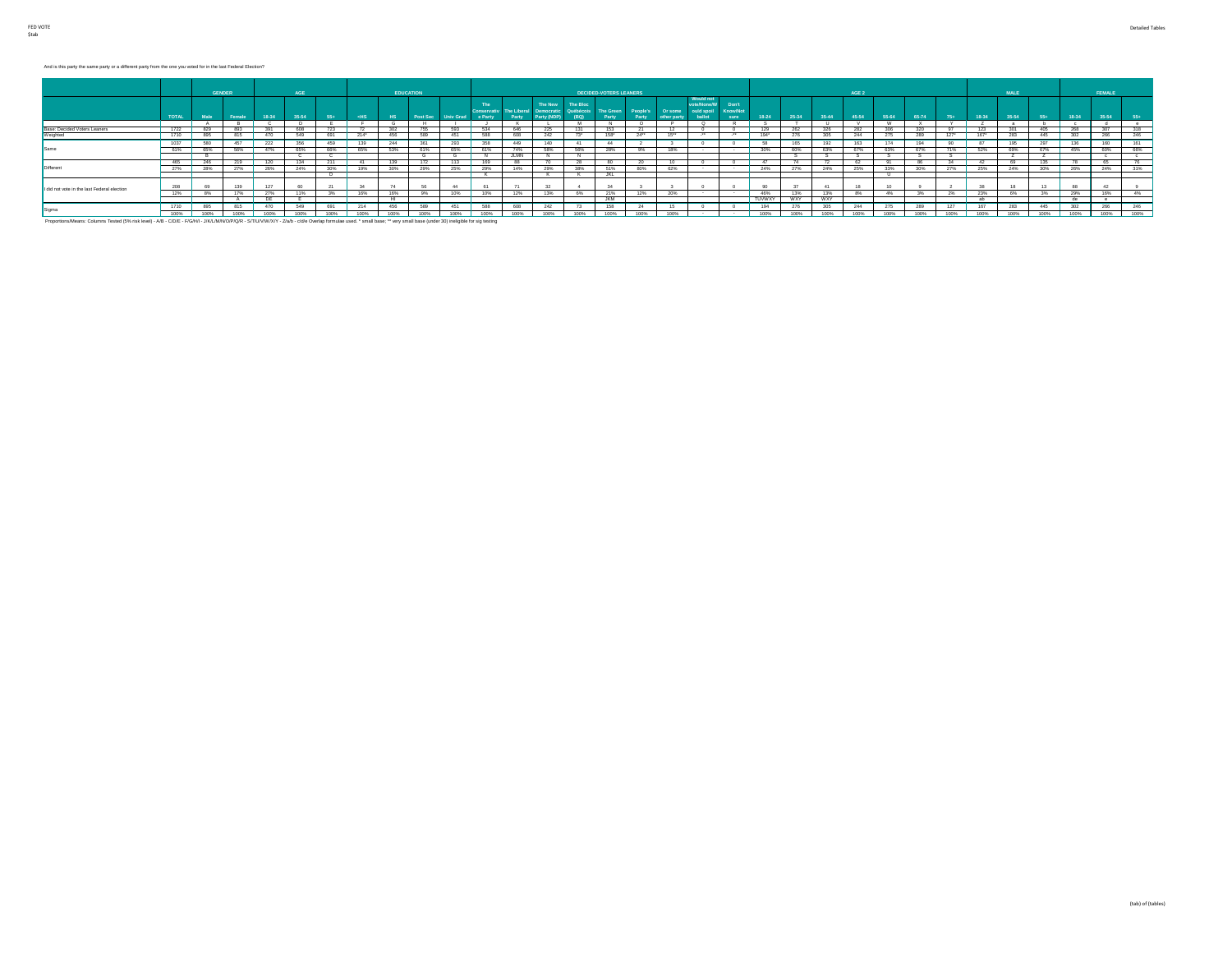### And is this party the same party or a different party from the one you voted for in the last Federal Election?

|                                             |              |      | <b>GENDER</b> |       | AGE   |      |             |           | <b>EDUCATION</b> |           |                |       |                                                              |                               | <b>DECIDED-VOTERS LEANERS</b> |           |                                            |                         |                                  |               |            |            | AGE 2   |          |       |        |       | MALE  |             |       | FEMALE |       |
|---------------------------------------------|--------------|------|---------------|-------|-------|------|-------------|-----------|------------------|-----------|----------------|-------|--------------------------------------------------------------|-------------------------------|-------------------------------|-----------|--------------------------------------------|-------------------------|----------------------------------|---------------|------------|------------|---------|----------|-------|--------|-------|-------|-------------|-------|--------|-------|
|                                             | <b>TOTAL</b> | Male | Female        | 18-34 | 35-54 | 55+  | $-HS$       | <b>HS</b> | Post Sec         | Univ Grad | The<br>e Party | Party | The New<br>Conservativ The Liberal Democratic<br>Party (NDP) | The Bloc<br>Québécois<br>(BQ) | The Green<br>Party            | Party     | People's Or some ould spoil<br>other party | Would not<br>ote/None/W | Don't<br><b>Know/Not</b><br>sure | $18-24$       | 25-34      | 35-44      | $45-54$ | 55-64    | 65-74 | $75+$  | 18-34 | 35-54 | 55+         | 18-34 | 35-54  | $55+$ |
|                                             |              |      |               |       |       |      |             |           |                  |           |                |       |                                                              |                               |                               | $\Omega$  |                                            |                         |                                  |               |            |            |         | <b>W</b> |       |        |       |       |             |       |        |       |
| Base: Decided Voters Leaners                | 1722         | 829  | 893           | 391   | 608   |      |             | 302       | 755              | 593       | 634            | 646   | 225                                                          |                               | 153                           |           |                                            |                         |                                  | 129           | 262        |            | 282     | 306      | 320   | -97    | 123   |       | 406         | 268   | 307    | 318   |
| Weighted                                    | 1710         | 895  | 815           | 470   | 549   | 691  | 214"        | 456       | 589              | 451       | 588            | 608   | 242                                                          | $73^*$                        | 158*                          | $24^{**}$ | 15                                         |                         |                                  | 194*          | 276        | 305        | 244     | 275      | 289   | $127*$ | 167"  |       |             | 302   | 266    | 246   |
|                                             | 1037         |      | 457           | 222   | 356   |      |             | 244       |                  | 293       | 358            | 449   | 140                                                          |                               | 44                            |           |                                            |                         |                                  |               |            |            | 163     | 174      |       |        |       |       |             | 136   | 160    | 161   |
| Same                                        | 61%          |      | 56%           | 47%   | 65%   | 66%  | 65%         | 53%       | 61%              | 65%       | 61%            | 74%   | 58%                                                          | 56%                           | 28%                           | 9%        | 18%                                        |                         |                                  | 30%           | 60%        | 63%        | 67%     | 63%      | 67%   | 71%    | 52%   | 69%   |             | 45%   | 60%    | 66%   |
|                                             |              |      |               |       |       |      |             |           |                  |           |                | JLMN  |                                                              |                               |                               |           |                                            |                         |                                  |               |            |            |         |          |       |        |       |       |             |       |        |       |
|                                             | 465          |      |               | 120   |       |      |             |           |                  |           | -165           |       |                                                              | -28                           |                               |           |                                            |                         |                                  |               |            |            |         |          |       |        |       |       |             |       |        |       |
| Different                                   | 27%          | 28%  |               | 26%   | 24%   | 30%  | 19%         | 30%       | 29%              | 25%       | 29%            | 14%   | 29%                                                          | 38%                           | 51%                           | 80%       | 62%                                        |                         |                                  | 24%           | 27%        | 24%        | 25%     | 33%      | 30%   | 27%    | 25%   | 24%   | 30%         | 26%   | 24%    | 31%   |
|                                             |              |      |               |       |       |      |             |           |                  |           |                |       |                                                              |                               | JKL                           |           |                                            |                         |                                  |               |            |            |         |          |       |        |       |       |             |       |        |       |
| I did not vote in the last Federal election | 208          |      |               | 127   |       |      |             |           |                  |           | 61             |       |                                                              |                               |                               |           |                                            |                         |                                  |               |            | 41         |         |          |       |        |       |       |             |       | 42     |       |
|                                             | 12%          | 8%   | 17%           | 27%   | 11%   | 3%   | 16%         | 16%       | 9%               | 10%       | 10%            | 12%   | 13%                                                          | 6%                            | 21%                           | 12%       | 20%                                        |                         |                                  | 46%           | 13%        | 13%        | 8%      | 4%       | $3\%$ | 2%     | 23%   | 6%    | 3%          | 29%   | 16%    | 4%    |
|                                             |              |      |               | DE    |       |      |             |           |                  |           |                |       |                                                              |                               | <b>JKM</b>                    |           |                                            |                         |                                  | <b>TUVWXY</b> | <b>WXY</b> | <b>WXY</b> |         |          |       |        |       |       |             |       |        |       |
|                                             | 1710         | 895  |               | 470   | 549   |      |             | 456       | 589              | 451       | 588            | 608   |                                                              | - 13                          | 158                           |           |                                            |                         |                                  | 194           |            | 305        | 244     |          |       | 127    | 167   |       |             | 302   | 266    | 246   |
| Sigma                                       | 100%         | 100% | 100%          | 100%  | 100%  | 100% | <b>KOON</b> |           | 100%             |           |                |       | <b>KODA</b>                                                  | 100%                          | 1009                          | 100%      | 100%                                       |                         |                                  | 4 OOM         |            |            |         | 100W     | 100%  | 100%   | 100%  | 100%  | <b>KODA</b> |       | 100%   | 100%  |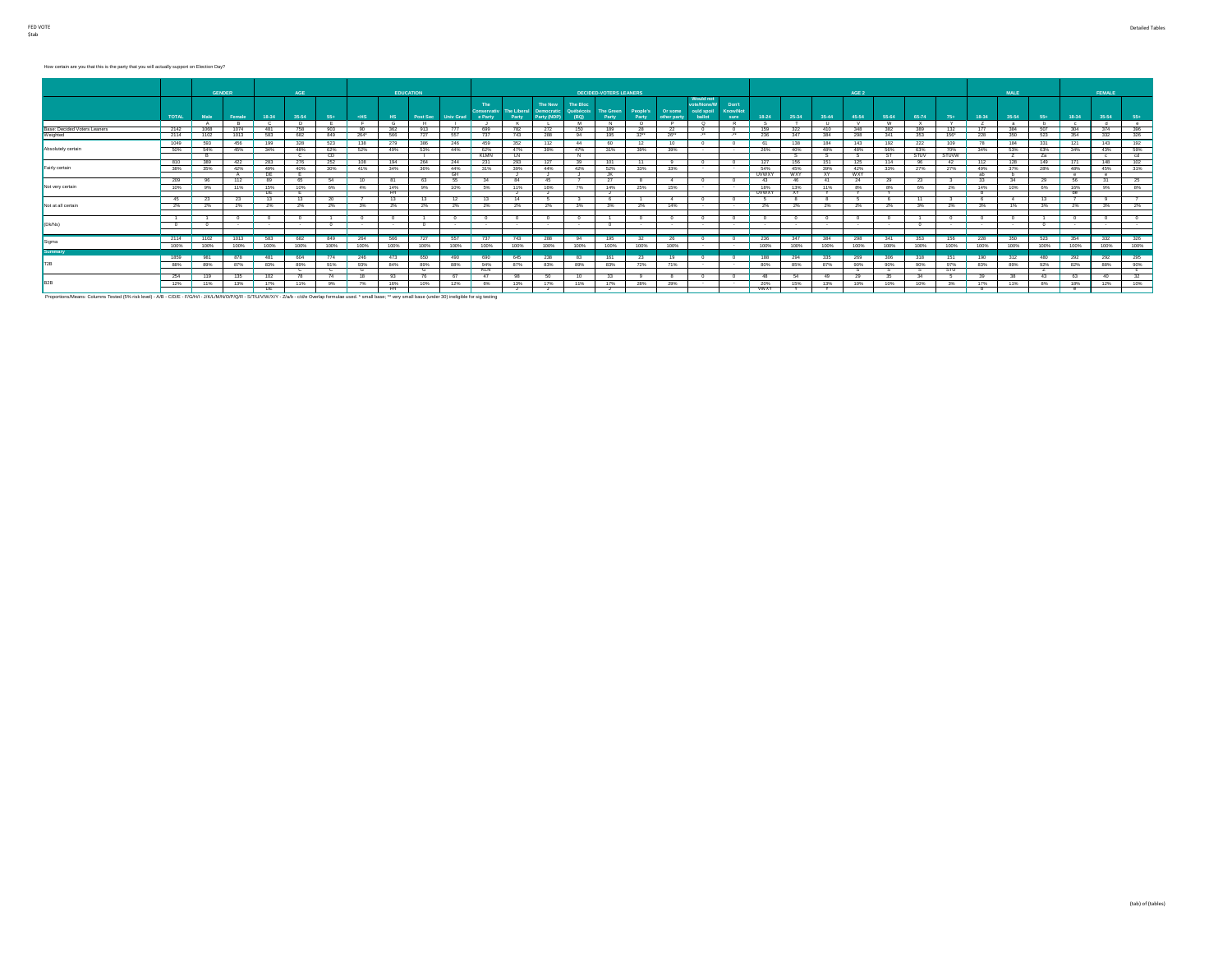# How certain are you that this is the party that you will actually support on Election Day?

|                              |              | GENDER |        |            | <b>AGE</b> |                          |        | <b>EDUCATION</b> |          |                  |             |           |                                                                     |                                      | <b>DECIDED-VOTERS LEANERS</b> |                           |             |                                                        |                                  |                     |                  |           | AGE 2      |       |              |                    |        | MALE.        |       |                | FEMALE     |              |
|------------------------------|--------------|--------|--------|------------|------------|--------------------------|--------|------------------|----------|------------------|-------------|-----------|---------------------------------------------------------------------|--------------------------------------|-------------------------------|---------------------------|-------------|--------------------------------------------------------|----------------------------------|---------------------|------------------|-----------|------------|-------|--------------|--------------------|--------|--------------|-------|----------------|------------|--------------|
|                              | <b>TOTAL</b> | Male   | Female | 18-34      | 35-54      | $55+$                    | $-HS$  | H <sub>S</sub>   | Post Sec | <b>Univ Grad</b> | e Party     | Party     | The New<br><b>Conservativ</b> The Liberal Democratic<br>Party (NDP) | <b>The Bloc</b><br>Québécois<br>(BQ) | The Green<br>Party            | People's Or some<br>Party | other party | <b>Would not</b><br>ote/None/W<br>ould spoil<br>ballot | Don't<br><b>Know/Not</b><br>sure | 18-24               | 25-34            | 35-44     | 45-54      | 55-64 | 65-74        | $75+$              | 18-34  | 35-54        | $55+$ | 18-34          | 35-54      | $55+$        |
|                              |              |        | в.     |            | n.         |                          |        |                  | . н.     |                  |             | $\kappa$  |                                                                     |                                      | N                             | $\circ$                   |             | $^{\circ}$                                             | - R                              |                     |                  |           |            | - W   | $\mathbf{x}$ | Y.                 |        | $\mathbf{a}$ | b     | $\mathbf{c}$   | $-$        | $^{\circ}$   |
| Base: Decided Voters Leaners | 2142         | 1068   | 1074   | 481        | 758        | 903                      | 90     | 362              | 913      | 777              | 699         | 782       | 272                                                                 | 150                                  | 189                           | 28                        | 22          |                                                        | - 0                              | 159                 | 322              | 410       | 348        | 382   | 389          | 132                | 177    | 384          | 507   | 304            | 374        | 396          |
| Weighted                     | 2114         | 1102   | 1013   | 583        | 682        | 849                      | 264*   | 566              | 727      | 557              | 737         | 743       | 288                                                                 | 94                                   | 195                           | 32                        | 26"         | $\cdot$                                                | $\cdot$                          | 236                 | 347              | 384       | 298        | 341   | 353          | 156*               | 228    | 350          | 523   | 354            | 332        | 326          |
|                              | 1049         | 593    | 456    | 199        | 328        | 523                      | 138    | 279              | 386      |                  | 459         | 352       | 112                                                                 | 44                                   | -60                           | 12                        | 10          |                                                        |                                  |                     | 138              | 184       | 143        | 192   | 222          | 109                | 78     | 184          | 331   | 121            | 143        | 192          |
| Absolutely certain           | 50%          | 54%    | 45%    | 34%        | 48%        | 62%                      | 52%    | 49%              | 53%      | 44%              | 62%         | 47%       | 39%                                                                 | 47%                                  | 31%                           | 39%                       | 39%         | $\sim$                                                 | $\sim$                           | 26%                 | 40%              | 48%       | 48%        | 56%   | 63%          | 70%                | 34%    | 53%          | 63%   | 34%            | 43%        | 59%          |
|                              |              | - 14   |        |            | - 62       | CD.                      |        |                  |          |                  | <b>KLMN</b> |           |                                                                     |                                      |                               |                           |             |                                                        |                                  |                     |                  |           |            |       | <b>STUV</b>  | STUVW <sup>-</sup> |        |              | Za    |                |            | cd           |
|                              | 810          | 389    | 422    | 283        | 276        | 252                      |        |                  | 264      |                  | 231         | 293       | 127                                                                 |                                      | 101                           | 11                        |             |                                                        |                                  | 127                 |                  |           |            |       |              |                    | 112    | 128          | 149   |                | 148        | 102          |
| Fairly certain               | 38%          | 35%    | 42%    | 49%        | 40%        | 30%                      | 41%    | 34%              | 36%      | 44%              | 31%         | 39%       | 44%                                                                 | 42%                                  | 52%                           | 33%                       | 33%         |                                                        |                                  | 54%                 | 45%              | 39%       | 42%        | 33%   | 27%          | 27%                | 49%    | 37%          | 28%   | 48%            | 45%        | 31%          |
|                              |              |        |        | DE         |            |                          |        |                  |          | <b>GH</b>        |             |           |                                                                     |                                      | JK.                           |                           |             |                                                        |                                  | <b>UVWXY</b>        | <b>WXY</b>       | <b>XY</b> | <b>WXY</b> |       |              |                    | ab     | ъ.           |       | $^{\circ}$     | $^{\circ}$ |              |
|                              | 209          |        | 112    | 89         | -65        |                          |        |                  |          |                  |             |           | 45                                                                  |                                      |                               |                           | $\Delta$    |                                                        |                                  |                     |                  | -41       |            | -29   | 23           |                    |        |              | -29   | - 56           |            |              |
| Not very certain             | 10%          | 9%     | 11%    | 15%<br>DE. | 10%        | 6%                       | 4%     | 14%<br>          | 9%       | 10%              | 5%          | 11%       | 16%                                                                 | 7%                                   | 14%                           | 25%                       | 15%         |                                                        |                                  | 18%<br><b>UVWXY</b> | 13%<br><b>XY</b> | 11%       | 8%         | 8%    | 6%           | 2%                 | 14%    | 10%          | 6%    | 16%<br>de      | 9%         | 8%           |
|                              | -45          |        |        | 13         | -13        |                          |        |                  |          |                  | -13         |           |                                                                     |                                      |                               |                           | $\Delta$    |                                                        |                                  |                     |                  |           |            |       |              |                    |        |              | 13    |                |            |              |
| Not at all certain           | 2%           | 2%     | 2%     | 2%         | 2%         | 2%                       | 3%     | 2%               | - 2%     | 2%               | 2%          | 2%        | 2%                                                                  | 3%                                   | 3%                            | 2%                        | 14%         |                                                        |                                  | 2%                  | 2%               | 2%        | 2%         | 2%    | 3%           | 2%                 | 3%     | 1%           | $3\%$ | 2%             | 3%         | 2%           |
|                              |              |        |        |            |            |                          |        |                  |          |                  |             |           |                                                                     |                                      |                               |                           |             |                                                        |                                  |                     |                  |           |            |       |              |                    |        |              |       |                |            |              |
|                              |              |        |        |            |            | $\overline{\phantom{a}}$ |        |                  |          |                  |             |           |                                                                     |                                      |                               | $\Omega$                  |             |                                                        | $^{\circ}$                       |                     |                  |           |            |       |              |                    |        | $\Omega$     |       |                |            |              |
| (Dk/Ns)                      |              |        |        | $\sim$     | $\sim$     |                          | $\sim$ |                  |          | $\sim$           | $\sim$      |           | $\sim$                                                              |                                      | $\Omega$                      | $\sim$                    | $\sim$      | $\sim$                                                 | $\sim$                           |                     |                  |           |            |       |              | $\sim$             | $\sim$ | $\sim$       |       | $\sim$         |            |              |
|                              |              |        |        |            |            |                          |        |                  |          |                  |             |           |                                                                     |                                      |                               |                           |             |                                                        |                                  |                     |                  |           |            |       |              |                    |        |              |       |                |            |              |
|                              | 2114         | 1102   | 1013   | 583        | 682        | 849                      | 264    | 566              |          | 557              | 737         | 743       | 288                                                                 | 94                                   | 195                           | 32                        | 26          |                                                        |                                  | 236                 | 347              | 384       | 298        | 341   | 353          | 156                | 228    | 350          | 523   | 354            | 332        | 326          |
| Sigma                        | 100%         | 100%   | 100%   | 100%       | 100%       | 100%                     | 100%   | 100%             | 100%     | 100%             | 100%        | 100%      | 100%                                                                | 100%                                 | 100%                          | 100%                      | 100%        | $\sim$                                                 | $\sim$                           | 100%                | 100%             | 100%      | 100%       | 100%  | 100%         | 100%               | 100%   | 100%         | 100%  | 100%           | 100%       | 100%         |
| <b>Summary</b>               |              |        |        |            |            |                          |        |                  |          |                  |             |           |                                                                     |                                      |                               |                           |             |                                                        |                                  |                     |                  |           |            |       |              |                    |        |              |       |                |            |              |
|                              | 1859         | 981    | 878    | 481        | 604        | 774                      | 246    | 473              | 650      | 490              | 690         | 645       | 238                                                                 | 83                                   | 161                           | 23                        | 19          | $^{\circ}$                                             | $^{\circ}$                       | 188                 | 294              | 335       | 269        | 306   | 318          | 151                | 190    | 312          | 480   | 292            | 292        | 295          |
|                              | 88%          | 89%    | 87%    | 83%        | 89%        | 91%                      | 93%    | 84%              | 89%      | 88%              | 94%         | 87%       | 83%                                                                 | 89%                                  | 83%                           | 72%                       | 71%         | $\sim$                                                 | $\sim$                           | 80%                 | 85%              | 87%       | 90%        | 90%   | 90%          | 97%                | 83%    | 89%          | 92%   | 82%            | 88%        | 90%          |
|                              |              |        |        |            | - 62       |                          | - 6    |                  |          |                  | <b>KLN</b>  |           |                                                                     |                                      |                               |                           |             |                                                        |                                  |                     |                  |           |            |       |              | STU                |        |              |       |                |            |              |
|                              | 254          | 119    | 135    | 102        | 78         | -74                      | - 18   | ୍ୟବ              |          | 67               | 47          | <b>98</b> | 50                                                                  | 10                                   | 33                            | $\mathbf{q}$              | -8          |                                                        | $^{\circ}$                       |                     | - 54             | -49       |            | -25   | 34           |                    | -39    | - 38         | 43    | - 63           | 40         | $32^{\circ}$ |
| B <sub>2</sub> B             | 12%          | 11%    | 13%    | 17%        | 11%        | 9%                       | 7%     | 16%              | 10%      | 12%              | 6%          | 13%       | 17%                                                                 | 11%                                  | 17%                           | 28%                       | 29%         | $\sim$                                                 | $\sim$                           | 20%                 | 15%              | 13%       | 10%        | 10%   | 10%          | 3%                 | 17%    | 11%          | 8%    | 18%            | 12%        | 10%          |
|                              |              |        |        | <b>DE</b>  |            |                          |        |                  |          |                  |             |           |                                                                     |                                      |                               |                           |             |                                                        |                                  | <b>WWXY</b>         |                  |           |            |       |              |                    |        |              |       | $\overline{a}$ |            |              |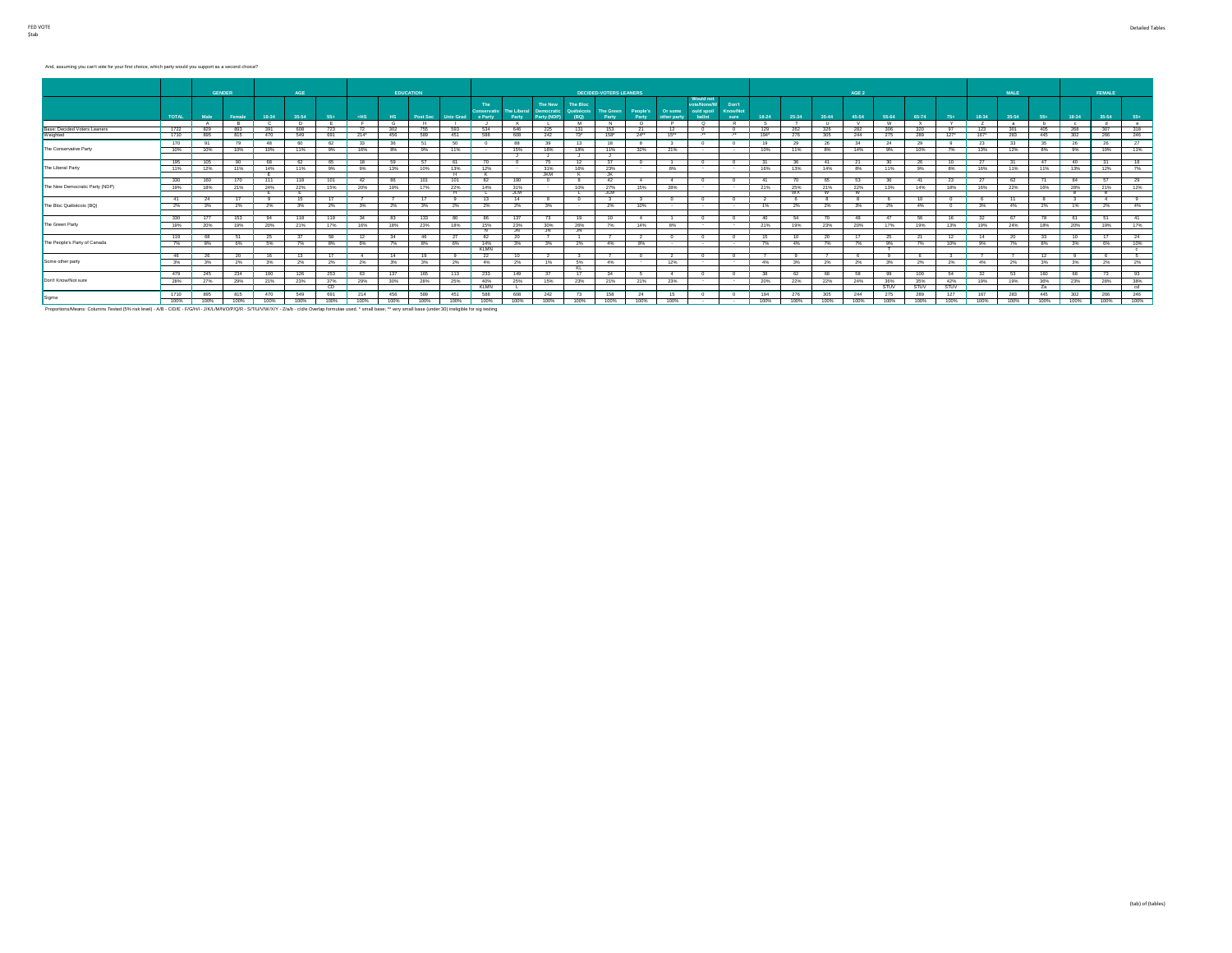#### And, assuming you can't vote for your first choice, which party would you support as a second choice?

|                                                                                                                                                                                                                             |              | <b>GENDER</b> |        |              | AGE      |      |                |      | <b>EDUCATION</b> |           |             |            |                                                                     |                               | <b>DECIDED-VOTERS LEANERS</b> |                   |                        |                                                 |                                  |       |           |       | AGE 2        |          |              |             |       | MALE  |      |            | <b>FEMALE</b> |              |
|-----------------------------------------------------------------------------------------------------------------------------------------------------------------------------------------------------------------------------|--------------|---------------|--------|--------------|----------|------|----------------|------|------------------|-----------|-------------|------------|---------------------------------------------------------------------|-------------------------------|-------------------------------|-------------------|------------------------|-------------------------------------------------|----------------------------------|-------|-----------|-------|--------------|----------|--------------|-------------|-------|-------|------|------------|---------------|--------------|
|                                                                                                                                                                                                                             | <b>TOTAL</b> | Male          | Female | 18-34        | 35-54    | 55+  | $-HS$          | HS.  | Post Sec         | Univ Grad | e Party     | Party      | The New<br><b>Conservativ</b> The Liberal Democratic<br>Party (NDP) | The Bloc<br>Québécois<br>(BQ) | The Green<br>Party            | People's<br>Party | Or some<br>other party | Would not<br>ote/None/W<br>ould spoil<br>ballot | Don't<br><b>Know/Not</b><br>sure | 18-24 | 25-34     | 35-44 | 45-54        | 55-64    | 65-74        | $75+$       | 18-34 | 35-54 | 55+  | 18-34      | 35-54         | $55+$        |
|                                                                                                                                                                                                                             |              | A             | R      | - 0          | <b>D</b> |      |                |      | <b>H</b>         |           |             | $\kappa$   |                                                                     | M                             | N                             | $\circ$           | P                      | $^{\circ}$                                      | - R                              |       |           | - 11  | $\mathsf{v}$ | <b>W</b> | $\mathbf{x}$ | Y           | Z     | $-21$ | h    | $\sim$     | d             | $  -$        |
| <b>Base: Decided Voters Leaners</b>                                                                                                                                                                                         | 1722         | 829           | 893    | 391          | 608      | 723  | - 72           | 302  | 755              | 593       | 534         | 646        | 225                                                                 | 131                           | 153                           | 21                | 12                     |                                                 |                                  | 129   | 262       | 326   | 282          | 306      | 320          | 97          | 123   | 301   | 405  | 268        | 307           | 318          |
| Weighted                                                                                                                                                                                                                    | 1710         | 895           | 815    | 470          | 549      | 691  | 214"           | 456  | 589              | 451       | 588         | 608        | 242                                                                 | $73*$                         | $158*$                        | 24                | 15                     | $\cdot$                                         | $\cdot$                          | 194"  | 276       | 305   | 244          | 275      | 289          | $127^*$     | 167"  | 283   | 445  | 302        | 266           | 246          |
|                                                                                                                                                                                                                             | 170          |               |        | 48           | -60      | 62   | $-33$          |      |                  |           |             |            | 39                                                                  | 13                            | 18                            |                   |                        |                                                 |                                  | 19    | 29        |       |              | 24       |              |             | 23    | 33    |      |            |               | 27           |
| The Conservative Party                                                                                                                                                                                                      | 10%          | 10%           | 10%    | 10%          | 11%      | 9%   | 16%            | 8%   | 9%               | 11%       |             | 15%        | 16%                                                                 | 18%                           | 11%                           | 32%               | 21%                    |                                                 |                                  | 10%   | 11%       | 8%    | 14%          | 9%       | 10%          | 7%          | 13%   | 12%   | 8%   | 9%         | 10%           | 11%          |
|                                                                                                                                                                                                                             |              |               |        |              |          |      |                |      |                  |           |             |            |                                                                     |                               |                               |                   |                        |                                                 |                                  |       |           |       |              |          |              |             |       |       |      |            |               |              |
|                                                                                                                                                                                                                             | 195          |               |        | <b>RR</b>    | - 62     |      |                |      |                  |           |             |            | -75                                                                 | 12 <sup>7</sup>               |                               |                   |                        |                                                 |                                  |       |           |       |              | 30       |              | 10          |       |       | -47  |            |               | 18           |
| The Liberal Party                                                                                                                                                                                                           | 11%          | 12%           | 11%    | 14%          | 11%      | 9%   | 9%             | 13%  | 10%              | 13%       | 12%         |            | 31%                                                                 | 16%                           | 23%                           |                   | 8%                     |                                                 |                                  | 16%   | 13%       | 14%   | 8%           | 11%      | 9%           | 8%          | 16%   | 11%   | 11%  | 13%        | 12%           | 7%           |
|                                                                                                                                                                                                                             |              |               |        |              |          |      |                |      |                  |           |             |            | <b>JKM</b>                                                          |                               | K                             |                   |                        |                                                 |                                  |       |           |       |              |          |              |             |       |       |      |            |               |              |
|                                                                                                                                                                                                                             | 330          |               | 170    | 111          | 118      | 101  | - 42           |      |                  |           |             | 190        | $^{\circ}$                                                          |                               | 42                            | 4                 | 4                      |                                                 |                                  |       |           | -65   | -53          | 36       |              | 23          | 27    | 62    | - 71 | 84         |               | 29           |
| The New Democratic Party (NDP)                                                                                                                                                                                              | 19%          | 18%           | 21%    | 24%          | 22%      | 15%  | 20%            | 19%  | 17%              | 22%       | 14%         | 31%        |                                                                     | 10%                           | 27%                           | 15%               | 28%                    |                                                 | $\sim$                           | 21%   | 25%       | 21%   | 22%          | 13%      | 14%          | 18%         | 16%   | 22%   | 16%  | 28%        | 21%           | 12%          |
|                                                                                                                                                                                                                             |              |               |        |              |          |      |                |      |                  |           |             | <b>JLM</b> |                                                                     |                               | JLM                           |                   |                        |                                                 |                                  |       | <b>WX</b> |       |              |          |              |             |       |       |      | $^{\circ}$ |               |              |
|                                                                                                                                                                                                                             | 41           |               | 17     | $\mathbf{q}$ | 15       |      |                |      |                  |           |             | $-14$      |                                                                     | $^{\circ}$                    | $_{3}$                        | $_{3}$            |                        |                                                 |                                  |       |           |       |              |          |              |             |       | - 11  | - 8  |            |               |              |
| The Bloc Québécois (BQ)                                                                                                                                                                                                     | 2%           | $3\%$         | 2%     | 2%           | 3%       |      | 2% 3%          | 2%   | 3%               | 2%        | 2%          | 2%         | 3%                                                                  |                               | 2%                            | 10%               |                        | $\sim$                                          | $\sim$                           | 1%    | 2%        | 2%    | 3%           | 2%       | 4%           |             | 3%    | 4%    | 2%   | 1%         | 2%            | 4%           |
|                                                                                                                                                                                                                             | 330          | 177           | 153    | 94           | 118      | 119  | 34             |      | 133              |           |             | 137        | 73                                                                  | 19                            | 10                            | 4                 |                        |                                                 |                                  | 40    |           |       | 48           | 47       |              | 16          | 32    |       | 78   | 61         |               | 41           |
| The Green Party                                                                                                                                                                                                             | 19%          | 20%           | 19%    | 20%          | 21%      | 17%  | 16%            | 18%  | 23%              | 18%       | 15%         | 23%        | 30%                                                                 | 26%                           | 7%                            | 14%               | 8%                     |                                                 |                                  | 21%   | 19%       | 23%   | 20%          | 17%      | 19%          | 13%         | 19%   | 24%   | 18%  | 20%        | 19%           | 17%          |
|                                                                                                                                                                                                                             |              |               |        |              |          |      |                |      |                  |           |             | JN         | JN.                                                                 | JN                            |                               |                   |                        |                                                 |                                  |       |           |       |              |          |              |             |       |       |      |            |               |              |
|                                                                                                                                                                                                                             | 119          |               |        | 25           |          | 58   | -12            |      |                  |           |             |            |                                                                     |                               |                               | 2                 |                        |                                                 |                                  |       |           |       |              | 25       |              | 12          | 14    |       |      |            |               | 24           |
| The People's Party of Canada                                                                                                                                                                                                | 7%           | 8%            | 6%     | 5%           | 7%       | 8%   | 6%             | 7%   | 8%               | 6%        | 14%         | 3%         | 3%                                                                  | 2%                            | 4%                            | 8%                |                        | $\sim$                                          |                                  | 7%    | 4%        | 7%    | 7%           | 9%       | 7%           | 10%         | 9%    | 7%    | 8%   | 3%         | 6%            | 10%          |
|                                                                                                                                                                                                                             |              |               |        |              |          |      |                |      |                  |           | <b>KLMN</b> |            |                                                                     |                               |                               |                   |                        |                                                 |                                  |       |           |       |              |          |              |             |       |       |      |            |               | $\mathbf{c}$ |
|                                                                                                                                                                                                                             | 46           |               | 20     | 16           | 13       | 17   | $\overline{a}$ |      | 19               |           |             |            |                                                                     |                               |                               | $\sim$            |                        |                                                 |                                  |       |           |       |              |          |              |             |       |       | 12   |            |               | 5            |
| Some other party                                                                                                                                                                                                            | 3%           | 3%            | 2%     | 3%           | - 2%     | 2%   | 2%             | 3%   | 3%               | $2\%$     | 4%          | 2%         | 1%                                                                  | 5%                            | 4%                            | $\sim$            | 12%                    |                                                 | $\sim$                           | 4%    | $3\%$     | 2%    | 2%           | 3%       | $2\%$        | 2%          | 4%    | 2%    | 3%   | 3%         | 2%            | 2%           |
|                                                                                                                                                                                                                             |              |               |        |              |          |      |                |      |                  |           |             |            |                                                                     | KL                            |                               |                   |                        |                                                 |                                  |       |           |       |              |          |              |             |       |       |      |            |               |              |
|                                                                                                                                                                                                                             | 479          | 245           | 234    | 100          | 126      | 253  | 63             | 137  | 165              | 113       | 233         | 149        | 37                                                                  | 17                            | 34                            | - 5               | 4                      |                                                 |                                  |       | 62        | 68    | 58           | 99       | 100          | 54          | 32    | 53    | 160  | 68         | 73            | 93           |
| Don't Know/Not sure                                                                                                                                                                                                         | 28%          | 27%           | 29%    | 21%          | 23%      | 37%  | 29%            | 30%  | 28%              | 25%       | 40%         | 25%        | 15%                                                                 | 23%                           | 21%                           | 21%               | 23%                    | $\sim$                                          | <b>Service</b>                   | 20%   | 22%       | 22%   | 24%          | 36%      | 35%          | 42%         | 19%   | 19%   | 36%  | 23%        | 28%           | 38%          |
|                                                                                                                                                                                                                             |              |               |        |              |          | CD.  |                |      |                  |           | KLMN        |            |                                                                     |                               |                               |                   |                        |                                                 |                                  |       |           |       |              | STUV     | <b>STUV</b>  | <b>STUV</b> |       |       | Za   |            |               | cd           |
| Sigma                                                                                                                                                                                                                       | 1710         | 895           | 815    | 470          | 549      | 691  | 214            | 456  | 589              | 451       | <b>588</b>  | 608        | 242                                                                 | 73                            | 158                           | 24                | 15                     |                                                 |                                  | 194   | 276       | 305   | 244          | 275      | 289          | 127         | 167   | 283   | 445  | 302        | 266           | 246          |
|                                                                                                                                                                                                                             | 100%         | 100%          | 100%   | 100%         | 100%     | 100% | 100%           | 100% | 100%             |           | 100%        | 100%       | 100%                                                                | 100%                          | 100%                          | 100%              | 100%                   | $\sim$                                          | $\sim$                           | 100%  | 100%      | 100%  | 100%         | 100%     | 100%         | 100%        | 100%  | 100%  | 100% | 100%       | 100%          | 100%         |
| Proportions/Means: Columns Tested (5% risk level) - A/B - C/D/E - F/G/H/I - J/K/L/M/N/O/P/Q/R - S/T/U/V/W/X/Y - Z/a/b - c/d/e Overlap formulae used. * small base: ** very small base (under 30) ineligible for sig testing |              |               |        |              |          |      |                |      |                  |           |             |            |                                                                     |                               |                               |                   |                        |                                                 |                                  |       |           |       |              |          |              |             |       |       |      |            |               |              |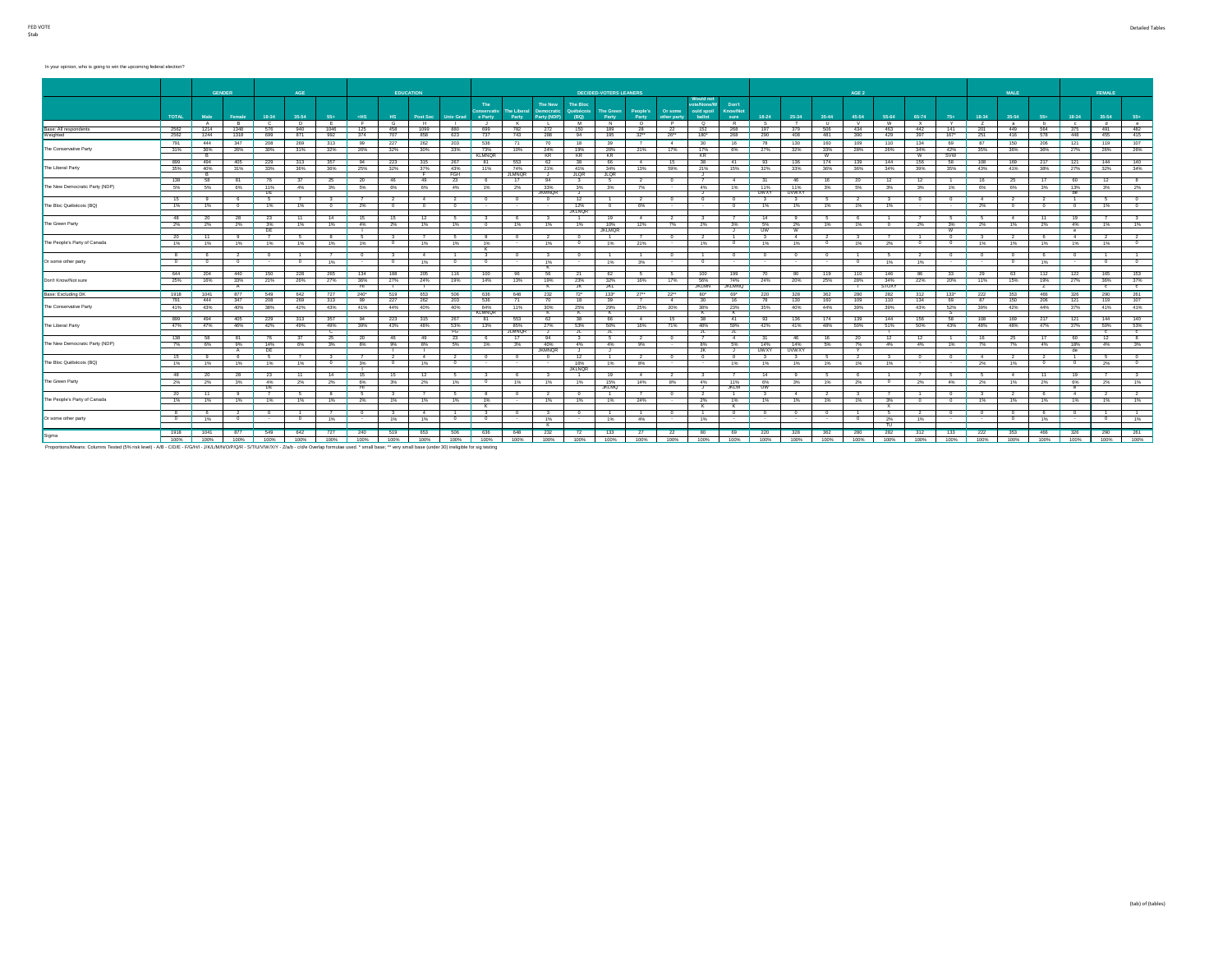#### In your opinion, who is going to win the upcoming federal election?

|                                   |                          |                | <b>GENDER</b>  |                      | AGE            |                        |               | <b>EDUCATION</b> |                 |                  |                                       |                      |                                      |                                             | <b>DECIDED-VOTERS LEANERS</b> |                          |                        |                                                        |                                  |                 |              |            | AGE 2          |              |                |                   |                | MALE           |                 |                  | FEMALE       |                     |
|-----------------------------------|--------------------------|----------------|----------------|----------------------|----------------|------------------------|---------------|------------------|-----------------|------------------|---------------------------------------|----------------------|--------------------------------------|---------------------------------------------|-------------------------------|--------------------------|------------------------|--------------------------------------------------------|----------------------------------|-----------------|--------------|------------|----------------|--------------|----------------|-------------------|----------------|----------------|-----------------|------------------|--------------|---------------------|
|                                   | <b>TOTAL</b>             | Male           | Female         | $18 - 34$            | 35-54          | 55+                    | $<$ HS        | H <sub>S</sub>   | <b>Post Sec</b> | <b>Univ Grad</b> | The:<br><b>Conservativ</b><br>e Party | The Liberal<br>Party | The New<br>Democratic<br>Party (NDP) | <b>The Bloc</b><br><b>luébécois</b><br>(BQ) | The Green<br>Party            | People's<br>Party        | Or some<br>other party | <b>Would not</b><br>ote/None/W<br>ould spoil<br>ballot | Don't<br><b>Know/Not</b><br>sure | $18 - 24$       | 25-34        | $35 - 44$  | 45-54          | 55-64        | 65-74          | $75+$             | 18-34          | 35-54          | 55+             | 18-34            | 35-54        | $55+$               |
|                                   |                          | $\overline{a}$ | $\overline{R}$ | $\overline{ }$       | $\overline{p}$ |                        |               |                  | $\overline{H}$  |                  |                                       | к.                   |                                      | M                                           | N                             | $\overline{\phantom{0}}$ | $\overline{P}$         | ີ                                                      | $\overline{R}$                   |                 |              |            | $\overline{v}$ | w            | $\overline{Y}$ | $\mathbf{v}$      |                | a              | h               |                  | $\mathbf{H}$ | $^{\circ}$          |
| Base: All respondents<br>Weighted | 2562<br>2562             | 1214<br>1244   | 1348<br>1318   | 576<br>699           | 940<br>871     | 1046<br>992            | 125<br>374    | 458<br>707       | 1099<br>858     | 880<br>623       | 699<br>737                            | 782<br>743           | 272<br>288                           | 150<br>94                                   | 189<br>195                    | 28<br>32                 | 22<br>26               | 152<br>180*                                            | 268<br>268                       | 197<br>290      | 379<br>408   | 506<br>481 | 434<br>390     | 463<br>429   | 442<br>397     | 141<br>$167*$     | 201<br>251     | 449<br>416     | 564<br>578      | 375<br>448       | 491<br>455   | 482<br>415          |
|                                   | 791                      | 444            | 347            | 208                  | 269            | 313                    | 99            | 227              | 262             | 203              | 536                                   | 71                   | 70                                   | 18                                          | 39                            | $\overline{7}$           | 4                      | 30                                                     | 16                               | 78              | 130          | 160        | 109            | 110          | 134            | 69                | 87             | 150            | 206             | 121              | 119          | 107                 |
| The Conservative Party            | 31%                      | 36%            | 26%            | 30%                  | 31%            | 32%                    | 26%           | 32%              | 30%             | 33%              | 73%<br><b>KLMNQR</b>                  | 10%                  | 24%<br>KR                            | 19%<br>KR                                   | 20%<br>KR                     | 21%                      | 17%                    | 17%<br>KR                                              | 6%                               | 27%             | 32%          | 33%<br>W   | 28%            | 26%          | 34%            | 42%<br><b>SVW</b> | 35%            | 36%            | 36%             | 27%              | 26%          | 26%                 |
|                                   | 899                      | 494            | 405            | 229                  | 313            | 357                    | 94            | 223              | 315             | 267              | 81                                    | 553                  | 62                                   | 38                                          | 66                            | $-4$                     | 15                     | $-38$                                                  | 41                               | 93              | 136          | 174        | 139            | 144          | 156            | 58                | 108            | 169            | 217             | 121              | 144          | 140                 |
| The Liberal Party                 | 35%                      | 40%<br>- R     | 31%            | 33%                  | 36%            | 36%                    | 25%           | 32%              | 37%             | 43%<br>FGH       | 11%                                   | 74%<br><b>JLMNOR</b> | 21%<br>J .                           | 41%<br><b>JLOR</b>                          | 34%<br><b>JLQR</b>            | 13%                      | 59%                    | 21%<br>ال ا                                            | 15%                              | 32%             | 33%          | 36%        | 36%            | 34%          | 39%            | 35%               | 43%            | 41%            | 38%             | 27%              | 32%          | 34%                 |
|                                   | 138                      | 58             | 81             | 76                   | 37             | 25                     | $-20$         | 46               | 49              | 23               |                                       | 17                   | 94                                   | $\mathbf{a}$                                | $5 -$                         | $2^{-}$                  | $^{\circ}$             |                                                        | $-4$                             | 31              | 46           | -16        | 20             | 12           | 12             |                   | 16             | 25             | 17              | 60               | 12           | -8                  |
| The New Democratic Party (NDP)    | 5%                       | 5%             | 6%             | 11%                  | 4%             | 3%                     | 5%            | 6%               | 6%              | 4%               | 1%                                    | 2%                   | 33%                                  | 3%                                          | 3%                            | 7%                       | $\sim$                 | 4%                                                     | 1%                               | 11%             | 11%          | 3%         | 5%             | 3%           | 3%             | 1%                | 6%             | 6%             | 3%              | 13%              | 3%           | 2%                  |
|                                   | 15                       |                |                | DE<br>$\overline{6}$ |                |                        |               |                  |                 |                  |                                       |                      | <b>JKMNOR</b><br>$\Omega$            | - 1<br>12                                   |                               | $\overline{2}$           |                        | J.                                                     |                                  | <b>UWXY</b>     | <b>UVWXY</b> |            |                |              |                | $\overline{0}$    | $\overline{4}$ |                |                 | de               |              |                     |
| The Bloc Québécois (BQ)           | 1%                       | 1%             | $^{\circ}$     | 1%                   | 1%             | $^{\circ}$             | 2%            |                  |                 | $^{\circ}$       |                                       |                      |                                      | 12%                                         | $^{\circ}$                    | 6%                       | $\sim$                 | $\sim$                                                 | $^{\circ}$                       | 1%              | 1%           | 1%         | 1%             | 1%           |                | $\sim$            | 2%             |                | $^{\circ}$      | $^{\circ}$       | 1%           |                     |
|                                   |                          |                |                |                      |                |                        |               |                  |                 |                  |                                       |                      |                                      | <b>JKLNQR</b>                               |                               |                          |                        |                                                        |                                  |                 |              |            |                |              |                |                   |                |                |                 |                  |              |                     |
| The Green Party                   | 48<br>$2\%$              | 2%             | 28<br>2%       | 23<br>3%             | 1%             | 14<br>1%               | 4%            |                  |                 | 1%               |                                       | 1%                   | 1%                                   | 1%                                          | 19<br>10%                     | $-4$<br>12%              | 7%                     | 2%                                                     | 3%                               | 14<br>5%        | 2%           | 1%         | 1%             | $^{\circ}$   | 2%             | 3%                | 2%             | 1%             | 11<br>2%        | 4%               | 1%           | 1%                  |
|                                   |                          |                |                | DE                   |                |                        | <b>T</b>      | 2%               | 1%              |                  |                                       |                      |                                      |                                             | <b>JKLMOR</b>                 |                          |                        |                                                        | - 3                              | UW              | w            |            |                |              |                | w                 |                |                |                 | $^{\circ}$       |              |                     |
|                                   | 20                       |                |                |                      |                |                        |               |                  |                 |                  |                                       |                      |                                      |                                             |                               |                          |                        |                                                        |                                  |                 |              |            |                |              |                |                   |                |                | -6              | $\mathbf{A}$     |              |                     |
| The People's Party of Canada      | 1%                       | 1%             | 1%             | 1%                   | 1%             | 1%                     | 1%            |                  | 1%              | 1%               | 1%<br>ĸ                               |                      | 1%                                   | $^{\circ}$                                  | 1%                            | 21%                      | $\sim$                 | 1%                                                     | $\circ$                          | 1%              | 1%           |            | 1%             | 2%           |                | $^{\circ}$        | 1%             | 1%             | 1%              | 1%               | 1%           | - 0                 |
|                                   | $8 \quad$                |                |                |                      |                |                        |               |                  |                 |                  |                                       |                      | $\mathbf{3}$                         | $^{\circ}$                                  |                               |                          |                        |                                                        |                                  |                 |              |            |                |              |                | $^{\circ}$        | $^{\circ}$     |                | 6               | $^{\circ}$       |              |                     |
| Or some other party               | $\overline{\phantom{a}}$ | $^{\circ}$     | $^{\circ}$     | $\sim$               | $^{\circ}$     | 1%                     | $\sim$        | $\mathbf{0}$     | 1%              | $^{\circ}$       | $^{\circ}$                            |                      | 1%<br>K                              | $\sim$                                      | 1%                            | 3%                       | - 1                    | $^{\circ}$                                             |                                  |                 |              |            | $\sim$         | 1%           | 1%             | $\sim$            | $\sim$         | $^{\circ}$     | 1%              | $\sim$           | $\sim$       | $^{\circ}$          |
|                                   |                          | 644 204        | 440            | 150                  | 228            | 265                    | 134           | 188              | 205             | 116              | 100                                   | 96                   | 56                                   | 21                                          | 62                            | $-5$                     | $-5$                   | 100                                                    | 199                              | 70              | 80           | 119        | 110            | 146          | 86             | 33                | 29             | 63             | 112             | 122              | 165          | 153                 |
| Don't Know/Not sure               | 25%                      | 16%            | 33%            | 21%                  | 26%            | 27%                    | 36%           | 27%              | 24%             | 19%              | 14%                                   | 13%                  | 19%                                  | 23%                                         | 32%                           | 16%                      | 17%                    | 56%                                                    | 74%                              | 24%             | 20%          | 25%        | 28%            | 34%          | 22%            | 20%               | 11%            | 15%            | 19%             | 27%              | 36%          | 37%                 |
|                                   |                          |                | A              |                      |                |                        | <b>HI</b>     |                  |                 |                  |                                       |                      | K                                    | JK.                                         | <b>JKL</b>                    |                          |                        | <b>JKLMN</b>                                           | <b>JKLMNQ</b>                    |                 |              |            |                | <b>STUXY</b> |                |                   |                |                | z               |                  | $\sim$       | c                   |
| Base: Excluding DK                | 1918                     | 1041           | 877            | 549                  | 642            | 727                    | $240^{\circ}$ | 519              | 653             | 506              | 636                                   | 648                  | 232                                  | 72 <sup>o</sup>                             | $133*$                        | 27                       | 22                     | $80^{\circ}$                                           | 69*                              | 220             | 328          | 362        | 280            | 282          | 312            | $133*$            | 222            | 353            | 466             | 326              | 290          | 261                 |
| The Conservative Party            | 791<br>41%               | 444<br>43%     | 347<br>40%     | 208<br>38%           | 269<br>42%     | 313<br>43%             | 99<br>41%     | 227<br>44%       | 262<br>40%      | 203<br>40%       | 536<br>84%                            | 71<br>11%            | 70<br>30%                            | 18<br>25%                                   | 39<br>29%                     | 25%                      | $\sim$<br>20%          | 30<br>38%                                              | 16<br>23%                        | 78<br>35%       | 130<br>40%   | 160<br>44% | 109<br>39%     | 110<br>39%   | 134<br>43%     | 69<br>52%         | 87<br>39%      | 150<br>42%     | 206<br>44%      | 121<br>37%       | 119<br>41%   | 107<br>41%          |
|                                   |                          |                |                |                      |                |                        |               |                  |                 |                  | <b>KLMNQR</b>                         |                      | ┳                                    |                                             | к                             |                          |                        | к                                                      | K                                |                 |              |            |                |              |                | s                 |                |                |                 |                  |              |                     |
|                                   | 899                      | 494            | 405            | 229                  | 313            | 357                    | 94            | 223              | 315             | 267              | $-81$                                 | 553                  | 62                                   | 38                                          | 66                            | 4                        | 15                     | 38                                                     | 41                               | 93              | 136          | 174        | 139            | 144          | 156            | 58                | 108            | 169            | 217             | 121              | 144          | 140                 |
| The Liberal Party                 |                          | 47% 47%        | 46%            | 42%                  | 49%            | 49%                    | 39%           | 43%              | 48%             | 53%              | 13%                                   | 85%                  | 27%                                  | 53%                                         | 50%                           | 16%                      | 71%                    | 48%                                                    | 59%                              | 42%             | 41%          | 48%        | 50%            | 51%          | 50%            | 43%               | 48%            | 48%            | 47%             | 37%              | 50%          | 53%                 |
|                                   |                          | 138 58         | 81             | 76                   | 37             | $\overline{c}$<br>- 25 | 20            | 46               | 49              | FG<br>23         | 6                                     | <b>JLMNOR</b><br>17  | J<br>94                              | JL 1<br>$3^{\circ}$                         | F<br><b>5</b>                 | $\overline{2}$           | $\sim$                 | −<br>$\overline{7}$                                    | ┄<br>4                           | 31              | -46          | 16         | - 20           | 12           | 12             | 1                 | 16             | - 25           | 17              | 60               | $\sim$<br>12 | $\overline{c}$<br>8 |
| The New Democratic Party (NDP)    | 7%                       | 6%             | 9%             | 14%                  | 6%             | 3%                     | 8%            | 9%               | 8%              | 5%               | 1%                                    | 3%                   | 40%                                  | 4%                                          | 4%                            | 9%                       | <b>Contract</b>        | 8%                                                     | 5%                               | 14%             | 14%          | 5%         | 7%             | 4%           | 4%             | 1%                | 7%             | 7%             | 4%              | 18%              | 4%           | 3%                  |
|                                   |                          |                | $\overline{A}$ | DE                   |                |                        |               |                  |                 |                  |                                       |                      | <b>JKMNOR</b>                        |                                             | . ل                           |                          |                        | JK                                                     |                                  | UWXY            | <b>UVWXY</b> |            |                |              |                |                   |                |                |                 | de               |              |                     |
|                                   | 15                       | $\mathbf{a}$   | 6              | - 5                  | $\overline{7}$ | $\mathbf{3}$           |               | $\overline{2}$   | $\sim$ 4        | $\overline{2}$   | $^{\circ}$                            | $^{\circ}$           | $^{\circ}$                           | 12                                          | $\overline{1}$                | $\sim$ 2                 | $\sim$                 | $^{\circ}$                                             | $\Omega$                         | $\mathbf{a}$    | $\mathbf{a}$ | - 6.       | $\sim$         | $\mathbf{a}$ | $\sim$         | $\circ$           | $\sim$         | $\overline{2}$ | $\overline{2}$  | $\overline{1}$   | -6.          | $\sim$              |
| The Bloc Québécois (BQ)           | 1%                       | 1%             | 1%             | 1%                   | 1%             | $\circ$                | 3%            | $\bullet$        | 1%              | $^{\circ}$       | $\sim$                                | $\sim$               | $\sim$                               | 16%<br><b>JKLNOR</b>                        | 1%                            | 8%                       | $\sim$                 | $\sim$                                                 | 1%                               | 1%              | 1%           | 1%         | 1%             | 1%           | $\sim$         | $\sim$            | 2%             | 1%             | $\circ$         | $\circ$          | 2%           | $\sim$              |
|                                   | 48                       | 20             | 28             | 23                   | 11             | 14                     | 15            | 15               | 12              |                  |                                       | -6                   | $\mathbf{3}$                         |                                             | 19                            | 4                        | 2                      | -3                                                     |                                  | 14              |              |            |                |              |                | 5.                | -6.            | 4              | $\overline{11}$ | 19               |              | 3                   |
| The Green Party                   | 2%                       | 2%             | 3%             | 4%<br>DE             | 2%             | 2%                     | 6%<br>Ŧ       | 3%               | 2%              | 1%               | $\circ$                               | 1%                   | 1%                                   | 1%                                          | 15%<br><b>JKLMO</b>           | 14%                      | 8%                     | 4%<br>J.                                               | 11%<br><b>JKLM</b>               | 6%<br><b>UW</b> | 3%           | 1%         | 2%             | $\circ$      | 2%             | 4%                | 2%             | 1%             | 2%              | 6%<br>$^{\circ}$ | 2%           | 1%                  |
|                                   | 20                       | 11             |                |                      |                |                        | -6            |                  |                 |                  |                                       | $\Omega$             |                                      |                                             |                               |                          | $^{\circ}$             |                                                        |                                  |                 |              |            |                |              |                | $\Omega$          |                | $\overline{2}$ | -6              | $\mathbf{A}$     |              |                     |
| The People's Party of Canada      | 1%                       | 1%             | 1%             | 1%                   | 1%             | 1%                     | 2%            | 1%               | 1%              | 1%               | 1%<br>к                               |                      | 1%                                   | 1%                                          | 1%                            | 24%                      | $\sim$                 | 2%<br>ҡ                                                | 1%<br>к                          | 1%              | 1%           | 1%         | 1%             | 3%<br>x      | $^{\circ}$     | $\circ$           | 1%             | 1%             | 1%              | 1%               | 1%           | 1%                  |
|                                   | 8                        |                |                |                      |                |                        |               |                  |                 |                  |                                       |                      |                                      |                                             |                               |                          |                        |                                                        | $^{\circ}$                       |                 |              |            |                | -6           |                |                   | $^{\circ}$     |                |                 |                  |              |                     |
| Or some other party               | $\overline{0}$           | 1%             | $^{\circ}$     | $\sim$               | $^{\circ}$     | 1%                     | $\sim$        | 1%               | 1%              | $\Omega$         |                                       |                      | 1%                                   | $\sim$                                      | 1%                            | 4%                       | $\sim$ $\sim$          | 1%                                                     |                                  |                 |              |            | $^{\circ}$     | 2%           | 1%             | $\sim$            | $\sim$         | $^{\circ}$     | 1%              |                  |              | 1%                  |
|                                   | 1918                     | 1041           | 877            | 549                  | 642            | 727                    | 240           | 519              | 653             | 506              | 636                                   | 648                  | к.<br>232                            | 72                                          | 133                           | 27                       | $\overline{22}$        | 80                                                     | 69                               | 220             | 328          | 362        | 280            | π<br>282     | 312            | 133               | 222            | 353            | 466             | 326              | 290          | 261                 |
| Sigma                             |                          | 100% 100%      | 100%           | 100%                 | 100%           | 100%                   | 100%          | 100%             | 100%            | 100%             | 100%                                  | 100%                 | 100%                                 | 100%                                        | 100%                          | 100%                     | 100%                   | 100%                                                   | 100%                             | 100%            | 100%         | 100%       | 100%           | 100%         | 100%           | 100%              | 100%           | 100%           | 100%            | 100%             | 100%         | 100%                |
|                                   |                          |                |                |                      |                |                        |               |                  |                 |                  |                                       |                      |                                      |                                             |                               |                          |                        |                                                        |                                  |                 |              |            |                |              |                |                   |                |                |                 |                  |              |                     |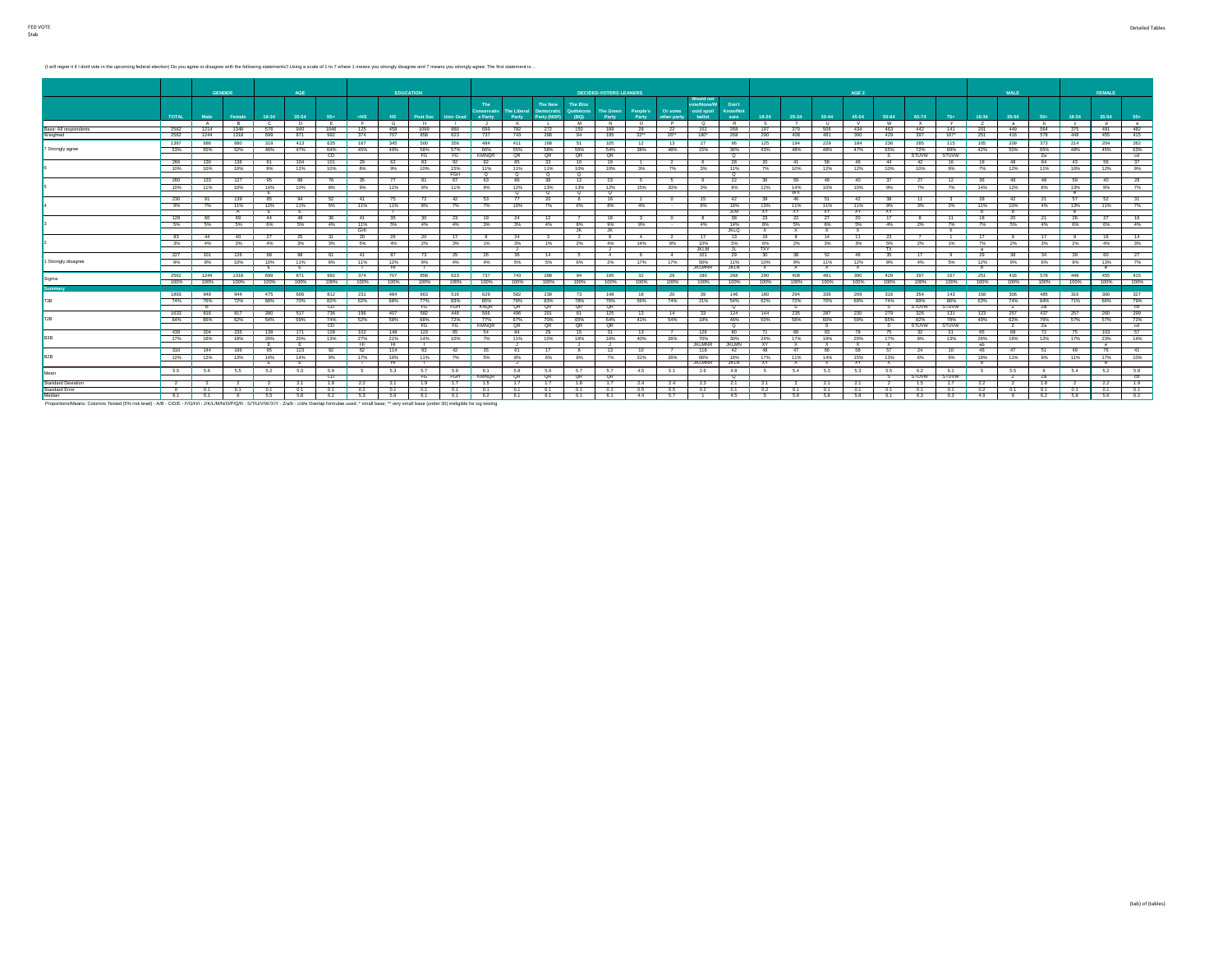(I will regret it if I dont vote in the upcoming federal election) Do you agree or disagree with the following statements? LIsing a scale of 1 to 7 where 1 means you strongly disagree and 7 means you strongly agree. The fi

|                           |              | <b>GENDER</b> |           |                  | AGE             |            |                                 |              | <b>EDUCATION</b> |                   |                     |                             |                                      |                                      | <b>DECIDED-VOTERS LEANERS</b> |                   |                        |                                                 |                                  |                        |                     |                     | AGE 2               |                     |              |                     |                 | <b>MALE</b> |            |                       | <b>FEMALE</b>     |             |
|---------------------------|--------------|---------------|-----------|------------------|-----------------|------------|---------------------------------|--------------|------------------|-------------------|---------------------|-----------------------------|--------------------------------------|--------------------------------------|-------------------------------|-------------------|------------------------|-------------------------------------------------|----------------------------------|------------------------|---------------------|---------------------|---------------------|---------------------|--------------|---------------------|-----------------|-------------|------------|-----------------------|-------------------|-------------|
|                           | <b>TOTAL</b> | Male          | Female    | 18-34            | 35-54           | 55+        | <b>RHS</b>                      | HS.          | Post Sec         | Univ Grad e Party | The                 | <b>The Liberal</b><br>Party | The New<br>Democratic<br>Party (NDP) | <b>The Bloc</b><br>Québécois<br>(BQ) | <b>The Green</b><br>Party     | People's<br>Party | Or some<br>other party | Would not<br>ote/None/W<br>ould spoil<br>ballot | Don't<br><b>Know/Not</b><br>sure | 18-24                  | 25-34               | 35-44               | 45-54               | 55-64               | 65-74        | $75+$               | 18-34           | 35-54       | 55+        | 18-34                 | 35-54             | $55+$       |
|                           |              | A             | R         | - 0              | D.              | <b>F</b>   | - F -                           | $\mathbf{G}$ | <b>H</b>         |                   |                     | к.                          |                                      | M                                    | N                             | $\circ$           | P                      | $\circ$                                         | R                                |                        |                     | <b>U</b>            |                     | <b>W</b>            | $\mathbf{x}$ |                     |                 | a           | b          | $^{c}$                | . d. .            | $^{\circ}$  |
| Base: All respondents     | 2562         | 1214          | 1348      | 576              | 940             | 1046       | 125                             | 458          | 1099             | 880               | 699                 | 782                         | 272                                  | 150                                  | 189                           | 28                | 22                     | 152                                             | 268                              | 197                    | 379                 | 506                 | 434                 | 463                 | 442          | 141                 | 201             | 449         | 564        | 375                   | 491               | 482         |
| Weighted                  | 2562 1244    |               | 1318 699  |                  | 871             | 992        | 374                             | 707          | 858              | 623               | 737                 | 743                         | 288                                  | 94                                   | 195                           | 32                | 26                     | 180*                                            | 268                              | 290                    | 408                 | 481                 | 390                 | 429                 | 397          | $167^*$             | 251             | 416         | 578        | 448                   | 455               | 415         |
|                           | 1367         | 686           | 680       | 319              | 413             | 635        | 167                             | 345          | 500              | 356               | 484                 | 411                         | 168                                  | 51                                   | 105                           | 12                | 13                     | 27                                              | 96                               | 125                    | 194                 | 229                 | 184                 | 236                 | 285          | 115                 | 105             | 209         | 373        | 214                   | 204               | 262         |
| 7 Strongly agree          | 53%          | 55%           | 52%       | 46%              | 47%             | 64%<br>CD. | 45%                             | 49%          | 58%<br>FG        | 57%<br>FG         | 66%<br><b>KMNOR</b> | 55%<br>QR                   | 58%<br>QR                            | 55%<br>QR                            | 54%<br>QR                     | 38%               | 48%                    | 15%                                             | 36%<br>$\alpha$                  | 43%                    | 48%                 | 48%                 | 47%                 | 55%<br>s.           | 72%<br>STUVW | 69%<br><b>STUVW</b> | 42%             | 50%         | 65%<br>Za  | 48%                   | 45%               | 63%<br>- cd |
|                           | 266          | 130           | 136       | 61               | 104             | 101        | 29                              | $-62$        | 83               | 92                | 82                  | 85                          | 33                                   | 10                                   | 19                            | $\sim$            | $2 -$                  | - 6                                             | 28                               | - 20                   | $-41$               | 58                  | 46                  | 44                  | 42           | 16                  | 18              | 48          | 64         | $-43$                 | 56                | 37          |
|                           | 10%          | 10%           | 10%       | 9%               | 12%             | 10%        | 8%                              | 9%           | 10%              | 15%<br>FGH        | 11%<br>$^{\circ}$   | 11%<br>$^{\circ}$           | 11%<br>୍                             | 10%<br>$^{\circ}$                    | 10%                           | 3%                | 7%                     | 3%                                              | 11%<br>०                         | 7%                     | 10%                 | 12%                 | 12%                 | 10%                 | 10%          | 9%                  | $7\%$           | 12%         | 11%        | 10%                   | 12%               | 9%          |
|                           | 260          | 133           | 127       | 95               | 89              | 76         | -35                             | - 77         | -81              | 67                | 63                  |                             | 38                                   | 12                                   | 23                            | - 5               |                        |                                                 | 22                               |                        | - 59                | 49                  |                     |                     | 27           | 12                  | 36              | 49          | 48         | - 59                  | 40                | 28          |
|                           | 10%          | 11%           | 10%       | 14%              | 10%             | 8%         | 9%                              | 11%          | 9%               | 11%               | 9%                  | 12%                         | 13%                                  | 13%                                  | 12%                           | 15%               | 20%                    | 3%                                              | 8%                               | 12%                    | 14%                 | 10%                 | 10%                 | 9%                  | 7%           | 7%                  | 14%             | 12%         | 8%         | 13%                   | 9%                | 7%          |
|                           |              |               |           |                  |                 |            |                                 |              |                  |                   |                     | $^{\circ}$                  | $^{\circ}$                           | $^{\circ}$                           | $^{\circ}$                    |                   |                        |                                                 |                                  |                        | <b>WX</b>           |                     |                     |                     |              |                     |                 |             |            | $^{\circ}$            |                   |             |
|                           | 230          |               | 139       | 85               | 94              | 52         | $-41$                           | - 75         | 72               | 42                | 53                  |                             | 20                                   |                                      | 16                            |                   |                        | 15                                              | 42                               |                        | 46                  |                     |                     |                     |              |                     | -28             | 42          | -21        | -67                   | 52                |             |
|                           | 9%           | 7%            | 11%<br>A  | 12%              | 11%             | 5%         | 11%                             | 11%          | 8%               | 7%                | 7%                  | 10%                         | 7%                                   | 6%                                   | 8%                            | 4%                | $\sim$                 | 8%                                              | 16%<br>JLM .                     | 13%<br><b>XY</b>       | 11%<br><b>XY</b>    | 11%<br>XY.          | 11%<br>XY.          | 9%<br>XY.           | 3%           | 2%                  | 11%<br>ъ        | 10%<br>ъ.   | 4%         | 13%<br>$\overline{e}$ | 11%               | 7%          |
|                           | 129          | 60            | 69        | $-44$            | 48              | 36         | $-41$                           | 35           | 30               | 23                | - 19                | - 24                        | 12                                   |                                      | 18                            | 3                 | $\overline{0}$         | $-8$                                            | 38                               | 23                     | 22                  | $-27$               | 20                  | 17                  | -8           | 11                  | 18              | 20          | 21         | 26                    | 27                | 16          |
|                           | 5%           | 5%            | 5%        | 6%               | 5%              | 4%         | 11%<br>- GHI                    | 6%           | 4%               | 4%                | 3%                  | 3%                          | 4%                                   | 8%                                   | 9%<br>- JK                    | 9%                | $\sim$                 | 4%                                              | 14%<br><b>JKLQ</b>               | 8%<br>$\mathbf{x}$     | 5%<br>$\mathbf{x}$  | 6%<br>x             | 5%                  | 4%                  | 2%           | 7%<br>$\mathbf{x}$  | 7%              | 5%          | 4%         | 6%                    | 6%                | 4%          |
|                           | 83           | $-44$         | 40 27     |                  | -25             | 31         | $-20$                           | 26           | - 20             | $17$ 9            |                     | 24                          | $_{3}$                               | JK .<br>$\sim$ 2                     | 8                             | $-4$              | $\sim$ 2               | 17                                              | 13                               | 19                     | - 8                 | 14                  | -11                 | 23                  |              | $\sim$              | 17              | - 9         | 17         | - 9                   | 16                | 14          |
|                           | 3%           | 4%            |           | 3% 4%            | 3%              | 3% I       | 5%                              | 4%           | 2%               |                   | 3% 1%               | 3%                          | 1%                                   | 2%                                   | 4%                            | 14%               | 9%                     | 10%                                             | 5%                               | 6%                     | 2%                  | 3%                  | 3%                  | 5%                  | 2%           | 1%                  | 7%              | 2%          |            | 3% 2%                 | 4%                | 3%          |
|                           |              |               |           |                  |                 |            |                                 |              |                  |                   |                     |                             |                                      |                                      | J                             |                   |                        | <b>JKLM</b>                                     | ा                                | <b>TXY</b>             |                     |                     |                     | TX.                 |              |                     | a               |             |            |                       |                   |             |
|                           | 227          | 101           | 126       | 68               | 98              | $-61$      | $-41$                           | 87           | -73              |                   | 25 26               | 36                          | $-14$                                | - 5                                  | $-4$                          | $-6$              | $-4$                   | 101                                             | 29                               | 30                     | 38                  | <b>62</b>           | 46                  | 35                  | 17           | $-9$                | 29              | 38          | 34         | 39                    | 60                | 27          |
| 1 Strongly disagree       | 9%           | 8%            |           | 10% 10%<br>- E - | 11%<br>−        | 6%         | 11%<br>$\overline{\phantom{a}}$ | 12%<br>−     | 9%<br>- 11       |                   | 4% 4%               | 5%                          | 5%                                   | 6%                                   | 2%                            | 17%               | 17%                    | 56%<br><b>JKLMNR</b>                            | 11%<br><b>JKLN</b>               | 10%<br>$\mathbf{x}$    | 9%<br>$\mathbf{x}$  | 11%<br>$\mathbf{x}$ | 12%<br>$\mathbf{x}$ | 8%                  | 4%           | 5%                  | 12%<br><b>b</b> | 9%          | 6%         | 9%                    | 13%<br>$^{\circ}$ | 7%          |
| Sigma                     | 2562         | 1244          | 1318 699  |                  | 871             | 992        | 374                             | 707          | 858              |                   | 623 737             | 743                         | 288                                  | 94                                   | 195                           | 32                | 26                     | 180                                             | 268                              | 290                    | 408                 | 481                 | 390                 | 429                 | 397          | 167                 | 251             | 416         | 578        | 448                   | 455               | 415         |
|                           | 100%         | 100%          |           | 100%   100%      | 100%            |            | 100% 100%                       | 100%         | 100%             |                   | 100% 100%           | 100%                        | 100%                                 | 100%                                 | 100%                          | 100%              | 100%                   | 100%                                            |                                  | 100% 100%              | 100%                | 100%                | 100%                | 100%                | 100%         | 100%                | 100%            | 100%        |            | 100% 100%             | 100%              | 100%        |
| Summary                   |              |               |           |                  |                 |            |                                 |              |                  |                   |                     |                             |                                      |                                      |                               |                   |                        |                                                 |                                  |                        |                     |                     |                     |                     |              |                     |                 |             |            |                       |                   |             |
|                           | 1893<br>74%  | 949           | 944       | 475<br>72% 68%   | 606<br>70%      | 812        | 231<br>62%                      | 484          | 663              | 516<br>83%        | 629<br>85%          | 582<br>78%                  | 239                                  | 73<br>78%                            | 148                           | 18<br>56%         | $-20$                  | 39<br>21%                                       | 146<br>54%                       | 180<br>62%             | 294                 | 336                 | 269<br>69%          | 316<br>74%          | 354<br>89%   | 143<br>86%          | 158<br>63%      | 306<br>74%  | 485<br>84% | 316                   | 300               | 327         |
|                           |              | 76%           |           |                  |                 | 82%<br>CD  |                                 | 68%          | 77%<br>FG        |                   | FGH   KNQR          | QR                          | 83%<br>QR                            | QR                                   | 76%<br>QR                     |                   | 74%                    |                                                 | $\sim$                           |                        | 72%                 | 70%                 |                     |                     | <b>STUVW</b> | <b>STUVW</b>        |                 | z           | Za         | 71%                   | 66%               | 79%<br>cd   |
|                           | 1633         | 816           | 817   380 |                  | 517             | 736        | 196                             | 407          | 582              | 448               | 566                 | 496                         | 201                                  | 61                                   | 125                           | 13                | 14                     | - 33                                            | 124                              | 144                    | 235                 | 287                 | - 230               | 279                 | 326          | 131                 | 123             | 257         | 437        | 257                   | 260               | 299         |
|                           | 64%          | 66%           |           | 62% 54%          | 59%             | 74%        | 52%                             | 58%          | 68%              | 72%               | 77%                 | 67%                         | 70%                                  | 65%                                  | 64%                           | 41%               | 54%                    | 18%                                             | 46%                              | 50%                    | 58%                 | 60%                 | 59%                 | 65%                 | 82%          | 78%                 | 49%             | 62%         | 76%        | 57%                   | 57%               | 72%         |
|                           |              |               |           |                  |                 | CD         |                                 |              | FG               |                   | FG KMNQR            | QR                          | QR                                   | QR                                   | QR                            |                   |                        |                                                 | $\circ$                          |                        |                     |                     |                     | $\mathsf{s}$        | <b>STUVW</b> | <b>STUVW</b>        |                 | z           | Za         |                       |                   | cd          |
|                           | 439 204      |               | 235 139   |                  | 171             | 128        | 102                             | 148          | 123              | 65                | <b>54</b>           | 84                          | - 29                                 | 15                                   | 31                            | 13                | $\overline{7}$         | 126                                             | 80                               | 71                     | 68                  | 93                  | - 78                | 76                  | 32           | 21                  | 65              | 68          | 72         | 75                    | 103               | - 57        |
|                           | 17%          | 16%           | 18%       | 20%              | 20%<br><b>E</b> | 13%        | 27%<br><b>HI</b>                | 21%<br>H     | 14%              |                   | 10% 7%              | 11%                         | 10%                                  | 16%<br>. ل                           | 16%<br><b>J</b>               | 40%               | 26%                    | 70%<br><b>JKLMNR</b>                            | $30\%$<br><b>JKLMN</b>           | 24%<br>XY <sub>1</sub> | 17%<br>$\mathbf{x}$ | 19%<br>X.           | 20%<br>$\mathbf{x}$ | 17%<br>$\mathbf{x}$ | 8%           | 13%                 | 26%<br>ab       | 16%         | 12%        | 17%                   | 23%<br>$^{\circ}$ | 14%         |
|                           | 310   144    |               | 166       | 95               | 123             | 92         | 62                              | 114          | 93               |                   | 42   35             | 61                          | 17                                   | 8                                    | 13                            | 10                | 7                      | 118                                             | 42                               | 48                     | 47                  | 66                  | 58                  | - 57                | 24           | 10                  | 46              | 47          | 51   49    |                       | 76                | 41          |
|                           |              | 12% 12%       |           | 13% 14%          | 14%             | 9%         | 17%                             | 16%          | 11%              |                   | 7% 5%               | 8%                          | 6%                                   | 8%                                   | 7%                            | 31%               | 26%                    | 66%                                             | 16%                              | 17%                    | 11%                 | 14%                 | 15%                 | 13%                 | 6%           | 6%                  | 18%             | 11%         | 9%         | 11%                   | 17%               | 10%         |
|                           |              |               |           |                  | - F -           |            |                                 | <b>HI</b>    |                  |                   |                     |                             |                                      |                                      |                               |                   |                        | <b>JKLMNR</b>                                   | <b>JKLN</b>                      | <b>XY</b>              | $\mathbf{x}$        | X                   | XY                  | $\mathbf{x}$        |              |                     | ъ.              |             |            |                       | $^{\circ}$        |             |
| <i>l</i> lean             | 6.5          | 5.6           | 5.5       | 5.2              | 5.3             | 5.9<br>CD. |                                 | 5.3          | 5.7<br>FG        | 5.9<br>FGH        | 6.1<br>KMNOR        | 5.8<br>QR                   | 5.9<br>QR                            | 5.7<br>QR                            | 5.7<br>QR                     | 4.5               | 6.1                    | 2.6                                             | 4.8<br>$\circ$                   |                        | 5.4                 | 5.3                 | 5.3                 | 5.5                 | 6.2<br>STUVW | 6.1<br><b>STUVW</b> | -6              | 5.5         | -6<br>Za   | 6.4                   | 5.2               | 5.8<br>cd   |
| <b>Standard Deviation</b> |              |               |           |                  | 2.1             | 1.8        | 2.2                             | 2.1          | 1.9              | 1.7               | 1.5                 | 1.7                         | 1.7                                  | 1.8                                  | $-1.7$                        | 2.4               | 2.4                    | 2.3                                             | 2.1                              | 2.1                    |                     | 2.1                 | 2.1                 |                     |              | 1.7                 | 2.2             |             | 1.8        |                       | 2.2               | 1.9         |
| Standard Error            |              | 01            | 0.1       | 0.1              | 0.1             | 0.1        | 0.2                             | 0.1          | 0.1              | 0.1               | 0.1                 | 0.1                         | 0.1                                  | 0.1                                  | 0.1                           | 0.5               | 0.5                    | 0.2                                             | 0.1                              | 0.2                    | 0.1                 | 0.1                 | 0.1                 | 0.1                 | 0.1          | 0.1                 | 0.2             | 0.1         | 0.1        | 0.1                   | 0.1               | 0.1         |
| Median                    | 6.1          | 6.1           |           | 5.5              | 5.8             | 6.2        | 5.3                             | 5.9          | 6.1              | 6.1               | 6.2                 | 6.1                         | 6.1                                  | 6.1                                  | 6.1                           | 4.4               | 6.7                    |                                                 | $-4.5$                           |                        | 5.8                 | 5.8                 | 5.8                 | 6.1                 | 6.3          | 6.3                 | 4.9             |             | 6.2        | 5.8                   | 5.6               | 6.2         |
|                           |              |               |           |                  |                 |            |                                 |              |                  |                   |                     |                             |                                      |                                      |                               |                   |                        |                                                 |                                  |                        |                     |                     |                     |                     |              |                     |                 |             |            |                       |                   |             |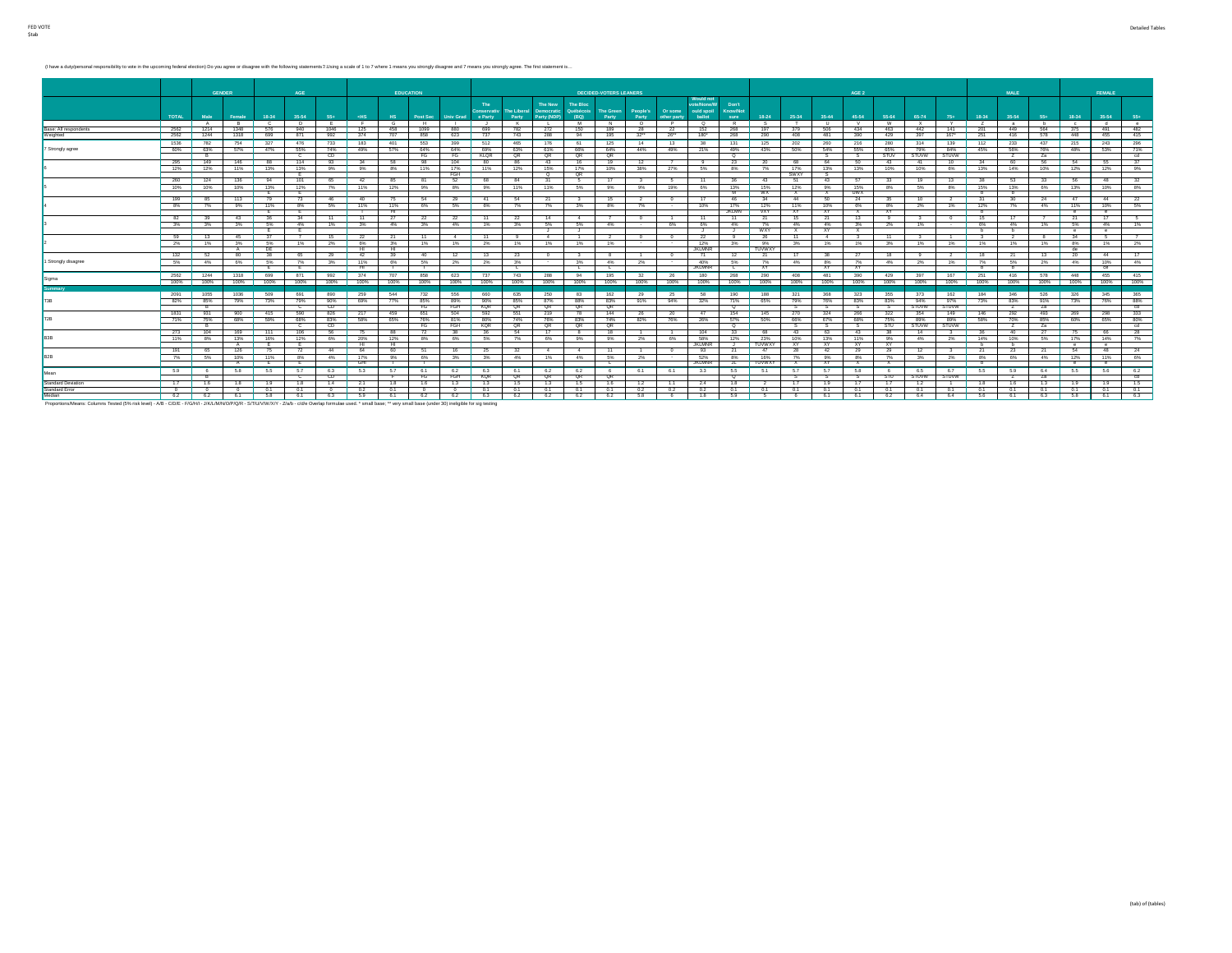(I have a duty/personal responsibility to vote in the upcoming federal election) Do you agree or disagree with the following statements 2. Using a scale of 1 to 7 where 1 means you strongly disagree and 7 means you strongl

| AGE<br><b>EDUCATION</b><br>AGE <sub>2</sub><br><b>GENDER</b><br><b>DECIDED-VOTERS LEANERS</b><br><b>MALE</b><br>FEMALE<br><b>Would not</b><br>ote/None/W<br>The<br>Don't<br>The New<br><b>The Bloc</b><br>People's<br>Or some<br>ould spoil<br><b>Know/Not</b><br>The Liberal<br><b>Democratic</b><br>Québécois<br><b>The Green</b><br>Conservativ<br><b>TOTAL</b><br>35-54<br>18-34<br>18-34<br>35-54<br>55+<br>ballot<br>18-24<br>25-34<br>35-44<br>45-54<br>55-64<br>65-74<br>18-34<br>55+<br>35-54<br>Male<br>Female<br>$-HS$<br>H <sub>S</sub><br>Post Sec<br><b>Univ Grad</b><br>e Party<br>Party<br>Party (NDP)<br>(BQ)<br>Party<br>Party<br>other party<br>sure<br>$75+$<br>Ŧ<br><b>M</b><br>$\overline{0}$<br>P<br>w<br>Y<br>A<br>R<br><b>C</b><br>$\Box$<br>. F.<br>$\sim$<br>$\kappa$<br>N<br>$\circ$<br>R<br>$\sim$<br>$-$ T<br>$\mathbf{H}$<br>V<br>$\times$<br>$\overline{z}$<br>$-8$<br>h<br>$\sim$ $\sim$<br>h<br>$=$<br>$\sim$<br><b>Contract Contract</b><br>482<br>2562<br>1348<br>189<br>940<br>1099<br>150<br>463<br>449<br>564<br>1214<br>576<br>1046<br>125<br>458<br>880<br>699<br>28<br>152<br>268<br>197<br>442<br>141<br>375<br>491<br>Base: All respondents<br>782<br>272<br>- 22<br>- 379<br>506<br>434<br>-201<br>2562<br>195<br>$26 -$<br>167"<br>415<br>1244<br>1318<br>871<br>992<br>707<br>858<br>743<br>32<br>180*<br>268<br>290<br>408<br>251<br>416<br>578<br>448<br>455<br>Weighted<br>699<br>374<br>623<br>737<br>288<br>94<br>481<br>429<br>397<br>390<br>125<br>296<br>1536<br>754<br>327<br>476<br>733<br>183<br>512<br>465<br>176<br>131<br>125<br>$-202$<br>216<br>280<br>314<br>112<br>233<br>437<br>215<br>782<br>401<br>553<br>399<br>61<br>14<br>13<br>38<br>260<br>139<br>243<br>7 Strongly agree<br>60% 63%<br>57%<br>47%<br>55%<br>74%<br>63%<br>64%<br>21%<br>50%<br>55%<br>65%<br>84%<br>45%<br>56%<br>76%<br>49%<br>57%<br>64%<br>69%<br>61%<br>66%<br>44%<br>49%<br>43%<br>54%<br>79%<br>48%<br>53%<br>64%<br>49%<br>- QR<br>STUVW <sup>-</sup><br>CD.<br>cd<br>$^{\circ}$<br><b>STUV</b><br>STUVW<br>FG<br>FG<br>KLOR<br>QR<br>QR<br>ം<br>Za<br>$^{\circ}$<br>-S<br><b>z</b><br>- R<br>-8<br>295<br>149<br>146<br>114<br>93<br>34<br>- 58<br>104<br>16<br>19<br>12<br>$-43$<br>10<br>56<br><b>54</b><br>37<br>88<br>98<br>80<br>86<br>43<br>23<br>20<br>68<br>64<br>50<br>34<br>60<br>- 55<br>$\overline{7}$<br>- 9<br>- 41<br>13%<br>15%<br>17%<br>10%<br>8% 7%<br>17%<br>12% 12%<br>11%<br>13%<br>9%   9%<br>8%<br>11%<br>17% 11%<br>12%<br>38%<br>27%<br>5%<br>13%<br>13%<br>10%<br>10%<br>6%<br>13%<br>14%<br>10%<br>12%<br>12%<br>9%<br>FGH<br>QR<br>SWXY<br>$^{\circ}$<br>Έ.<br>136<br>94<br>101<br>52<br>17<br><b>63</b><br>260<br>124<br>65<br>$-11$<br><b>51</b><br>13<br>38<br>33<br>- 56<br>42<br>85<br>68<br>84<br>31<br>36<br>43<br>43<br>33<br>19<br>48<br>81<br>5<br>- 3<br>- 6<br>10%<br>13%<br>12%<br>7%<br>11%<br>12%<br>11%<br>11%<br>5%<br>19%<br>13%<br>15%<br>12%<br>15%<br>8%<br>5%<br>8%<br>15%<br>13%<br>6%<br>13%<br>10%<br>10%<br>10%<br>9%<br>8%<br>9%<br>9%<br>9%<br>6%<br>9%<br><b>WX</b><br><b>UWX</b><br>- E -<br>- E -<br>- M -<br>$\mathbf{x}$<br>$\mathbf{x}$<br><b>b</b><br>b<br>199<br>113<br>$-44$<br>24<br>79<br>73<br>46<br>40<br>15<br>17<br>46<br>31<br>$-47$<br>44<br>85<br>- 76<br>-54<br>-29<br>41<br>54<br>-21<br>2<br>-34<br>50<br>-24<br>35<br>10<br>-30<br>$\mathbf{3}$<br>$^{\circ}$<br>-2<br>17%<br>8%<br>11%<br>5%<br>11%<br>11%<br>5%<br>10%<br>8%<br>12%<br>4%<br>11%<br>10%<br>7%<br>9%<br>8%<br>6%<br>6%<br>$7\%$<br>7%<br>3%<br>8%<br>7%<br>12%<br>11%<br>10%<br>6%<br>2%<br>1%<br>7%<br>$\sim$<br><b>JKLMN</b><br><b>VXY</b><br><b>XY</b><br>XY.<br><b>E</b><br>- HI -<br><b>XY</b><br>$\mathbf{x}$<br>- E -<br><b>b</b><br>$^{\circ}$<br>$^{\circ}$<br>34<br>15<br>17<br>17<br>82<br>43<br>36<br>$-11$<br>$-11$<br>27<br>$-11$<br>15<br>$-21$<br>22<br>$\overline{0}$<br>11<br>21<br>13<br>39<br>- 22<br>- 11<br>-22<br>-14<br>4<br>$\overline{1}$<br>- 21<br>9<br>3%<br>3%<br>5%<br>4%<br>1%<br>3%<br>3%<br>5%<br>5%<br>4%<br>6%<br>6%<br>2%<br>1%<br>6%<br>4%<br>1%<br>6%<br>3%<br>4%<br>3%<br>4%<br>1%<br>4%<br>7%<br>4%<br>4%<br>3%<br>4%<br>$\sim$<br><b>WXY</b><br>- E -<br>- E -<br>- 3<br>$\mathbf{x}$<br><b>XY</b><br>X<br><b>b</b><br>b<br>$^{\circ}$<br>J .<br>- 3<br>- 3<br>$^{\circ}$<br>59<br>45<br>15<br>34<br>13<br>- 22<br>- 21<br>- 11<br>$-4$<br>$\circ$<br>- 22<br>- 9<br>-26<br>- 11<br>11<br>-8<br>-11<br>$\sim$ 4<br>$\mathbf{0}$<br>-3<br>- 2<br>- 5<br>1%<br>12%<br>$2\%$<br>1%<br>3%<br>5%<br>2%<br>6%<br>1%<br>2%<br>1%<br>1%<br>1%<br>3%<br>9%<br>1%<br>3%<br>1%<br>1%<br>1%<br>1%<br>8%<br>2%<br>1%<br>3%<br>1%<br>$\sim$<br>$\sim$<br>3%<br>1%<br>1%<br>1%<br><b>JKLMNR</b><br>TUWWXY<br>DE<br>−н<br>−н<br>de<br>$\overline{A}$<br>$-71$<br>132<br>80<br>38<br>18<br>65<br>29<br>$-42$<br>39<br>12<br>$-21$<br>13<br>20<br>44<br>52<br>-40<br>12<br>- 13<br>-23<br>8<br>$\overline{1}$<br>$^{\circ}$<br>21<br>- 17<br>38<br>18<br>$^{\circ}$<br>$3^{\circ}$<br>$\mathbf{a}$<br>$\sim$<br>1 Strongly disagree<br>5%<br>3%<br>11%<br>3%<br>3%<br>40%<br>5%<br>7%<br>1%<br>7%<br>2%<br>5% 4%<br>6%<br>7%<br>6%<br>5%<br>2%<br>2%<br>4%<br>2%<br>8%<br>7%<br>4%<br>2%<br>5%<br>4%<br>10%<br>$\sim$<br>4%<br>$\sim$<br><b>JKLMNR</b><br>- E<br>−<br>ਸ਼ਾ<br>┳<br><b>XY</b><br><b>XY</b><br>XY.<br>-<br>- 10<br>ce<br>- 11<br>. L<br>. L .<br>. L<br>743<br>195<br>290<br>167<br>455<br>2562 1244<br>1318<br>699<br>871<br>992<br>374<br>707<br>858<br>737<br>288<br>$-94$<br>32<br>26<br>180<br>268<br>390<br>397<br>251<br>416<br>578<br>623<br>408<br>481<br>429<br>448<br>Sigma<br>100%<br>100%<br>100%<br>100%<br>100% 100%<br>100%<br>100%<br>100%<br>100%<br>100%<br>100%<br>100%<br>100%<br>100%<br>100%<br>100%<br>100%<br>100%<br>100%<br>100%<br>100%<br>100%<br>100%<br>100%<br>100%<br>100%<br>100%<br>100%<br>100%<br>100%<br>Summary<br>509<br>691<br>544<br>250<br>162<br>321<br>373<br>346<br>526<br>326<br>345<br>2091<br>1055<br>1036<br>890<br>259<br>732<br>556<br>660<br>635<br>83<br>- 29<br>- 25<br>58<br>190<br>188<br>368<br>323<br>355<br>162<br>184<br><b>E3R</b><br>73%<br>79%<br>90%<br>69%<br>85%<br>83%<br>32%<br>83%<br>94%<br>97%<br>73%<br>83%<br>91%<br>82% 85%<br>79%<br>77%<br>85%<br>89%<br>90%<br>87%<br>88%<br>91%<br>94%<br>71%<br>65%<br>79%<br>76%<br>83%<br>73%<br>76%<br>QR<br>CD .<br>QR<br><b>STUVW</b><br>FG<br>FGH<br><b>KQR</b><br><b>QR</b><br>QR<br>$\circ$<br><b>STUVW</b><br>Za<br>C.<br>s<br>z<br>1831<br>590<br>144<br>900<br>415<br>826<br>217<br>459<br>154<br>145<br>354<br>149<br>146<br>292<br>493<br>931<br>651<br>504<br>592<br>551<br>219<br>78<br>26<br>20<br>47<br>270<br>324<br>266<br>322<br>269<br>298<br>71% 75%<br>68%<br>83% 58%<br>83%<br>74%<br>82%<br>57%<br>50%<br>89%<br>85%<br>59%<br>68%<br>65%<br>81%<br>74%<br>76%<br>76%<br>26%<br>66%<br>67%<br>68%<br>75%<br>89%<br>58%<br>70%<br>60%<br>65%<br>76%<br>80% |  |  |  |    |  |  |  |  |    |  |  |  |  |     |              |  |  |                         |
|-------------------------------------------------------------------------------------------------------------------------------------------------------------------------------------------------------------------------------------------------------------------------------------------------------------------------------------------------------------------------------------------------------------------------------------------------------------------------------------------------------------------------------------------------------------------------------------------------------------------------------------------------------------------------------------------------------------------------------------------------------------------------------------------------------------------------------------------------------------------------------------------------------------------------------------------------------------------------------------------------------------------------------------------------------------------------------------------------------------------------------------------------------------------------------------------------------------------------------------------------------------------------------------------------------------------------------------------------------------------------------------------------------------------------------------------------------------------------------------------------------------------------------------------------------------------------------------------------------------------------------------------------------------------------------------------------------------------------------------------------------------------------------------------------------------------------------------------------------------------------------------------------------------------------------------------------------------------------------------------------------------------------------------------------------------------------------------------------------------------------------------------------------------------------------------------------------------------------------------------------------------------------------------------------------------------------------------------------------------------------------------------------------------------------------------------------------------------------------------------------------------------------------------------------------------------------------------------------------------------------------------------------------------------------------------------------------------------------------------------------------------------------------------------------------------------------------------------------------------------------------------------------------------------------------------------------------------------------------------------------------------------------------------------------------------------------------------------------------------------------------------------------------------------------------------------------------------------------------------------------------------------------------------------------------------------------------------------------------------------------------------------------------------------------------------------------------------------------------------------------------------------------------------------------------------------------------------------------------------------------------------------------------------------------------------------------------------------------------------------------------------------------------------------------------------------------------------------------------------------------------------------------------------------------------------------------------------------------------------------------------------------------------------------------------------------------------------------------------------------------------------------------------------------------------------------------------------------------------------------------------------------------------------------------------------------------------------------------------------------------------------------------------------------------------------------------------------------------------------------------------------------------------------------------------------------------------------------------------------------------------------------------------------------------------------------------------------------------------------------------------------------------------------------------------------------------------------------------------------------------------------------------------------------------------------------------------------------------------------------------------------------------------------------------------------------------------------------------------------------------------------------------------------------------------------------------------------------------------------------------------------------------------------------------------------------------------------------------------------------------------------------------------------------------------------------------------------------------------------------------------------------------------------------------------------------------------------------------------------------------------------------------------------------------------------------------------------------------------------------------------------------------------------------------------------------------------------------------------------------------------------------------------------------------------------------------------------------------------------------------------------------------------------------------------------------------------------------------------------------------------------------------------------------------------------------------------------------------------------------------------------------------------------------------------------------------------------------------------------------------------------------------------------------------------------------------------------------------------------------------------------------------------------------------------------------------------------------------------------------------------------------------------------------------------------------------------------------------------------------------------------------------------------------------------------------------------------------------------------------------------------------------------------------------------------------|--|--|--|----|--|--|--|--|----|--|--|--|--|-----|--------------|--|--|-------------------------|
|                                                                                                                                                                                                                                                                                                                                                                                                                                                                                                                                                                                                                                                                                                                                                                                                                                                                                                                                                                                                                                                                                                                                                                                                                                                                                                                                                                                                                                                                                                                                                                                                                                                                                                                                                                                                                                                                                                                                                                                                                                                                                                                                                                                                                                                                                                                                                                                                                                                                                                                                                                                                                                                                                                                                                                                                                                                                                                                                                                                                                                                                                                                                                                                                                                                                                                                                                                                                                                                                                                                                                                                                                                                                                                                                                                                                                                                                                                                                                                                                                                                                                                                                                                                                                                                                                                                                                                                                                                                                                                                                                                                                                                                                                                                                                                                                                                                                                                                                                                                                                                                                                                                                                                                                                                                                                                                                                                                                                                                                                                                                                                                                                                                                                                                                                                                                                                                                                                                                                                                                                                                                                                                                                                                                                                                                                                                                                                                                                                                                                                                                                                                                                                                                                                                                                                                                                                                                                                                                           |  |  |  |    |  |  |  |  |    |  |  |  |  |     |              |  |  |                         |
|                                                                                                                                                                                                                                                                                                                                                                                                                                                                                                                                                                                                                                                                                                                                                                                                                                                                                                                                                                                                                                                                                                                                                                                                                                                                                                                                                                                                                                                                                                                                                                                                                                                                                                                                                                                                                                                                                                                                                                                                                                                                                                                                                                                                                                                                                                                                                                                                                                                                                                                                                                                                                                                                                                                                                                                                                                                                                                                                                                                                                                                                                                                                                                                                                                                                                                                                                                                                                                                                                                                                                                                                                                                                                                                                                                                                                                                                                                                                                                                                                                                                                                                                                                                                                                                                                                                                                                                                                                                                                                                                                                                                                                                                                                                                                                                                                                                                                                                                                                                                                                                                                                                                                                                                                                                                                                                                                                                                                                                                                                                                                                                                                                                                                                                                                                                                                                                                                                                                                                                                                                                                                                                                                                                                                                                                                                                                                                                                                                                                                                                                                                                                                                                                                                                                                                                                                                                                                                                                           |  |  |  |    |  |  |  |  |    |  |  |  |  |     |              |  |  | $55+$                   |
|                                                                                                                                                                                                                                                                                                                                                                                                                                                                                                                                                                                                                                                                                                                                                                                                                                                                                                                                                                                                                                                                                                                                                                                                                                                                                                                                                                                                                                                                                                                                                                                                                                                                                                                                                                                                                                                                                                                                                                                                                                                                                                                                                                                                                                                                                                                                                                                                                                                                                                                                                                                                                                                                                                                                                                                                                                                                                                                                                                                                                                                                                                                                                                                                                                                                                                                                                                                                                                                                                                                                                                                                                                                                                                                                                                                                                                                                                                                                                                                                                                                                                                                                                                                                                                                                                                                                                                                                                                                                                                                                                                                                                                                                                                                                                                                                                                                                                                                                                                                                                                                                                                                                                                                                                                                                                                                                                                                                                                                                                                                                                                                                                                                                                                                                                                                                                                                                                                                                                                                                                                                                                                                                                                                                                                                                                                                                                                                                                                                                                                                                                                                                                                                                                                                                                                                                                                                                                                                                           |  |  |  |    |  |  |  |  |    |  |  |  |  |     |              |  |  | $^{\circ}$ e $^{\circ}$ |
|                                                                                                                                                                                                                                                                                                                                                                                                                                                                                                                                                                                                                                                                                                                                                                                                                                                                                                                                                                                                                                                                                                                                                                                                                                                                                                                                                                                                                                                                                                                                                                                                                                                                                                                                                                                                                                                                                                                                                                                                                                                                                                                                                                                                                                                                                                                                                                                                                                                                                                                                                                                                                                                                                                                                                                                                                                                                                                                                                                                                                                                                                                                                                                                                                                                                                                                                                                                                                                                                                                                                                                                                                                                                                                                                                                                                                                                                                                                                                                                                                                                                                                                                                                                                                                                                                                                                                                                                                                                                                                                                                                                                                                                                                                                                                                                                                                                                                                                                                                                                                                                                                                                                                                                                                                                                                                                                                                                                                                                                                                                                                                                                                                                                                                                                                                                                                                                                                                                                                                                                                                                                                                                                                                                                                                                                                                                                                                                                                                                                                                                                                                                                                                                                                                                                                                                                                                                                                                                                           |  |  |  |    |  |  |  |  |    |  |  |  |  |     |              |  |  |                         |
|                                                                                                                                                                                                                                                                                                                                                                                                                                                                                                                                                                                                                                                                                                                                                                                                                                                                                                                                                                                                                                                                                                                                                                                                                                                                                                                                                                                                                                                                                                                                                                                                                                                                                                                                                                                                                                                                                                                                                                                                                                                                                                                                                                                                                                                                                                                                                                                                                                                                                                                                                                                                                                                                                                                                                                                                                                                                                                                                                                                                                                                                                                                                                                                                                                                                                                                                                                                                                                                                                                                                                                                                                                                                                                                                                                                                                                                                                                                                                                                                                                                                                                                                                                                                                                                                                                                                                                                                                                                                                                                                                                                                                                                                                                                                                                                                                                                                                                                                                                                                                                                                                                                                                                                                                                                                                                                                                                                                                                                                                                                                                                                                                                                                                                                                                                                                                                                                                                                                                                                                                                                                                                                                                                                                                                                                                                                                                                                                                                                                                                                                                                                                                                                                                                                                                                                                                                                                                                                                           |  |  |  |    |  |  |  |  |    |  |  |  |  |     |              |  |  |                         |
|                                                                                                                                                                                                                                                                                                                                                                                                                                                                                                                                                                                                                                                                                                                                                                                                                                                                                                                                                                                                                                                                                                                                                                                                                                                                                                                                                                                                                                                                                                                                                                                                                                                                                                                                                                                                                                                                                                                                                                                                                                                                                                                                                                                                                                                                                                                                                                                                                                                                                                                                                                                                                                                                                                                                                                                                                                                                                                                                                                                                                                                                                                                                                                                                                                                                                                                                                                                                                                                                                                                                                                                                                                                                                                                                                                                                                                                                                                                                                                                                                                                                                                                                                                                                                                                                                                                                                                                                                                                                                                                                                                                                                                                                                                                                                                                                                                                                                                                                                                                                                                                                                                                                                                                                                                                                                                                                                                                                                                                                                                                                                                                                                                                                                                                                                                                                                                                                                                                                                                                                                                                                                                                                                                                                                                                                                                                                                                                                                                                                                                                                                                                                                                                                                                                                                                                                                                                                                                                                           |  |  |  |    |  |  |  |  |    |  |  |  |  |     |              |  |  |                         |
|                                                                                                                                                                                                                                                                                                                                                                                                                                                                                                                                                                                                                                                                                                                                                                                                                                                                                                                                                                                                                                                                                                                                                                                                                                                                                                                                                                                                                                                                                                                                                                                                                                                                                                                                                                                                                                                                                                                                                                                                                                                                                                                                                                                                                                                                                                                                                                                                                                                                                                                                                                                                                                                                                                                                                                                                                                                                                                                                                                                                                                                                                                                                                                                                                                                                                                                                                                                                                                                                                                                                                                                                                                                                                                                                                                                                                                                                                                                                                                                                                                                                                                                                                                                                                                                                                                                                                                                                                                                                                                                                                                                                                                                                                                                                                                                                                                                                                                                                                                                                                                                                                                                                                                                                                                                                                                                                                                                                                                                                                                                                                                                                                                                                                                                                                                                                                                                                                                                                                                                                                                                                                                                                                                                                                                                                                                                                                                                                                                                                                                                                                                                                                                                                                                                                                                                                                                                                                                                                           |  |  |  |    |  |  |  |  |    |  |  |  |  |     |              |  |  | 71%                     |
|                                                                                                                                                                                                                                                                                                                                                                                                                                                                                                                                                                                                                                                                                                                                                                                                                                                                                                                                                                                                                                                                                                                                                                                                                                                                                                                                                                                                                                                                                                                                                                                                                                                                                                                                                                                                                                                                                                                                                                                                                                                                                                                                                                                                                                                                                                                                                                                                                                                                                                                                                                                                                                                                                                                                                                                                                                                                                                                                                                                                                                                                                                                                                                                                                                                                                                                                                                                                                                                                                                                                                                                                                                                                                                                                                                                                                                                                                                                                                                                                                                                                                                                                                                                                                                                                                                                                                                                                                                                                                                                                                                                                                                                                                                                                                                                                                                                                                                                                                                                                                                                                                                                                                                                                                                                                                                                                                                                                                                                                                                                                                                                                                                                                                                                                                                                                                                                                                                                                                                                                                                                                                                                                                                                                                                                                                                                                                                                                                                                                                                                                                                                                                                                                                                                                                                                                                                                                                                                                           |  |  |  |    |  |  |  |  |    |  |  |  |  |     |              |  |  |                         |
|                                                                                                                                                                                                                                                                                                                                                                                                                                                                                                                                                                                                                                                                                                                                                                                                                                                                                                                                                                                                                                                                                                                                                                                                                                                                                                                                                                                                                                                                                                                                                                                                                                                                                                                                                                                                                                                                                                                                                                                                                                                                                                                                                                                                                                                                                                                                                                                                                                                                                                                                                                                                                                                                                                                                                                                                                                                                                                                                                                                                                                                                                                                                                                                                                                                                                                                                                                                                                                                                                                                                                                                                                                                                                                                                                                                                                                                                                                                                                                                                                                                                                                                                                                                                                                                                                                                                                                                                                                                                                                                                                                                                                                                                                                                                                                                                                                                                                                                                                                                                                                                                                                                                                                                                                                                                                                                                                                                                                                                                                                                                                                                                                                                                                                                                                                                                                                                                                                                                                                                                                                                                                                                                                                                                                                                                                                                                                                                                                                                                                                                                                                                                                                                                                                                                                                                                                                                                                                                                           |  |  |  |    |  |  |  |  |    |  |  |  |  |     |              |  |  |                         |
|                                                                                                                                                                                                                                                                                                                                                                                                                                                                                                                                                                                                                                                                                                                                                                                                                                                                                                                                                                                                                                                                                                                                                                                                                                                                                                                                                                                                                                                                                                                                                                                                                                                                                                                                                                                                                                                                                                                                                                                                                                                                                                                                                                                                                                                                                                                                                                                                                                                                                                                                                                                                                                                                                                                                                                                                                                                                                                                                                                                                                                                                                                                                                                                                                                                                                                                                                                                                                                                                                                                                                                                                                                                                                                                                                                                                                                                                                                                                                                                                                                                                                                                                                                                                                                                                                                                                                                                                                                                                                                                                                                                                                                                                                                                                                                                                                                                                                                                                                                                                                                                                                                                                                                                                                                                                                                                                                                                                                                                                                                                                                                                                                                                                                                                                                                                                                                                                                                                                                                                                                                                                                                                                                                                                                                                                                                                                                                                                                                                                                                                                                                                                                                                                                                                                                                                                                                                                                                                                           |  |  |  |    |  |  |  |  |    |  |  |  |  |     |              |  |  |                         |
|                                                                                                                                                                                                                                                                                                                                                                                                                                                                                                                                                                                                                                                                                                                                                                                                                                                                                                                                                                                                                                                                                                                                                                                                                                                                                                                                                                                                                                                                                                                                                                                                                                                                                                                                                                                                                                                                                                                                                                                                                                                                                                                                                                                                                                                                                                                                                                                                                                                                                                                                                                                                                                                                                                                                                                                                                                                                                                                                                                                                                                                                                                                                                                                                                                                                                                                                                                                                                                                                                                                                                                                                                                                                                                                                                                                                                                                                                                                                                                                                                                                                                                                                                                                                                                                                                                                                                                                                                                                                                                                                                                                                                                                                                                                                                                                                                                                                                                                                                                                                                                                                                                                                                                                                                                                                                                                                                                                                                                                                                                                                                                                                                                                                                                                                                                                                                                                                                                                                                                                                                                                                                                                                                                                                                                                                                                                                                                                                                                                                                                                                                                                                                                                                                                                                                                                                                                                                                                                                           |  |  |  |    |  |  |  |  |    |  |  |  |  |     |              |  |  | 32                      |
|                                                                                                                                                                                                                                                                                                                                                                                                                                                                                                                                                                                                                                                                                                                                                                                                                                                                                                                                                                                                                                                                                                                                                                                                                                                                                                                                                                                                                                                                                                                                                                                                                                                                                                                                                                                                                                                                                                                                                                                                                                                                                                                                                                                                                                                                                                                                                                                                                                                                                                                                                                                                                                                                                                                                                                                                                                                                                                                                                                                                                                                                                                                                                                                                                                                                                                                                                                                                                                                                                                                                                                                                                                                                                                                                                                                                                                                                                                                                                                                                                                                                                                                                                                                                                                                                                                                                                                                                                                                                                                                                                                                                                                                                                                                                                                                                                                                                                                                                                                                                                                                                                                                                                                                                                                                                                                                                                                                                                                                                                                                                                                                                                                                                                                                                                                                                                                                                                                                                                                                                                                                                                                                                                                                                                                                                                                                                                                                                                                                                                                                                                                                                                                                                                                                                                                                                                                                                                                                                           |  |  |  |    |  |  |  |  |    |  |  |  |  |     |              |  |  | 8%                      |
|                                                                                                                                                                                                                                                                                                                                                                                                                                                                                                                                                                                                                                                                                                                                                                                                                                                                                                                                                                                                                                                                                                                                                                                                                                                                                                                                                                                                                                                                                                                                                                                                                                                                                                                                                                                                                                                                                                                                                                                                                                                                                                                                                                                                                                                                                                                                                                                                                                                                                                                                                                                                                                                                                                                                                                                                                                                                                                                                                                                                                                                                                                                                                                                                                                                                                                                                                                                                                                                                                                                                                                                                                                                                                                                                                                                                                                                                                                                                                                                                                                                                                                                                                                                                                                                                                                                                                                                                                                                                                                                                                                                                                                                                                                                                                                                                                                                                                                                                                                                                                                                                                                                                                                                                                                                                                                                                                                                                                                                                                                                                                                                                                                                                                                                                                                                                                                                                                                                                                                                                                                                                                                                                                                                                                                                                                                                                                                                                                                                                                                                                                                                                                                                                                                                                                                                                                                                                                                                                           |  |  |  |    |  |  |  |  |    |  |  |  |  |     |              |  |  |                         |
|                                                                                                                                                                                                                                                                                                                                                                                                                                                                                                                                                                                                                                                                                                                                                                                                                                                                                                                                                                                                                                                                                                                                                                                                                                                                                                                                                                                                                                                                                                                                                                                                                                                                                                                                                                                                                                                                                                                                                                                                                                                                                                                                                                                                                                                                                                                                                                                                                                                                                                                                                                                                                                                                                                                                                                                                                                                                                                                                                                                                                                                                                                                                                                                                                                                                                                                                                                                                                                                                                                                                                                                                                                                                                                                                                                                                                                                                                                                                                                                                                                                                                                                                                                                                                                                                                                                                                                                                                                                                                                                                                                                                                                                                                                                                                                                                                                                                                                                                                                                                                                                                                                                                                                                                                                                                                                                                                                                                                                                                                                                                                                                                                                                                                                                                                                                                                                                                                                                                                                                                                                                                                                                                                                                                                                                                                                                                                                                                                                                                                                                                                                                                                                                                                                                                                                                                                                                                                                                                           |  |  |  |    |  |  |  |  |    |  |  |  |  |     |              |  |  | 22                      |
|                                                                                                                                                                                                                                                                                                                                                                                                                                                                                                                                                                                                                                                                                                                                                                                                                                                                                                                                                                                                                                                                                                                                                                                                                                                                                                                                                                                                                                                                                                                                                                                                                                                                                                                                                                                                                                                                                                                                                                                                                                                                                                                                                                                                                                                                                                                                                                                                                                                                                                                                                                                                                                                                                                                                                                                                                                                                                                                                                                                                                                                                                                                                                                                                                                                                                                                                                                                                                                                                                                                                                                                                                                                                                                                                                                                                                                                                                                                                                                                                                                                                                                                                                                                                                                                                                                                                                                                                                                                                                                                                                                                                                                                                                                                                                                                                                                                                                                                                                                                                                                                                                                                                                                                                                                                                                                                                                                                                                                                                                                                                                                                                                                                                                                                                                                                                                                                                                                                                                                                                                                                                                                                                                                                                                                                                                                                                                                                                                                                                                                                                                                                                                                                                                                                                                                                                                                                                                                                                           |  |  |  |    |  |  |  |  |    |  |  |  |  |     |              |  |  | 5%                      |
|                                                                                                                                                                                                                                                                                                                                                                                                                                                                                                                                                                                                                                                                                                                                                                                                                                                                                                                                                                                                                                                                                                                                                                                                                                                                                                                                                                                                                                                                                                                                                                                                                                                                                                                                                                                                                                                                                                                                                                                                                                                                                                                                                                                                                                                                                                                                                                                                                                                                                                                                                                                                                                                                                                                                                                                                                                                                                                                                                                                                                                                                                                                                                                                                                                                                                                                                                                                                                                                                                                                                                                                                                                                                                                                                                                                                                                                                                                                                                                                                                                                                                                                                                                                                                                                                                                                                                                                                                                                                                                                                                                                                                                                                                                                                                                                                                                                                                                                                                                                                                                                                                                                                                                                                                                                                                                                                                                                                                                                                                                                                                                                                                                                                                                                                                                                                                                                                                                                                                                                                                                                                                                                                                                                                                                                                                                                                                                                                                                                                                                                                                                                                                                                                                                                                                                                                                                                                                                                                           |  |  |  |    |  |  |  |  |    |  |  |  |  |     |              |  |  |                         |
|                                                                                                                                                                                                                                                                                                                                                                                                                                                                                                                                                                                                                                                                                                                                                                                                                                                                                                                                                                                                                                                                                                                                                                                                                                                                                                                                                                                                                                                                                                                                                                                                                                                                                                                                                                                                                                                                                                                                                                                                                                                                                                                                                                                                                                                                                                                                                                                                                                                                                                                                                                                                                                                                                                                                                                                                                                                                                                                                                                                                                                                                                                                                                                                                                                                                                                                                                                                                                                                                                                                                                                                                                                                                                                                                                                                                                                                                                                                                                                                                                                                                                                                                                                                                                                                                                                                                                                                                                                                                                                                                                                                                                                                                                                                                                                                                                                                                                                                                                                                                                                                                                                                                                                                                                                                                                                                                                                                                                                                                                                                                                                                                                                                                                                                                                                                                                                                                                                                                                                                                                                                                                                                                                                                                                                                                                                                                                                                                                                                                                                                                                                                                                                                                                                                                                                                                                                                                                                                                           |  |  |  |    |  |  |  |  |    |  |  |  |  |     |              |  |  |                         |
|                                                                                                                                                                                                                                                                                                                                                                                                                                                                                                                                                                                                                                                                                                                                                                                                                                                                                                                                                                                                                                                                                                                                                                                                                                                                                                                                                                                                                                                                                                                                                                                                                                                                                                                                                                                                                                                                                                                                                                                                                                                                                                                                                                                                                                                                                                                                                                                                                                                                                                                                                                                                                                                                                                                                                                                                                                                                                                                                                                                                                                                                                                                                                                                                                                                                                                                                                                                                                                                                                                                                                                                                                                                                                                                                                                                                                                                                                                                                                                                                                                                                                                                                                                                                                                                                                                                                                                                                                                                                                                                                                                                                                                                                                                                                                                                                                                                                                                                                                                                                                                                                                                                                                                                                                                                                                                                                                                                                                                                                                                                                                                                                                                                                                                                                                                                                                                                                                                                                                                                                                                                                                                                                                                                                                                                                                                                                                                                                                                                                                                                                                                                                                                                                                                                                                                                                                                                                                                                                           |  |  |  |    |  |  |  |  |    |  |  |  |  |     |              |  |  | 1%                      |
|                                                                                                                                                                                                                                                                                                                                                                                                                                                                                                                                                                                                                                                                                                                                                                                                                                                                                                                                                                                                                                                                                                                                                                                                                                                                                                                                                                                                                                                                                                                                                                                                                                                                                                                                                                                                                                                                                                                                                                                                                                                                                                                                                                                                                                                                                                                                                                                                                                                                                                                                                                                                                                                                                                                                                                                                                                                                                                                                                                                                                                                                                                                                                                                                                                                                                                                                                                                                                                                                                                                                                                                                                                                                                                                                                                                                                                                                                                                                                                                                                                                                                                                                                                                                                                                                                                                                                                                                                                                                                                                                                                                                                                                                                                                                                                                                                                                                                                                                                                                                                                                                                                                                                                                                                                                                                                                                                                                                                                                                                                                                                                                                                                                                                                                                                                                                                                                                                                                                                                                                                                                                                                                                                                                                                                                                                                                                                                                                                                                                                                                                                                                                                                                                                                                                                                                                                                                                                                                                           |  |  |  |    |  |  |  |  |    |  |  |  |  |     |              |  |  |                         |
|                                                                                                                                                                                                                                                                                                                                                                                                                                                                                                                                                                                                                                                                                                                                                                                                                                                                                                                                                                                                                                                                                                                                                                                                                                                                                                                                                                                                                                                                                                                                                                                                                                                                                                                                                                                                                                                                                                                                                                                                                                                                                                                                                                                                                                                                                                                                                                                                                                                                                                                                                                                                                                                                                                                                                                                                                                                                                                                                                                                                                                                                                                                                                                                                                                                                                                                                                                                                                                                                                                                                                                                                                                                                                                                                                                                                                                                                                                                                                                                                                                                                                                                                                                                                                                                                                                                                                                                                                                                                                                                                                                                                                                                                                                                                                                                                                                                                                                                                                                                                                                                                                                                                                                                                                                                                                                                                                                                                                                                                                                                                                                                                                                                                                                                                                                                                                                                                                                                                                                                                                                                                                                                                                                                                                                                                                                                                                                                                                                                                                                                                                                                                                                                                                                                                                                                                                                                                                                                                           |  |  |  |    |  |  |  |  |    |  |  |  |  |     |              |  |  |                         |
|                                                                                                                                                                                                                                                                                                                                                                                                                                                                                                                                                                                                                                                                                                                                                                                                                                                                                                                                                                                                                                                                                                                                                                                                                                                                                                                                                                                                                                                                                                                                                                                                                                                                                                                                                                                                                                                                                                                                                                                                                                                                                                                                                                                                                                                                                                                                                                                                                                                                                                                                                                                                                                                                                                                                                                                                                                                                                                                                                                                                                                                                                                                                                                                                                                                                                                                                                                                                                                                                                                                                                                                                                                                                                                                                                                                                                                                                                                                                                                                                                                                                                                                                                                                                                                                                                                                                                                                                                                                                                                                                                                                                                                                                                                                                                                                                                                                                                                                                                                                                                                                                                                                                                                                                                                                                                                                                                                                                                                                                                                                                                                                                                                                                                                                                                                                                                                                                                                                                                                                                                                                                                                                                                                                                                                                                                                                                                                                                                                                                                                                                                                                                                                                                                                                                                                                                                                                                                                                                           |  |  |  |    |  |  |  |  |    |  |  |  |  |     |              |  |  |                         |
|                                                                                                                                                                                                                                                                                                                                                                                                                                                                                                                                                                                                                                                                                                                                                                                                                                                                                                                                                                                                                                                                                                                                                                                                                                                                                                                                                                                                                                                                                                                                                                                                                                                                                                                                                                                                                                                                                                                                                                                                                                                                                                                                                                                                                                                                                                                                                                                                                                                                                                                                                                                                                                                                                                                                                                                                                                                                                                                                                                                                                                                                                                                                                                                                                                                                                                                                                                                                                                                                                                                                                                                                                                                                                                                                                                                                                                                                                                                                                                                                                                                                                                                                                                                                                                                                                                                                                                                                                                                                                                                                                                                                                                                                                                                                                                                                                                                                                                                                                                                                                                                                                                                                                                                                                                                                                                                                                                                                                                                                                                                                                                                                                                                                                                                                                                                                                                                                                                                                                                                                                                                                                                                                                                                                                                                                                                                                                                                                                                                                                                                                                                                                                                                                                                                                                                                                                                                                                                                                           |  |  |  |    |  |  |  |  |    |  |  |  |  |     |              |  |  | 17                      |
|                                                                                                                                                                                                                                                                                                                                                                                                                                                                                                                                                                                                                                                                                                                                                                                                                                                                                                                                                                                                                                                                                                                                                                                                                                                                                                                                                                                                                                                                                                                                                                                                                                                                                                                                                                                                                                                                                                                                                                                                                                                                                                                                                                                                                                                                                                                                                                                                                                                                                                                                                                                                                                                                                                                                                                                                                                                                                                                                                                                                                                                                                                                                                                                                                                                                                                                                                                                                                                                                                                                                                                                                                                                                                                                                                                                                                                                                                                                                                                                                                                                                                                                                                                                                                                                                                                                                                                                                                                                                                                                                                                                                                                                                                                                                                                                                                                                                                                                                                                                                                                                                                                                                                                                                                                                                                                                                                                                                                                                                                                                                                                                                                                                                                                                                                                                                                                                                                                                                                                                                                                                                                                                                                                                                                                                                                                                                                                                                                                                                                                                                                                                                                                                                                                                                                                                                                                                                                                                                           |  |  |  |    |  |  |  |  |    |  |  |  |  |     |              |  |  | 4%                      |
|                                                                                                                                                                                                                                                                                                                                                                                                                                                                                                                                                                                                                                                                                                                                                                                                                                                                                                                                                                                                                                                                                                                                                                                                                                                                                                                                                                                                                                                                                                                                                                                                                                                                                                                                                                                                                                                                                                                                                                                                                                                                                                                                                                                                                                                                                                                                                                                                                                                                                                                                                                                                                                                                                                                                                                                                                                                                                                                                                                                                                                                                                                                                                                                                                                                                                                                                                                                                                                                                                                                                                                                                                                                                                                                                                                                                                                                                                                                                                                                                                                                                                                                                                                                                                                                                                                                                                                                                                                                                                                                                                                                                                                                                                                                                                                                                                                                                                                                                                                                                                                                                                                                                                                                                                                                                                                                                                                                                                                                                                                                                                                                                                                                                                                                                                                                                                                                                                                                                                                                                                                                                                                                                                                                                                                                                                                                                                                                                                                                                                                                                                                                                                                                                                                                                                                                                                                                                                                                                           |  |  |  |    |  |  |  |  |    |  |  |  |  |     |              |  |  |                         |
|                                                                                                                                                                                                                                                                                                                                                                                                                                                                                                                                                                                                                                                                                                                                                                                                                                                                                                                                                                                                                                                                                                                                                                                                                                                                                                                                                                                                                                                                                                                                                                                                                                                                                                                                                                                                                                                                                                                                                                                                                                                                                                                                                                                                                                                                                                                                                                                                                                                                                                                                                                                                                                                                                                                                                                                                                                                                                                                                                                                                                                                                                                                                                                                                                                                                                                                                                                                                                                                                                                                                                                                                                                                                                                                                                                                                                                                                                                                                                                                                                                                                                                                                                                                                                                                                                                                                                                                                                                                                                                                                                                                                                                                                                                                                                                                                                                                                                                                                                                                                                                                                                                                                                                                                                                                                                                                                                                                                                                                                                                                                                                                                                                                                                                                                                                                                                                                                                                                                                                                                                                                                                                                                                                                                                                                                                                                                                                                                                                                                                                                                                                                                                                                                                                                                                                                                                                                                                                                                           |  |  |  |    |  |  |  |  |    |  |  |  |  |     |              |  |  | 415                     |
|                                                                                                                                                                                                                                                                                                                                                                                                                                                                                                                                                                                                                                                                                                                                                                                                                                                                                                                                                                                                                                                                                                                                                                                                                                                                                                                                                                                                                                                                                                                                                                                                                                                                                                                                                                                                                                                                                                                                                                                                                                                                                                                                                                                                                                                                                                                                                                                                                                                                                                                                                                                                                                                                                                                                                                                                                                                                                                                                                                                                                                                                                                                                                                                                                                                                                                                                                                                                                                                                                                                                                                                                                                                                                                                                                                                                                                                                                                                                                                                                                                                                                                                                                                                                                                                                                                                                                                                                                                                                                                                                                                                                                                                                                                                                                                                                                                                                                                                                                                                                                                                                                                                                                                                                                                                                                                                                                                                                                                                                                                                                                                                                                                                                                                                                                                                                                                                                                                                                                                                                                                                                                                                                                                                                                                                                                                                                                                                                                                                                                                                                                                                                                                                                                                                                                                                                                                                                                                                                           |  |  |  |    |  |  |  |  |    |  |  |  |  |     |              |  |  | 100%                    |
|                                                                                                                                                                                                                                                                                                                                                                                                                                                                                                                                                                                                                                                                                                                                                                                                                                                                                                                                                                                                                                                                                                                                                                                                                                                                                                                                                                                                                                                                                                                                                                                                                                                                                                                                                                                                                                                                                                                                                                                                                                                                                                                                                                                                                                                                                                                                                                                                                                                                                                                                                                                                                                                                                                                                                                                                                                                                                                                                                                                                                                                                                                                                                                                                                                                                                                                                                                                                                                                                                                                                                                                                                                                                                                                                                                                                                                                                                                                                                                                                                                                                                                                                                                                                                                                                                                                                                                                                                                                                                                                                                                                                                                                                                                                                                                                                                                                                                                                                                                                                                                                                                                                                                                                                                                                                                                                                                                                                                                                                                                                                                                                                                                                                                                                                                                                                                                                                                                                                                                                                                                                                                                                                                                                                                                                                                                                                                                                                                                                                                                                                                                                                                                                                                                                                                                                                                                                                                                                                           |  |  |  |    |  |  |  |  |    |  |  |  |  |     |              |  |  |                         |
|                                                                                                                                                                                                                                                                                                                                                                                                                                                                                                                                                                                                                                                                                                                                                                                                                                                                                                                                                                                                                                                                                                                                                                                                                                                                                                                                                                                                                                                                                                                                                                                                                                                                                                                                                                                                                                                                                                                                                                                                                                                                                                                                                                                                                                                                                                                                                                                                                                                                                                                                                                                                                                                                                                                                                                                                                                                                                                                                                                                                                                                                                                                                                                                                                                                                                                                                                                                                                                                                                                                                                                                                                                                                                                                                                                                                                                                                                                                                                                                                                                                                                                                                                                                                                                                                                                                                                                                                                                                                                                                                                                                                                                                                                                                                                                                                                                                                                                                                                                                                                                                                                                                                                                                                                                                                                                                                                                                                                                                                                                                                                                                                                                                                                                                                                                                                                                                                                                                                                                                                                                                                                                                                                                                                                                                                                                                                                                                                                                                                                                                                                                                                                                                                                                                                                                                                                                                                                                                                           |  |  |  |    |  |  |  |  |    |  |  |  |  |     |              |  |  | 365                     |
|                                                                                                                                                                                                                                                                                                                                                                                                                                                                                                                                                                                                                                                                                                                                                                                                                                                                                                                                                                                                                                                                                                                                                                                                                                                                                                                                                                                                                                                                                                                                                                                                                                                                                                                                                                                                                                                                                                                                                                                                                                                                                                                                                                                                                                                                                                                                                                                                                                                                                                                                                                                                                                                                                                                                                                                                                                                                                                                                                                                                                                                                                                                                                                                                                                                                                                                                                                                                                                                                                                                                                                                                                                                                                                                                                                                                                                                                                                                                                                                                                                                                                                                                                                                                                                                                                                                                                                                                                                                                                                                                                                                                                                                                                                                                                                                                                                                                                                                                                                                                                                                                                                                                                                                                                                                                                                                                                                                                                                                                                                                                                                                                                                                                                                                                                                                                                                                                                                                                                                                                                                                                                                                                                                                                                                                                                                                                                                                                                                                                                                                                                                                                                                                                                                                                                                                                                                                                                                                                           |  |  |  |    |  |  |  |  |    |  |  |  |  |     |              |  |  | 88%                     |
|                                                                                                                                                                                                                                                                                                                                                                                                                                                                                                                                                                                                                                                                                                                                                                                                                                                                                                                                                                                                                                                                                                                                                                                                                                                                                                                                                                                                                                                                                                                                                                                                                                                                                                                                                                                                                                                                                                                                                                                                                                                                                                                                                                                                                                                                                                                                                                                                                                                                                                                                                                                                                                                                                                                                                                                                                                                                                                                                                                                                                                                                                                                                                                                                                                                                                                                                                                                                                                                                                                                                                                                                                                                                                                                                                                                                                                                                                                                                                                                                                                                                                                                                                                                                                                                                                                                                                                                                                                                                                                                                                                                                                                                                                                                                                                                                                                                                                                                                                                                                                                                                                                                                                                                                                                                                                                                                                                                                                                                                                                                                                                                                                                                                                                                                                                                                                                                                                                                                                                                                                                                                                                                                                                                                                                                                                                                                                                                                                                                                                                                                                                                                                                                                                                                                                                                                                                                                                                                                           |  |  |  |    |  |  |  |  |    |  |  |  |  |     |              |  |  | cd                      |
|                                                                                                                                                                                                                                                                                                                                                                                                                                                                                                                                                                                                                                                                                                                                                                                                                                                                                                                                                                                                                                                                                                                                                                                                                                                                                                                                                                                                                                                                                                                                                                                                                                                                                                                                                                                                                                                                                                                                                                                                                                                                                                                                                                                                                                                                                                                                                                                                                                                                                                                                                                                                                                                                                                                                                                                                                                                                                                                                                                                                                                                                                                                                                                                                                                                                                                                                                                                                                                                                                                                                                                                                                                                                                                                                                                                                                                                                                                                                                                                                                                                                                                                                                                                                                                                                                                                                                                                                                                                                                                                                                                                                                                                                                                                                                                                                                                                                                                                                                                                                                                                                                                                                                                                                                                                                                                                                                                                                                                                                                                                                                                                                                                                                                                                                                                                                                                                                                                                                                                                                                                                                                                                                                                                                                                                                                                                                                                                                                                                                                                                                                                                                                                                                                                                                                                                                                                                                                                                                           |  |  |  |    |  |  |  |  |    |  |  |  |  |     |              |  |  | 333                     |
| FGH <sub>1</sub><br><b>KQR</b><br>QR<br>QR<br><b>STUVW</b><br>Za<br>FG<br>QR<br>$\sim$<br>$^{\circ}$ s<br>Z<br>-S -                                                                                                                                                                                                                                                                                                                                                                                                                                                                                                                                                                                                                                                                                                                                                                                                                                                                                                                                                                                                                                                                                                                                                                                                                                                                                                                                                                                                                                                                                                                                                                                                                                                                                                                                                                                                                                                                                                                                                                                                                                                                                                                                                                                                                                                                                                                                                                                                                                                                                                                                                                                                                                                                                                                                                                                                                                                                                                                                                                                                                                                                                                                                                                                                                                                                                                                                                                                                                                                                                                                                                                                                                                                                                                                                                                                                                                                                                                                                                                                                                                                                                                                                                                                                                                                                                                                                                                                                                                                                                                                                                                                                                                                                                                                                                                                                                                                                                                                                                                                                                                                                                                                                                                                                                                                                                                                                                                                                                                                                                                                                                                                                                                                                                                                                                                                                                                                                                                                                                                                                                                                                                                                                                                                                                                                                                                                                                                                                                                                                                                                                                                                                                                                                                                                                                                                                                       |  |  |  | CD |  |  |  |  | QR |  |  |  |  | STU | <b>STUVW</b> |  |  | 80%<br>cd               |
| в.<br>C.<br>106<br>273 104<br>169<br>111<br>56<br>54<br>18<br>104<br>38<br>27<br>- 75<br>88<br>33<br>68<br>- 43<br>36<br>40<br>75<br>66<br>72<br>38<br>36<br>17<br>8<br>$\overline{1}$<br>$\overline{1}$<br>63<br>43<br>14<br>3                                                                                                                                                                                                                                                                                                                                                                                                                                                                                                                                                                                                                                                                                                                                                                                                                                                                                                                                                                                                                                                                                                                                                                                                                                                                                                                                                                                                                                                                                                                                                                                                                                                                                                                                                                                                                                                                                                                                                                                                                                                                                                                                                                                                                                                                                                                                                                                                                                                                                                                                                                                                                                                                                                                                                                                                                                                                                                                                                                                                                                                                                                                                                                                                                                                                                                                                                                                                                                                                                                                                                                                                                                                                                                                                                                                                                                                                                                                                                                                                                                                                                                                                                                                                                                                                                                                                                                                                                                                                                                                                                                                                                                                                                                                                                                                                                                                                                                                                                                                                                                                                                                                                                                                                                                                                                                                                                                                                                                                                                                                                                                                                                                                                                                                                                                                                                                                                                                                                                                                                                                                                                                                                                                                                                                                                                                                                                                                                                                                                                                                                                                                                                                                                                                           |  |  |  |    |  |  |  |  |    |  |  |  |  |     |              |  |  | 28                      |
| 33R<br>$11\%$<br>16%<br>12%<br>6%<br>20%<br>12%<br>6%<br>58%<br>12%<br>14%<br>10%<br>5%<br>14%<br>13%<br>6%<br>5%<br>6%<br>9%<br>9%<br>2%<br>23%<br>10%<br>13%<br>11%<br>9%<br>4%<br>17%<br>8%<br>8%<br>7%<br>2%                                                                                                                                                                                                                                                                                                                                                                                                                                                                                                                                                                                                                                                                                                                                                                                                                                                                                                                                                                                                                                                                                                                                                                                                                                                                                                                                                                                                                                                                                                                                                                                                                                                                                                                                                                                                                                                                                                                                                                                                                                                                                                                                                                                                                                                                                                                                                                                                                                                                                                                                                                                                                                                                                                                                                                                                                                                                                                                                                                                                                                                                                                                                                                                                                                                                                                                                                                                                                                                                                                                                                                                                                                                                                                                                                                                                                                                                                                                                                                                                                                                                                                                                                                                                                                                                                                                                                                                                                                                                                                                                                                                                                                                                                                                                                                                                                                                                                                                                                                                                                                                                                                                                                                                                                                                                                                                                                                                                                                                                                                                                                                                                                                                                                                                                                                                                                                                                                                                                                                                                                                                                                                                                                                                                                                                                                                                                                                                                                                                                                                                                                                                                                                                                                                                          |  |  |  |    |  |  |  |  |    |  |  |  |  |     |              |  |  | 7%                      |
| <b>JKLMNR</b><br><b>TUVWXY</b><br>A<br>H<br><b>HI</b><br>XY<br><b>XY</b><br><b>XY</b><br><b>XY</b><br>b<br>b<br>E<br>- E -<br>J .<br>$^{\circ}$<br>$^{\circ}$                                                                                                                                                                                                                                                                                                                                                                                                                                                                                                                                                                                                                                                                                                                                                                                                                                                                                                                                                                                                                                                                                                                                                                                                                                                                                                                                                                                                                                                                                                                                                                                                                                                                                                                                                                                                                                                                                                                                                                                                                                                                                                                                                                                                                                                                                                                                                                                                                                                                                                                                                                                                                                                                                                                                                                                                                                                                                                                                                                                                                                                                                                                                                                                                                                                                                                                                                                                                                                                                                                                                                                                                                                                                                                                                                                                                                                                                                                                                                                                                                                                                                                                                                                                                                                                                                                                                                                                                                                                                                                                                                                                                                                                                                                                                                                                                                                                                                                                                                                                                                                                                                                                                                                                                                                                                                                                                                                                                                                                                                                                                                                                                                                                                                                                                                                                                                                                                                                                                                                                                                                                                                                                                                                                                                                                                                                                                                                                                                                                                                                                                                                                                                                                                                                                                                                             |  |  |  |    |  |  |  |  |    |  |  |  |  |     |              |  |  |                         |
| 126<br>191 65<br>75<br>44 64<br>21<br>21<br>54<br>48<br>72<br>60<br>61<br>16<br>25<br>32<br>11<br>$\overline{1}$<br>$\sim$<br>93<br>- 47<br>28<br>- 42<br>- 29<br>12<br>21<br>23<br>$\sim$ 4<br>4<br>-29<br>-3.                                                                                                                                                                                                                                                                                                                                                                                                                                                                                                                                                                                                                                                                                                                                                                                                                                                                                                                                                                                                                                                                                                                                                                                                                                                                                                                                                                                                                                                                                                                                                                                                                                                                                                                                                                                                                                                                                                                                                                                                                                                                                                                                                                                                                                                                                                                                                                                                                                                                                                                                                                                                                                                                                                                                                                                                                                                                                                                                                                                                                                                                                                                                                                                                                                                                                                                                                                                                                                                                                                                                                                                                                                                                                                                                                                                                                                                                                                                                                                                                                                                                                                                                                                                                                                                                                                                                                                                                                                                                                                                                                                                                                                                                                                                                                                                                                                                                                                                                                                                                                                                                                                                                                                                                                                                                                                                                                                                                                                                                                                                                                                                                                                                                                                                                                                                                                                                                                                                                                                                                                                                                                                                                                                                                                                                                                                                                                                                                                                                                                                                                                                                                                                                                                                                           |  |  |  |    |  |  |  |  |    |  |  |  |  |     |              |  |  | 24                      |
| 16%<br>11%<br>7% 5%<br>10%<br>11%<br>17%<br>4%<br>4%<br>5%<br>52%<br>8%<br>2%<br>8%<br>4%<br>12%<br>- 8%<br>4%<br>9%<br>6%<br>- 3%<br>3%<br>1%<br>- 2%<br>$\sim$<br>- 7%<br>9%<br>8%<br>$7\%$<br>- 3%<br>- 6%                                                                                                                                                                                                                                                                                                                                                                                                                                                                                                                                                                                                                                                                                                                                                                                                                                                                                                                                                                                                                                                                                                                                                                                                                                                                                                                                                                                                                                                                                                                                                                                                                                                                                                                                                                                                                                                                                                                                                                                                                                                                                                                                                                                                                                                                                                                                                                                                                                                                                                                                                                                                                                                                                                                                                                                                                                                                                                                                                                                                                                                                                                                                                                                                                                                                                                                                                                                                                                                                                                                                                                                                                                                                                                                                                                                                                                                                                                                                                                                                                                                                                                                                                                                                                                                                                                                                                                                                                                                                                                                                                                                                                                                                                                                                                                                                                                                                                                                                                                                                                                                                                                                                                                                                                                                                                                                                                                                                                                                                                                                                                                                                                                                                                                                                                                                                                                                                                                                                                                                                                                                                                                                                                                                                                                                                                                                                                                                                                                                                                                                                                                                                                                                                                                                             |  |  |  |    |  |  |  |  |    |  |  |  |  |     |              |  |  | 6%                      |
| <b>JKLMNR</b><br>GHI<br><b>TUVWXY</b><br><b>JL</b><br>$- x$<br><b>XY</b><br>$\mathbf{x}$<br>X<br>A<br>E<br><b>TI</b><br>$\overline{b}$<br>$-e$<br>$-e$<br>. F<br><b>Contract Contract Contract Contract</b>                                                                                                                                                                                                                                                                                                                                                                                                                                                                                                                                                                                                                                                                                                                                                                                                                                                                                                                                                                                                                                                                                                                                                                                                                                                                                                                                                                                                                                                                                                                                                                                                                                                                                                                                                                                                                                                                                                                                                                                                                                                                                                                                                                                                                                                                                                                                                                                                                                                                                                                                                                                                                                                                                                                                                                                                                                                                                                                                                                                                                                                                                                                                                                                                                                                                                                                                                                                                                                                                                                                                                                                                                                                                                                                                                                                                                                                                                                                                                                                                                                                                                                                                                                                                                                                                                                                                                                                                                                                                                                                                                                                                                                                                                                                                                                                                                                                                                                                                                                                                                                                                                                                                                                                                                                                                                                                                                                                                                                                                                                                                                                                                                                                                                                                                                                                                                                                                                                                                                                                                                                                                                                                                                                                                                                                                                                                                                                                                                                                                                                                                                                                                                                                                                                                               |  |  |  |    |  |  |  |  |    |  |  |  |  |     |              |  |  |                         |
| 6.1<br>5.8<br>5.5<br>6.3<br>5.3<br>6.2<br>6.1<br>5.5<br>6.7<br>5.5<br>6.4<br>5.5<br>5.9<br>5.7<br>5.7<br>6.1<br>6.2<br>6.3<br>6.1<br>6.2<br>3.3<br>5.1<br>5.7<br>5.8<br>6.5<br>5.9<br>5.6<br>-6<br>5.7<br>- 61                                                                                                                                                                                                                                                                                                                                                                                                                                                                                                                                                                                                                                                                                                                                                                                                                                                                                                                                                                                                                                                                                                                                                                                                                                                                                                                                                                                                                                                                                                                                                                                                                                                                                                                                                                                                                                                                                                                                                                                                                                                                                                                                                                                                                                                                                                                                                                                                                                                                                                                                                                                                                                                                                                                                                                                                                                                                                                                                                                                                                                                                                                                                                                                                                                                                                                                                                                                                                                                                                                                                                                                                                                                                                                                                                                                                                                                                                                                                                                                                                                                                                                                                                                                                                                                                                                                                                                                                                                                                                                                                                                                                                                                                                                                                                                                                                                                                                                                                                                                                                                                                                                                                                                                                                                                                                                                                                                                                                                                                                                                                                                                                                                                                                                                                                                                                                                                                                                                                                                                                                                                                                                                                                                                                                                                                                                                                                                                                                                                                                                                                                                                                                                                                                                                            |  |  |  |    |  |  |  |  |    |  |  |  |  |     |              |  |  | 6.2                     |
| Mean<br><b>STUVW</b><br>CD.<br>QR<br>QR<br><b>KQR</b><br>FGH<br>QR<br>$^{\circ}$<br>STU<br>STUVW<br>Za<br>c<br>FG<br>OR                                                                                                                                                                                                                                                                                                                                                                                                                                                                                                                                                                                                                                                                                                                                                                                                                                                                                                                                                                                                                                                                                                                                                                                                                                                                                                                                                                                                                                                                                                                                                                                                                                                                                                                                                                                                                                                                                                                                                                                                                                                                                                                                                                                                                                                                                                                                                                                                                                                                                                                                                                                                                                                                                                                                                                                                                                                                                                                                                                                                                                                                                                                                                                                                                                                                                                                                                                                                                                                                                                                                                                                                                                                                                                                                                                                                                                                                                                                                                                                                                                                                                                                                                                                                                                                                                                                                                                                                                                                                                                                                                                                                                                                                                                                                                                                                                                                                                                                                                                                                                                                                                                                                                                                                                                                                                                                                                                                                                                                                                                                                                                                                                                                                                                                                                                                                                                                                                                                                                                                                                                                                                                                                                                                                                                                                                                                                                                                                                                                                                                                                                                                                                                                                                                                                                                                                                   |  |  |  |    |  |  |  |  |    |  |  |  |  |     |              |  |  | - cd                    |
| <b>Standard Deviation</b><br>12<br>1.3<br>1.7<br>1.8<br>1.9<br>1.8<br>$1.4 -$<br>2.1<br>1.8<br>1.3<br>1.5<br>1.3<br>$1.5 -$<br>1.6<br>$-1.1 -$<br>2.4<br>1.8<br>17<br>1.8<br>1.6<br>1.9<br>1.6<br>1.3<br>1.7<br>17<br>1.9<br>1.2                                                                                                                                                                                                                                                                                                                                                                                                                                                                                                                                                                                                                                                                                                                                                                                                                                                                                                                                                                                                                                                                                                                                                                                                                                                                                                                                                                                                                                                                                                                                                                                                                                                                                                                                                                                                                                                                                                                                                                                                                                                                                                                                                                                                                                                                                                                                                                                                                                                                                                                                                                                                                                                                                                                                                                                                                                                                                                                                                                                                                                                                                                                                                                                                                                                                                                                                                                                                                                                                                                                                                                                                                                                                                                                                                                                                                                                                                                                                                                                                                                                                                                                                                                                                                                                                                                                                                                                                                                                                                                                                                                                                                                                                                                                                                                                                                                                                                                                                                                                                                                                                                                                                                                                                                                                                                                                                                                                                                                                                                                                                                                                                                                                                                                                                                                                                                                                                                                                                                                                                                                                                                                                                                                                                                                                                                                                                                                                                                                                                                                                                                                                                                                                                                                          |  |  |  |    |  |  |  |  |    |  |  |  |  |     |              |  |  | 1.5                     |
| Standard Error<br>0.1<br>0.2<br>0.2<br>0.2<br>0.1<br>0.1<br>0.1<br>0.1<br>0.1<br>0.1<br>0.1<br>0.1<br>0.1<br>0.1<br>0.1<br>0.1<br>0.1<br>0.1<br>$\sim$<br>0.2<br>0.1<br>0.1<br>0.1<br>01<br>01<br>0.1<br>- 0                                                                                                                                                                                                                                                                                                                                                                                                                                                                                                                                                                                                                                                                                                                                                                                                                                                                                                                                                                                                                                                                                                                                                                                                                                                                                                                                                                                                                                                                                                                                                                                                                                                                                                                                                                                                                                                                                                                                                                                                                                                                                                                                                                                                                                                                                                                                                                                                                                                                                                                                                                                                                                                                                                                                                                                                                                                                                                                                                                                                                                                                                                                                                                                                                                                                                                                                                                                                                                                                                                                                                                                                                                                                                                                                                                                                                                                                                                                                                                                                                                                                                                                                                                                                                                                                                                                                                                                                                                                                                                                                                                                                                                                                                                                                                                                                                                                                                                                                                                                                                                                                                                                                                                                                                                                                                                                                                                                                                                                                                                                                                                                                                                                                                                                                                                                                                                                                                                                                                                                                                                                                                                                                                                                                                                                                                                                                                                                                                                                                                                                                                                                                                                                                                                                              |  |  |  |    |  |  |  |  |    |  |  |  |  |     |              |  |  | 0.1                     |
| Median<br>6.3<br>6.2<br>5.8<br>6.4<br>6.3<br>6.1<br>6.2<br>6.2<br>6.1<br>5.8<br>6.1<br>5.9<br>6.1<br>6.2<br>6.2<br>6.2<br>6.2<br>1.8<br>5.9<br>6.1<br>6.2<br>6.4<br>5.6<br>6.1<br>5.8<br>6.2<br>6.3<br>6.1<br>6                                                                                                                                                                                                                                                                                                                                                                                                                                                                                                                                                                                                                                                                                                                                                                                                                                                                                                                                                                                                                                                                                                                                                                                                                                                                                                                                                                                                                                                                                                                                                                                                                                                                                                                                                                                                                                                                                                                                                                                                                                                                                                                                                                                                                                                                                                                                                                                                                                                                                                                                                                                                                                                                                                                                                                                                                                                                                                                                                                                                                                                                                                                                                                                                                                                                                                                                                                                                                                                                                                                                                                                                                                                                                                                                                                                                                                                                                                                                                                                                                                                                                                                                                                                                                                                                                                                                                                                                                                                                                                                                                                                                                                                                                                                                                                                                                                                                                                                                                                                                                                                                                                                                                                                                                                                                                                                                                                                                                                                                                                                                                                                                                                                                                                                                                                                                                                                                                                                                                                                                                                                                                                                                                                                                                                                                                                                                                                                                                                                                                                                                                                                                                                                                                                                           |  |  |  |    |  |  |  |  |    |  |  |  |  |     |              |  |  | 6.3                     |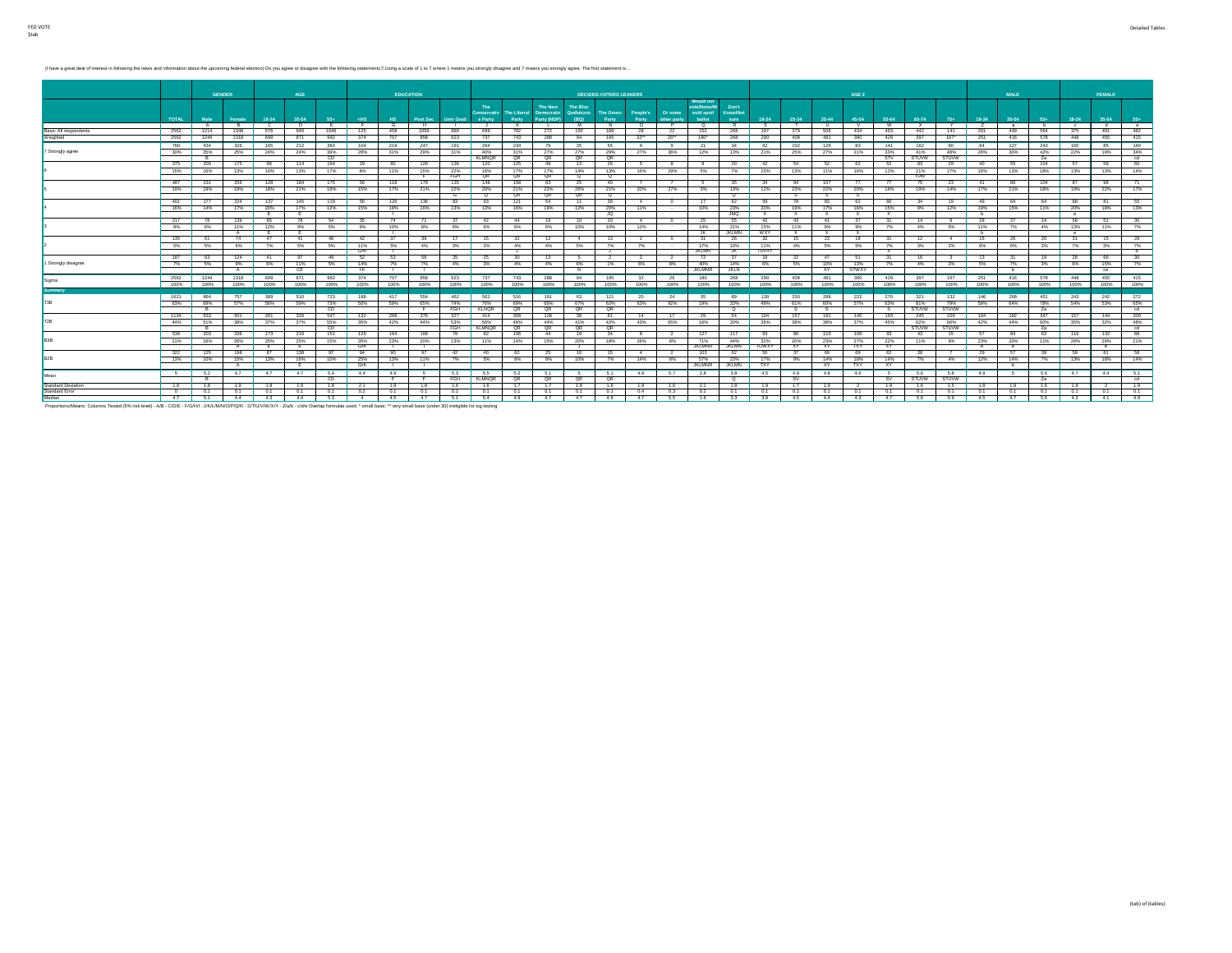(I have a great deal of interest in following the news and information about the upcoming federal election) Do you agree or disagree with the following statements 2. Using a scale of 1 to 7 where 1 means you strongly disag

|                           |              | <b>GENDER</b> |                    |             | AGE         |                |                |                | <b>EDUCATION</b>    |                     |                          |                             |                                      |                                             | <b>DECIDED-VOTERS LEANERS</b> |                   |                        |                                                 |                           |                      |                     |                       | AGE 2              |            |                     |                     |                | <b>MALE</b> |           |              | <b>FEMALE</b>   |            |
|---------------------------|--------------|---------------|--------------------|-------------|-------------|----------------|----------------|----------------|---------------------|---------------------|--------------------------|-----------------------------|--------------------------------------|---------------------------------------------|-------------------------------|-------------------|------------------------|-------------------------------------------------|---------------------------|----------------------|---------------------|-----------------------|--------------------|------------|---------------------|---------------------|----------------|-------------|-----------|--------------|-----------------|------------|
|                           | <b>TOTAL</b> | Male          | Female             | 18-34       | 35-54       | 55+            | $<$ HS         | H <sub>S</sub> | Post Sec            | Univ Grad e Party   | The<br><b>Conservati</b> | <b>The Liberal</b><br>Party | The New<br>Democratic<br>Party (NDP) | <b>The Bloc</b><br><b>Québécois</b><br>(BQ) | <b>The Green</b><br>Party     | People's<br>Party | Or some<br>other party | Would not<br>ote/None/W<br>ould spoil<br>ballot | Don't<br>Know/Not<br>sure | 18-24                | 25-34               | $35 - 44$             | 45-54              | 55-64      | 65-74               | $75+$               | 18-34          | $35 - 54$   | 55+       | 18-34        | 35-54<br>$55+$  |            |
|                           |              | <b>A</b>      | R                  | $\sim$      | D.,         | $\overline{E}$ | $-F$           | $\overline{G}$ | H                   | $\sim$ 1.000 $\sim$ |                          | K                           | $\mathbf{L}$                         | M                                           | N                             | $\circ$           | P                      | $\circ$                                         |                           | $R$ S                | $\overline{1}$      | <b>U</b>              | V                  | <b>W</b>   | $\mathbf{x}$        | Y.                  | $\overline{z}$ | a           | b         | $\mathbf{c}$ | d               | $^{\circ}$ |
| Base: All respondents     | 2562         | 1214          | 1348               | 576         | 940         | 1046           | 125            | 458            | 1099                | 880                 | 699                      | 782                         | 272                                  | 150                                         | 189                           | 28                | 22                     | 152                                             | 268                       | 197                  | 379                 | 506                   | 434                | 463        | 442                 | 141                 | 201            | 449         | 564       | 375          | 491             | 482        |
| Weighted                  | 2562         | 1244          | 1318               | 699         | 871         | 992            | 374            | 707            | 858                 | 623                 | 737                      | 743                         | 288                                  | 94                                          | 195                           | 32                | 26                     | 180*                                            | 268                       | 290                  | 408                 | 481                   | 390                | 429        | 397                 | $167*$              | 251            | 416         | 578       | 448          | 455             | 415        |
|                           | 760          | 434           | 326                | 165         | 212         | 383            | 104            | 219            | 247                 | 191                 | 294                      | 234                         | 79                                   | 25                                          | 55                            | $\alpha$          | 9                      | 21                                              | 34                        | 62                   | 102                 | 129                   | 83                 | 141        | 162                 | 80                  | 64             | 127         | 243       | 100          | 85              | 140        |
| 7 Strongly agree          | 30%          | 35%           | 25%                | 24%         | 24%         | 39%            | 28%            | 31%            | 29%                 | 31%                 | 40%                      | 31%                         | 27%                                  | 27%                                         | 29%                           | 27%               | 36%                    | 12%                                             | 13%                       | 21%                  | 25%                 | 27%                   | 21%                | 33%        | 41%                 | 48%                 | 26%            | 30%         | 42%       | 22%          | 19%             | 34%        |
|                           |              | в             |                    |             |             | CD             |                |                |                     |                     | <b>KLMNOR</b>            | QR                          | $-$ QR                               | - QR                                        | QR.                           |                   |                        |                                                 |                           |                      |                     |                       |                    | <b>STV</b> | <b>STUVW</b>        | <b>STUVW</b>        |                |             | Za        |              |                 | cd .       |
|                           | 375          | 200           | 175                | 96          | 114         | 164            | 29             | 80             | 129                 | 136                 | 120                      | 125                         | 49                                   | 13                                          | 26                            | -6.               | -8                     |                                                 | 20                        | $-42$                | - 54                | 52                    | -62                | 52         | -83                 | 29                  | 40             | 55          | 104       | -67          | 58              | 60         |
|                           | 15%          | 16%           | 13%                | 14%         | 13%         | 17%            | 8%             | 11%            | 15%                 | 22%<br>FGH          | 16%<br>- QR              | 17%<br>QR                   | 17%<br>QR                            | 14%<br>$^{\circ}$                           | 13%<br>$^{\circ}$             | 16%               | 29%                    | 5%                                              | 7%                        | 15%                  | 13%                 | 11%                   | 16%                | 12%        | 21%<br>TUW          | 17%                 | 16%            | 13%         | 18%       | 13%          | 13%             | 14%        |
|                           | 487          | -231          | 256                | 128         | 184         | 175            | - 56           | 118            | 179                 | 135                 | 148                      | 158                         | 63                                   | 25                                          | 40                            |                   |                        | - 6 -                                           | 35                        | 34                   | 94                  | 107                   |                    |            |                     | 23                  | 41             | 86          | 104       | - 87         | 98              | 71         |
|                           | 19%          | 19%           | 19%                | 18%         | 21%         | 18%            | 15%            | 17%            | 21%                 | 22%                 | 20%                      | 21%                         | 22%                                  | 26%                                         | 21%                           | 20%               | 27%                    | $3\%$                                           | 13%                       | 12%                  | 23%                 | 22%                   | 20%                | 18%        | 19%                 | 14%                 | 17%            | 21%         | 18%       | 19%          | 22%             | 17%        |
|                           |              |               |                    |             |             |                |                |                |                     | G                   | $^{\circ}$               | QR                          | QR                                   | - QR                                        | $^{\circ}$                    |                   |                        |                                                 | $^{\circ}$                |                      |                     |                       |                    |            |                     |                     |                |             |           |              |                 |            |
|                           | 401          | 177           | 224                | 137         | 145         | 119            | 56             | 126            | 136                 | 83                  | 93                       | 121                         | 54                                   | $-11$                                       | 39                            | $-4$              | $\sim$                 | 17                                              | 62                        | 59                   | 78                  | 83                    | 62                 | 66         | 34                  | 19                  | 49             | 64          | 64        | 88           | 81              | 55         |
|                           | 16%          | 14%           | 17%                | 20%         | 17%         | 12%            | 15%            | 18%            | 16%                 | 13%                 | 13%                      | 16%                         | 19%                                  | 12%                                         | 20%                           | 11%               | $\sim$                 | 10%                                             |                           | 23% 20%<br>$JMO$ $X$ | 19%<br>$\mathbf{x}$ | 17%                   | 16%                | 15%<br>x   | 9%                  | 12%                 | 19%            | 15%         | 11%       | 20%          | 18%             | 13%        |
|                           | 217          | 78            | 139                | - E -<br>85 | 78          |                | 54 35          | 74             | - 71                | 37                  | 42                       | $-44$                       | 19                                   | 10                                          | JQ.<br>20                     | 4                 | $\sim$ 0               | $-25$                                           |                           | 55 42                | $-43$               | $\mathbf{x}$<br>$-41$ | $\mathbf{x}$<br>37 | 31         | 14                  | - 9                 | 28             | 27          | 24 58     | $^{\circ}$   | 30<br><b>51</b> |            |
|                           | 8%           | 6%            | 11%                | 12%         | 9%          |                | 5% 9%          | 10%            | 8%                  |                     | 6% 6%                    | 6%                          | 6%                                   | 10%                                         | 10%                           | 12%               | $-$                    | 14%                                             |                           | 21% 15%              | 11%                 | 9%                    | 9%                 | 7%         | 4%                  | 5%                  | 11%            | $7\%$       | 4% 13%    |              | 11%             | 7%         |
|                           |              |               | $\overline{A}$     | тE –        | Ε           |                |                |                |                     |                     |                          |                             |                                      |                                             |                               |                   |                        | JK.                                             | JKLMN WXY                 |                      | X                   | X                     | $\mathbf{x}$       |            |                     |                     |                |             |           | $^{\circ}$   |                 |            |
|                           | 135          | 61            | 74                 | 47          | $-41$       | 48             | 42             | 37             | 39                  | 17                  | 15                       | 32                          | 12                                   | 4                                           | 13                            | 2                 | $\sim$                 | 31                                              | 26                        | 32                   | 15                  | 23                    | 18                 | 31         | 12                  | -4                  | 16             | 26          | 20        | 31           | 15              | 28         |
|                           | 5%           | 5%            | 6%                 | 7%          | 5%          | 5%             | 11%            | 5%             | 4%                  | 3%                  | $12\%$                   | 4%                          | 4%                                   | 5%                                          | 7%                            | 7%                | $\sim$                 | 17%                                             | 10%                       | 1 11%                | 4%                  | 5%                    | 6%                 | 7%         | 3%                  | 2%                  | 6%             | 6%          | 3%        | 7%           | 3%              | 7%         |
|                           |              |               |                    |             |             |                | GHI            | - 11           |                     |                     |                          | ل .                         |                                      |                                             | J .                           |                   |                        | <b>JKLMN</b>                                    |                           | JK TUVXY             |                     |                       |                    | X          |                     |                     |                |             |           |              |                 | - d        |
|                           | 187          | 63            | 124                | $-41$       | 97          | 49             | - 52           | 53             | - 58                | 25                  | - 25                     | 30                          | 13                                   | - 5                                         | 2                             | 2                 | 2                      | 72                                              | 37                        | - 19                 | -22                 | 47                    | 51                 | 31         | 16                  | 3                   | 13             | 31          | 19        | 28           | 66              | 30         |
| 1 Strongly disagree       | 7%           | 5%            | 9%<br>$\mathsf{A}$ | 6%          | 11%<br>CE . | 5%             | 14%<br>Ŧ       | 7%             | 7%<br>and the state | 4%                  | 3%                       | 4%                          | 4%                                   | 6%<br>$\overline{N}$                        | 1%                            | 6%                | 8%                     | 40%<br><b>JKLMNR</b>                            | 14%<br><b>JKLN</b>        | 6%                   | 5%                  | 10%<br><b>XY</b>      | 13%<br>STWXY       | 7%         | 4%                  | 2%                  | 5%             | 7%<br>b.    | 3%        | 6%           | 15%<br>ce       | 7%         |
|                           | 2562         | 1244          | 1318               | 699         | 871         | 992            | 374            | 707            | 858                 | 623                 | 737                      | 743                         | 288                                  | 94                                          | 195                           | 32                | 26                     | 180                                             | 268                       | 290                  | 408                 | 481                   | 390                | 429        | 397                 | 167                 | 251            | 416         | 578       | 448          | 455             | 415        |
| Sigma                     | 100%         | 100%          | 100%               | 100%        | 100%        | 100%           | 100%           | 100%           | 100%                |                     | 100% 100%                | 100%                        | 100%                                 | 100%                                        | 100%                          | 100%              | 100%                   | 100%                                            |                           | 100% 100%            | 100%                | 100%                  | 100%               | 100%       | 100%                | 100%                | 100%           | 100%        | 100% 100% |              | 100%            | 100%       |
| Summarv                   |              |               |                    |             |             |                |                |                |                     |                     |                          |                             |                                      |                                             |                               |                   |                        |                                                 |                           |                      |                     |                       |                    |            |                     |                     |                |             |           |              |                 |            |
|                           | 1621         | 864           | 757                | 389         | 510         | 723            | 188            | $-417$         | 554                 | 462                 | 562                      | 516                         | 191                                  | 63                                          | 121                           | 20                | 24                     | 35                                              |                           | 89 139               | 250                 | 288                   | 222                | 270        | 321                 | 132                 | 146            | 268         | 451 243   |              | 242             | $-272$     |
| <b>F3R</b>                | 63%          | 69%           | 57%                | 56%         | 59%         | 73%            | 50%            | 59%            | 65%                 | 74%                 | 76%                      | 69%                         | 66%                                  | 67%                                         | 62%                           | 63%               | 92%                    | 19%                                             | 33%                       | 48%                  | 61%                 | 60%                   | 57%                | 63%        | 81%                 | 79%                 | 58%            | 64%         | 78%       | 54%          | 53%             | 65%        |
|                           |              |               |                    |             |             | CD.            |                |                |                     | FGH                 | <b>KLNOR</b>             | QR                          | QR                                   | QR                                          | QR                            |                   |                        |                                                 | $\overline{\phantom{a}}$  |                      |                     |                       |                    |            | <b>STUVW</b>        | <b>STUVW</b>        |                |             | 7a        |              |                 | cd         |
| <b>P<sub>2</sub>R</b>     | 1134         | 633           | 501                | 261         | 326         | 547            | 132            | - 299          | 376                 | 327                 | 414                      | 358                         | 128                                  | 38                                          | 81                            | 14                | 17                     | -29                                             | 54                        | 104                  | 157                 | 181                   | 145                | 193        | 245                 | 109                 | 104            | 182         | 347       | 157          | 144             | 200        |
|                           | 44%          | 51%           | 38%                | 37%         | 37%         | 55%<br>CD.     | 35%            | 42%            | 44%                 | 53%<br>FGH          | 56%<br><b>KLMNOR</b>     | 48%<br><b>QR</b>            | 44%<br>QR                            | 41%<br>QR                                   | 42%<br>QR                     | 43%               | 65%                    | 16%                                             | 20%                       | 36%                  | 38%                 | 38%                   | 37%                | 45%        | 62%<br><b>STUVW</b> | 66%<br><b>STUVW</b> | 42%            | 44%         | 60%<br>Za | 35%          | 32%             | 48%<br>cd  |
|                           | 539          | 203           | 336                | 173         | 216         | 151            | 129            | 164            | 168                 |                     |                          | 106                         | 44                                   | 19                                          | 34                            | 8                 |                        | 127                                             | 117                       | $-93$                | 80                  | 110                   | 106                | 93         | 43                  |                     |                | 84          | 63        | 116          | $-88$<br>132    |            |
|                           | 21%          | 16%           | 26%                | 25%         | 25%         | 15%            | 35%            | 23%            | 20%                 | 13%                 | 11%                      | 14%                         | 15%                                  | 20%                                         | 18%                           | 26%               | 8%                     | 71%                                             | 44%                       | 32%                  | 20%                 | 23%                   | 27%                | 22%        | 11%                 | 9%                  | 23%            | 20%         | 11%       | 26%          | 29%             | 21%        |
|                           |              |               |                    |             |             |                | GHI            |                |                     |                     |                          |                             |                                      |                                             |                               |                   |                        | <b>JKLMNR</b>                                   |                           | JKLMN TUWXY          | <b>XY</b>           | <b>XY</b>             | TXY                | XY         |                     |                     |                |             |           |              | $^{\circ}$      |            |
|                           | 322          | 125           | 198                | 87          | 138         | 97             | $-94$          | $-90$          | 97                  | 42                  | 40                       | -62                         | - 25                                 | 10                                          | 15                            | $-4$              | $\mathbf{2}$           | 103                                             | 62                        | <b>50</b>            | 37                  | 69                    | 69                 | 62         | 28                  |                     | 29             | 57          | -39       | - 58         | $-81$           | 58         |
|                           | 13%          | 10%           | 15%                | 13%         | 16%         | 10%            | 25%            | 13%            | 11%                 | 7%                  | 5%                       | 8%                          | 9%                                   | 10%                                         | 7%                            | 14%               | 8%                     | 57%                                             | 23%                       | 17%                  | 9%                  | 14%                   | 18%                | 14%        | 7%                  | 4%                  | 12%            | 14%         | 7%        | 13%          | 18%             | 14%        |
|                           |              |               | A                  |             | <b>F</b>    |                | GHI            | - 1            | - 11                |                     |                          |                             |                                      |                                             |                               |                   |                        | <b>JKLMNR</b>                                   | JKLMN TXY                 |                      |                     | XY                    | TXY                | XY         |                     |                     |                | b           |           |              |                 |            |
| Mean                      | 5            | 6.2           | 4.7                | 4.7         | 4.7         | 5.4<br>CD.     | 4.4            | 4.9            |                     | 5.3<br>FGH          | - 5.5<br><b>KLMNOR</b>   | 5.2<br>QR                   | 5.1<br>QR                            | -6.<br>QR                                   | 6.1<br>QR                     | 4.9               | 5.7                    | 2.8                                             | ਼                         | $3.8$ 4.5            | 4.9<br>- sv         | 4.8                   | 4.6                | SV.        | 5.6<br>STUVW        | 5.8<br><b>STUVW</b> | 4.9            | - 5         | 5.6<br>2a | 4.7          | 4.4             | 6.1<br>cd  |
| <b>Standard Deviation</b> | 1.9          | 1.8           | 1.9                | 1.8         | 1.9         | 1.8            | 2.1            | 1.9            | 1.8                 | 1.6                 | 1.6                      | 1.7                         | 1.7                                  | 1.8                                         | 1.6                           | 1.9               | 1.6                    | 2.1                                             |                           | 1.8 1.9              | 1.7                 | 1.9                   | - 2                | 1.9        | 1.6                 | 1.5                 | 1.8            | 1.9         | 1.6       | 1.8          | - 2             | 1.9        |
| <b>Standard Error</b>     | $\sim$ 0     | 0.1           | 0.1                | 0.1         | 0.1         | 0.1            | 0.2            | 0.1            | 0.1                 | 0.1                 | 0.1                      | 0.1                         | 0.1                                  | 0.1                                         | 0.1                           | 0.4               | 0.3                    | 0.2                                             | 0.1                       | 0.1                  | 0.1                 | 0.1                   | 0.1                | 0.1        | 0.1                 | 0.1                 | 0.1            | 0.1         | 0.1       | 0.1          | 0.1<br>0.1      |            |
| Median                    | 4.7          | 6.1           | 4.4                | 4.3         | 4.4         | 5.3            | $\overline{a}$ | 4.5            | 4.7                 | 5.1                 | 5.4                      | 4.9                         | 4.7                                  | 4.7                                         | 4.6                           | 4.7               | 5.5                    | 1.6                                             | 3.3                       | 3.9                  | 4.5                 | 4.4                   | 4.3                | 4.7        | 5.6                 | 5.9                 | 4.5            | 4.7         | 5.6       | 4.2          | 4.1             | $-4.9$     |
|                           |              |               |                    |             |             |                |                |                |                     |                     |                          |                             |                                      |                                             |                               |                   |                        |                                                 |                           |                      |                     |                       |                    |            |                     |                     |                |             |           |              |                 |            |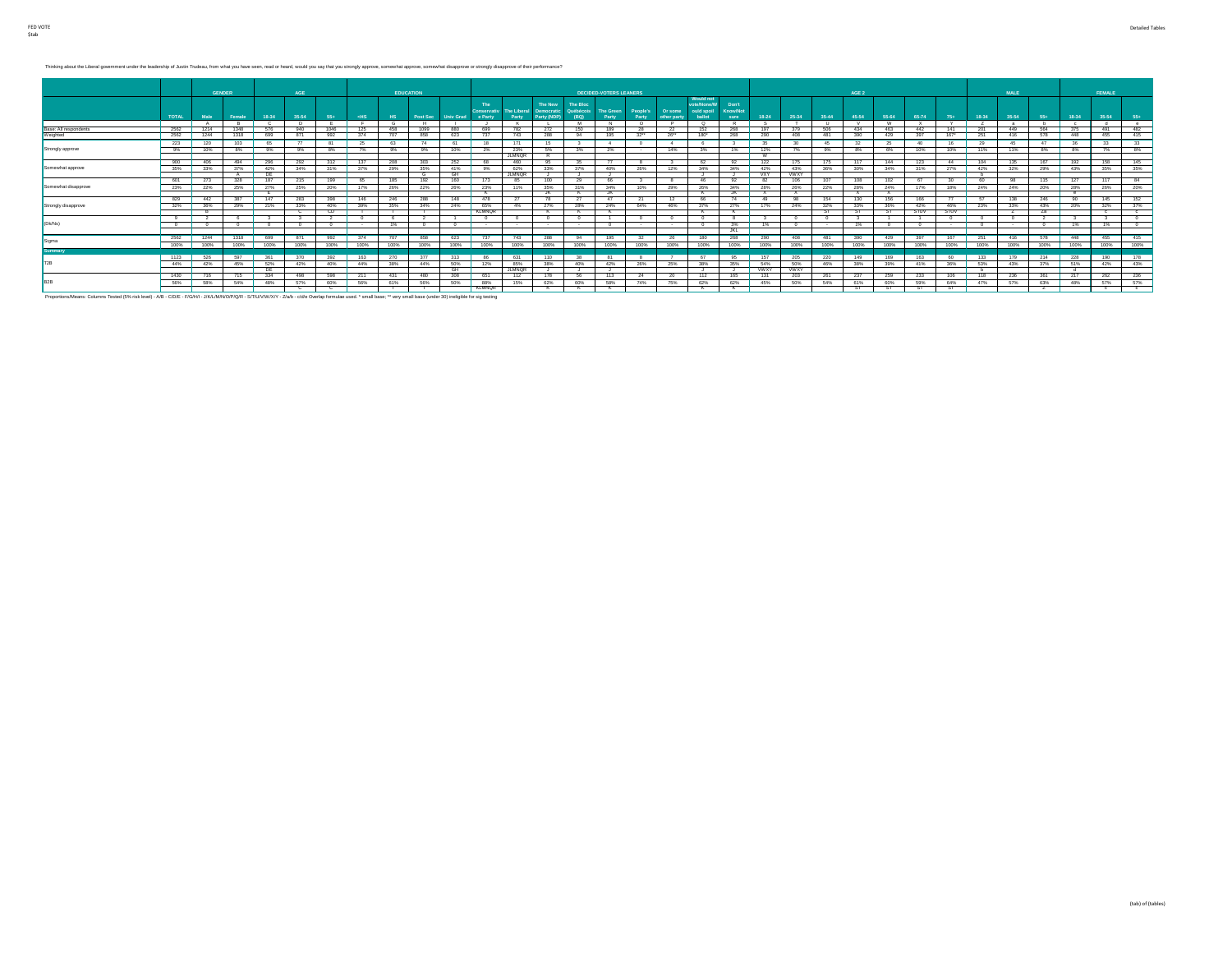Thinking about the Liberal government under the leadership of Justin Trudeau, from what you have seen, read or heard, would you say that you strongly approve, somewhat approve, somewhat disapprove or strongly disapprove of

|                       |              | <b>GENDER</b> |        |            | AGE        |       |        | <b>EDUCATION</b> |          |                  |                       |                                  |                                             |                               | <b>DECIDED-VOTERS LEANERS</b> |                   |                        |                                                 |                                  |                  |                    |        | AGE 2 |       |             |             |       | <b>MALE</b> |            |            | FEMALE     |            |
|-----------------------|--------------|---------------|--------|------------|------------|-------|--------|------------------|----------|------------------|-----------------------|----------------------------------|---------------------------------------------|-------------------------------|-------------------------------|-------------------|------------------------|-------------------------------------------------|----------------------------------|------------------|--------------------|--------|-------|-------|-------------|-------------|-------|-------------|------------|------------|------------|------------|
|                       | <b>TOTAL</b> | Male          | Female | 18-34      | 35-54      | $55+$ | ⊸eHS   | HS.              | Post Sec | Univ Grad        | e Party               | Conservativ The Liberal<br>Party | The New<br><b>Democratic</b><br>Party (NDP) | The Bloc<br>Québécois<br>(BQ) | The Green<br>Party            | People's<br>Party | Or some<br>other party | Would not<br>ote/None/W<br>ould spoil<br>ballot | Don't<br><b>Know/Not</b><br>sure | 18-24            | 25-34              | 35-44  | 45-54 | 55-64 | 65-74       | $75+$       | 18-34 | 35-54       | $55+$      | 18-34      | 35-54      | $55+$      |
|                       |              |               |        |            |            |       |        |                  |          |                  |                       |                                  |                                             |                               | N.                            | $\sim$            |                        | $\circ$                                         |                                  |                  |                    |        |       | - W   |             |             |       | - 29        | . .        |            | - 4        | $^{\circ}$ |
| Base: All respondents | 2562         | 1214          | 1348   | 576        | 940        | 1046  | 125    | 458              | 1099     | 880              | 699                   | 782                              | 272                                         | 150                           | 189                           | -28               | -22                    | 152                                             | 268                              | 197              | 379                | 506    | 434   | 463   | 442         | 141         | 201   | 449         | 564        | 375        | 491        | 482        |
| Weighted              | 2562         | 1244          | 1318   | 699        | 871        | 992   | 374    |                  | 858      | 623              |                       | 743                              | 288                                         | 94                            | 195                           | 32                | 26"                    | 180*                                            | 268                              | 290              | 408                | 481    | 390   | 429   |             | 167"        | 251   | 416         | 578        | 448        | 455        | 415        |
|                       | 223          | 120           | 103    | 65         | 77         | 81    | - 25   | 63               |          |                  | 18                    | 171                              | 15                                          |                               |                               |                   |                        |                                                 |                                  |                  |                    | 46     |       |       | 40.         |             | 29    | 45.         | 47         | -36        | 33         | 33         |
| Strongly approve      | 9%           | 10%           | 8%     | 9%         | 9%         | 8%    | 7%     | 9%               | 9%       | 10%              | 2%                    | 23%                              | 5%                                          | 3%                            | 2%                            | $\sim$            | 14%                    | 3%                                              | 1%                               | 12%              | 7%                 | 9%     | 8%    | 6%    | 10%         | 10%         | 11%   | 11%         | 8%         | 8%         | 7%         | 8%         |
|                       |              |               |        |            |            |       |        |                  |          |                  |                       | <b>JLMNOR</b>                    |                                             |                               |                               |                   |                        |                                                 |                                  | . w              |                    |        |       |       |             |             |       |             |            |            |            |            |
|                       | 900          | 408           | 494    | 296        | 292        | 312   | 137    | 208              | 303      | 252              | <b>RR</b>             | 460                              | -95.                                        | 35                            |                               | -8                | - 3                    | 62                                              | 92                               | 122              | 175                | -175   | 117   | 144   | 123         | 44          | 104   | 135         | 167        | 192        | 158        | 145        |
| Somewhat approve      | 35%          | 33%           | 37%    | 42%        | 34%        | 31%   | 37%    | 29%              | 35%      | 41%              | 9%                    | 62%                              | 33%                                         | 37%                           | 40%                           | 26%               | 12%                    | 34%                                             | 34%                              | 42%              | 43%<br><b>VWXY</b> | 36%    | 30%   | 34%   | 31%         | 27%         | 42%   | 32%         | 29%        | 43%        | 35%        | 35%        |
|                       | 601          | 273           | 328    | DE<br>187  | 215        | 199   | 65     | 185              | 192      | <b>GH</b><br>160 | 173                   | <b>JLMNOR</b><br>-85             | 100                                         | 29                            | 66                            |                   | 8                      | 46                                              | 92                               | <b>VXY</b><br>82 | 106                | 107    | 108   | 102   |             | $30 -$      | 60    | AR          | 115        | 127        | 117        | $-84$      |
| Somewhat disapprove   |              |               |        |            |            |       |        |                  |          |                  |                       |                                  |                                             |                               |                               |                   |                        | 26%                                             |                                  |                  |                    |        |       |       |             |             |       |             | 20%        | 28%        |            |            |
|                       | 23%          | 22%           | 25%    | 27%<br>. . | 25%        | 20%   | 17%    | 26%              | 22%      | 26%              | 23%<br>$\mathbb{R}$   | 11%                              | 35%<br>JN.                                  | 31%<br>к.                     | 34%<br>JK.                    | 10%               | 29%                    | $\sim$                                          | 34%<br>JK.                       | 28%<br>- ^       | 26%                | 22%    | 28%   | 24%   | 17%         | 18%         | 24%   | 24%         |            | $^{\circ}$ | 26%        | 20%        |
|                       | 829          | 442           | 387    | 147        | 283        | 398   | 146    | 246              | 288      | 148              | 478                   |                                  |                                             | 27                            |                               | - 21              | 12                     | -66                                             | -74                              | -49              |                    | 154    | 130   | 156   | 166         |             |       | 138         | 246        | -90        | 145        | 152        |
| Strongly disapprove   | 32%          | 36%           | 29%    | 21%        | 33%        | 40%   | 39%    | 35%              | 34%      | 24%              | 65%                   | 4%                               | 27%                                         | 28%                           | 24%                           | 64%               | 46%                    | 37%                                             | 27%                              | 17%              | 24%                | 32%    | 33%   | 36%   | 42%         | 46%         | 23%   | 33%         | 43%        | 20%        | 32%        | 37%        |
|                       |              |               |        |            | - 63       | CD.   |        |                  |          |                  | KLMNQR                |                                  |                                             | к.                            |                               |                   |                        |                                                 | к.                               |                  |                    |        | -81   | -51   | <b>STUV</b> | <b>STUV</b> |       | $\epsilon$  | ∠a         |            | $\epsilon$ |            |
|                       |              |               |        |            |            |       |        |                  |          |                  |                       |                                  |                                             |                               |                               |                   | $^{\circ}$             |                                                 |                                  |                  |                    |        |       |       |             |             |       |             |            |            |            |            |
| (Dk/Ns)               |              | - 0           |        |            | $^{\circ}$ |       | $\sim$ | 1%               |          |                  | $\sim$                |                                  | $\sim$                                      | $\sim$                        |                               | <b>Service</b>    | <b>Service</b>         |                                                 | 3%                               | 1%               |                    | $\sim$ | 1%    |       |             |             |       | $\sim$      | $^{\circ}$ | 1%         | 1%         |            |
|                       |              |               |        |            |            |       |        |                  |          |                  |                       |                                  |                                             |                               |                               |                   |                        |                                                 | JKL                              |                  |                    |        |       |       |             |             |       |             |            |            |            |            |
| Sigma                 | 2562         | 1244          | 1318   | 699        | 871        | 992   | 374    | 707              | 858      | 623              | 737                   | 743                              | 288                                         | 94                            | 195                           | 32                | $-26$                  | 180                                             | 268                              | 290              | 408                | 481    | 390   | 429   | 397         | 167         | 251   | 416         | 578        | 448        | 455        | 415        |
|                       | 100%         | 100%          | 100%   | 100%       | 100%       | 100%  | 100%   | 100%             | 100%     | 100%             | 100%                  | 100%                             | 100%                                        | 100%                          | 100%                          | 100%              | 100%                   | 100%                                            | 100%                             | 100%             | 100%               | 100%   | 100%  | 100%  | 100%        | 100%        | 100%  | 100%        | 100%       | 100%       | 100%       | 100%       |
| Summary               |              |               |        |            |            |       |        |                  |          |                  |                       |                                  |                                             |                               |                               |                   |                        |                                                 |                                  |                  |                    |        |       |       |             |             |       |             |            |            |            |            |
|                       | 1123         | 526           | 597    | 361        | 370        | 392   | 163    | 270              | 377      | 313              |                       | 631                              | 110                                         |                               |                               |                   |                        | 67                                              | 95                               | 157              | 205                | 220    | 149   | 169   | 163         | 60          | 133   | 179         | 214        | 228        | 190        | 178        |
|                       | 44%          | 42%           | 45%    | 52%        | 42%        | 40%   | 44%    | 38%              | 44%      | 50%              | 12%                   | 85%                              | 38%                                         | 40%                           | 42%                           | 26%               | 25%                    | 38%                                             | 35%                              | 54%              | 50%                | 46%    | 38%   | 39%   | 41%         | 36%         | 53%   | 43%         | 37%        | 51%        | 42%        | 43%        |
|                       |              |               |        | DE .       |            |       |        |                  |          | <b>GH</b>        |                       | <b>JLMNOR</b>                    |                                             |                               |                               |                   |                        | a sa ba                                         | ل .                              | <b>WWXY</b>      | <b>WWXY</b>        |        |       |       |             |             |       |             |            | - 4        |            |            |
| R <sub>2</sub> R      | 1430         | 716           | 715    | 334        | 498        | 598   | 211    | 431              | 480      | 308              | 651                   | 112                              | 178                                         | 56.                           | 113                           | 24                | 20                     | 112                                             | 165                              | 131              | 203                | 261    | 237   | 259   | 233         | 106         | 118   | 236         | 361        | 217        | 262        | 236        |
|                       | 56%          | 58%           | 54%    | 48%        | 57%        | 60%   | 56%    | 61%              | 56%      | 50%              | 88%<br><b>KI MNOR</b> | 15%                              | 62%                                         | 60%                           | 58%                           | 74%               | 75%                    | 62%                                             | 62%                              | 45%              | 50%                | 54%    | 61%   | 60%   | 59%         | 64%         | 47%   | 57%         | 63%        | 48%        | 57%        | 57%        |
|                       |              |               |        |            |            |       |        |                  |          |                  |                       |                                  |                                             |                               |                               |                   |                        |                                                 |                                  |                  |                    |        |       |       |             |             |       |             |            |            |            |            |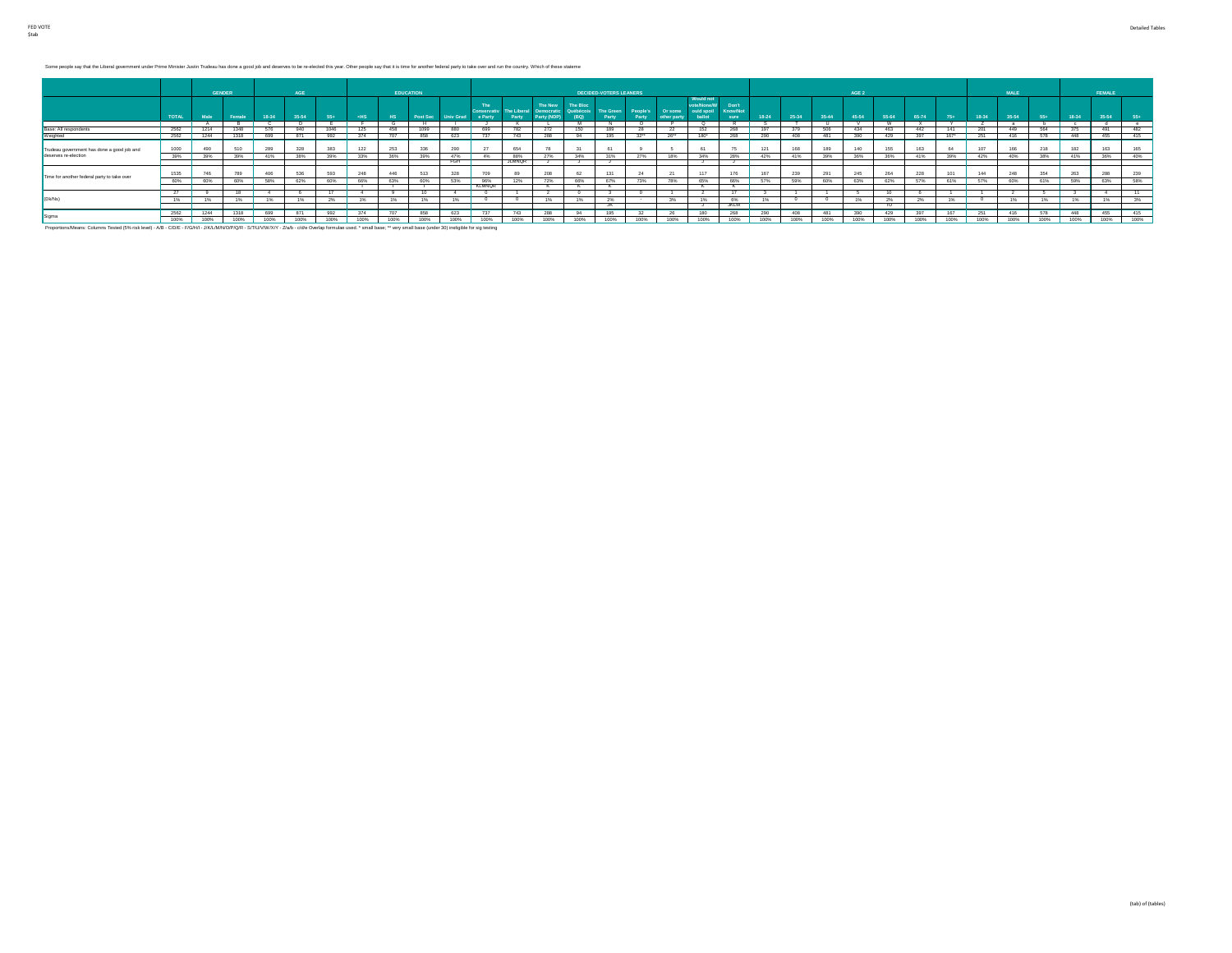Some people say that the Liberal government under Prime Minister Justin Trudeau has done a good job and deserves to be re-elected this year. Other people say that it is time for another federal party to take over and run t

|                                                                    |              | <b>GENDER</b> |        |       | AGE         |      |             |      | <b>EDUCATION</b> |      |                    |               |                       |          | <b>DECIDED-VOTERS LEANERS</b> |                   |         |                                              |                          |      |     |      | AGE 2 |       |      |        |       | MALE  |             |       | <b>FEMALE</b> |       |
|--------------------------------------------------------------------|--------------|---------------|--------|-------|-------------|------|-------------|------|------------------|------|--------------------|---------------|-----------------------|----------|-------------------------------|-------------------|---------|----------------------------------------------|--------------------------|------|-----|------|-------|-------|------|--------|-------|-------|-------------|-------|---------------|-------|
|                                                                    | <b>TOTAL</b> | Male          | Female | 18-34 | 35-54       |      |             |      |                  |      | The<br>Conservativ | The Liberal   | The New<br>Democratic | The Bloc | Québécois The Green           | People's<br>Party | Or some | <b>Would not</b><br>ote/None/V<br>ould spoil | Don't<br><b>Know/Not</b> |      |     |      |       | 55-64 |      |        | 18-34 | 25.54 |             | 18-34 | 35-54         | $55+$ |
|                                                                    |              |               |        |       |             |      |             |      |                  |      |                    |               |                       | м        |                               | $\sim$            |         |                                              |                          |      |     |      |       |       |      |        |       |       |             |       |               |       |
| Base: All respondents                                              | 2562         | 1214          | 1348   | 576   | 940         | 1046 |             | 458  |                  | 880  |                    | 782           | 272                   | 150      | 189                           |                   |         |                                              | 268                      |      | 379 | 506  | 434   | 463   | 442  | 141    | 201   | 449   | 564         | 375   | 491           | 482   |
| Weighted                                                           | 2562         | 1244          | 1318   | 699   | 871         | 992  |             |      | 858              | 623  |                    | 743           | 288                   | 94       | 195                           | 32                | 0011    | 180*                                         |                          | 290  | 406 |      | 390   | 429   |      | $167*$ | 251   | 416   |             | 448   | 455           | 415   |
| Trudeau government has done a good job and<br>deserves re-election | 1000         | 490           | 510    | 289   | 328         | 383  | 122         | 253  | 336              | 290  | - 65%              | 654           |                       |          | 61                            |                   |         |                                              | 75                       | 121  | 168 | 189  | 140   | 155   | 163  | 64     | 107   | 166   |             | 182   | 163           | 165   |
|                                                                    | 39%          | 39%           | 39%    | 41%   | 38%         | 39%  | 33%         | 36%  | 39%              | 47%  | 4%                 | 88%           | 27%                   | 34%      | 31%                           | 27%               | 18%     | 34%                                          | 28%                      | 42%  | 41% | 39%  | 36%   | 36%   | 41%  | 39%    | 42%   | 40%   | 38%         | 41%   | 36%           | 40%   |
|                                                                    |              |               |        |       |             |      |             |      |                  | FGH  |                    | <b>JLMNOR</b> |                       |          |                               |                   |         |                                              |                          |      |     |      |       |       |      |        |       |       |             |       |               |       |
| Time for another federal party to take over                        | 1535         | 746           | 789    | 406   | 536         | 593  | 248         | 446  | 513              | 328  | 709                |               | 208                   | 62       | 131                           | 24                |         | 117                                          | 176                      | 167  | 239 |      | 245   | 264   | 228  | 101    | 144   | 248   | 354         | 263   | 288           | 239   |
|                                                                    | 60%          | 60%           | 60%    | 58%   | 62%         | 60%  | 66%         | 63%  | 60%              | 53%  | 96%                | 12%           | 72%                   | 66%      | 67%                           | 73%               | 78%     | 65%                                          | 66%                      | 57%  | 59% | 60%  | 63%   | 62%   | 57%  | 61%    | 57%   | 60%   |             | 59%   | 63%           | 58%   |
|                                                                    |              |               |        |       |             |      |             |      |                  |      | <b>KLMNOR</b>      |               |                       |          |                               |                   |         |                                              |                          |      |     |      |       |       |      |        |       |       |             |       |               |       |
|                                                                    |              |               |        |       |             |      |             |      |                  |      |                    |               |                       |          |                               |                   |         |                                              |                          |      |     |      |       |       |      |        |       |       |             |       |               |       |
| (Dk/Ns)                                                            | 1%           | 1%            | 1%     | 1%    | 1%          | 2%   |             | 1%   | 1%               | 1%   |                    |               | 1%                    | 1%       | 2%                            |                   | 3%      |                                              | 6%                       | 1%   |     |      | 1%    | 2%    | 2%   | 1%     |       | 1%    | 1%          | 1%    | 1%            | 3%    |
|                                                                    |              |               |        |       |             |      |             |      |                  |      |                    |               |                       |          |                               |                   |         |                                              | JKLM                     |      |     |      |       |       |      |        |       |       |             |       |               |       |
| Sigma                                                              | 2562         | 1244          | 1318   | 699   | 871         | 992  | 374         | 707  | 858              | 623  | 737                | 743           | 288                   | 94       | 195                           | 32                | 26      |                                              | 268                      | 290  | 408 | 481  | 390   | 429   | 397  | 167    | 251   | 416   |             | 448   | 455           | 415   |
|                                                                    | 100%         | 100%          | 100%   | 4 OCH | <b>KODR</b> | 100% | <b>KODA</b> | 1009 | 4009C            | 100% | 100%               | 1009          | <b>KODA</b>           | 100%     | 100a                          | 100ac             | 100%    | 1009                                         | 100%                     | 1009 |     | 100% |       | 4009C | 100% | 100%   | 100%  | 100%  | <b>KODA</b> | 1009  | 100%          | 100%  |